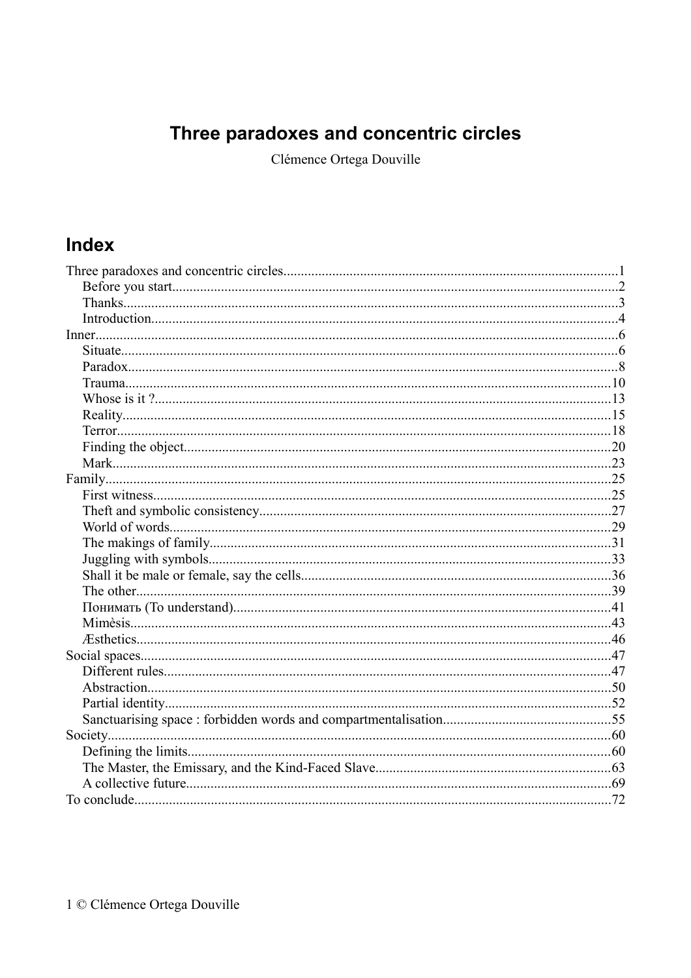# Three paradoxes and concentric circles

Clémence Ortega Douville

# Index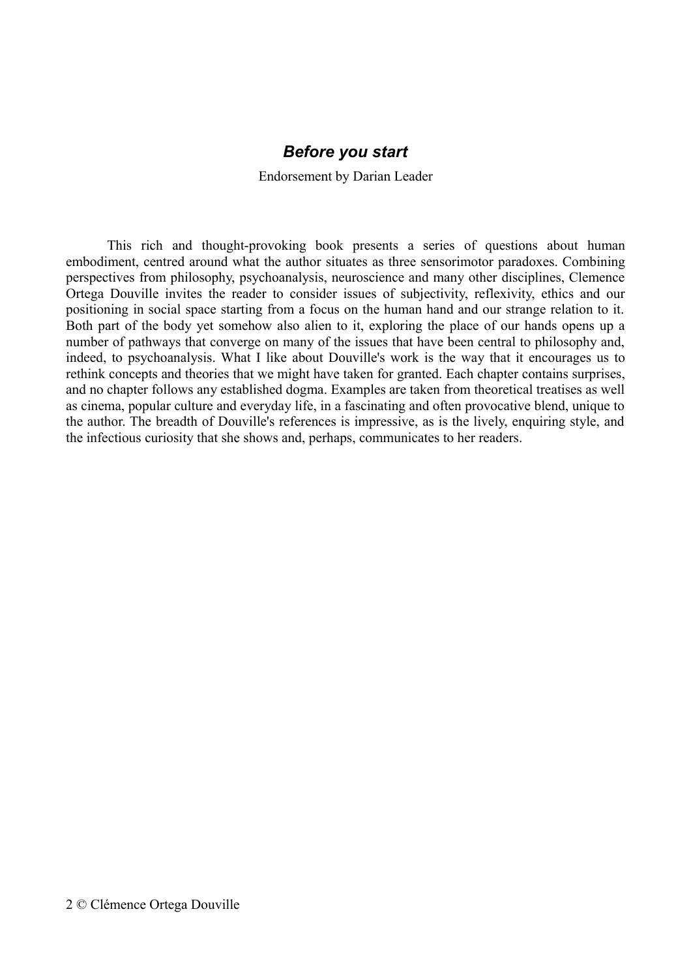#### *Before you start*

Endorsement by Darian Leader

This rich and thought-provoking book presents a series of questions about human embodiment, centred around what the author situates as three sensorimotor paradoxes. Combining perspectives from philosophy, psychoanalysis, neuroscience and many other disciplines, Clemence Ortega Douville invites the reader to consider issues of subjectivity, reflexivity, ethics and our positioning in social space starting from a focus on the human hand and our strange relation to it. Both part of the body yet somehow also alien to it, exploring the place of our hands opens up a number of pathways that converge on many of the issues that have been central to philosophy and, indeed, to psychoanalysis. What I like about Douville's work is the way that it encourages us to rethink concepts and theories that we might have taken for granted. Each chapter contains surprises, and no chapter follows any established dogma. Examples are taken from theoretical treatises as well as cinema, popular culture and everyday life, in a fascinating and often provocative blend, unique to the author. The breadth of Douville's references is impressive, as is the lively, enquiring style, and the infectious curiosity that she shows and, perhaps, communicates to her readers.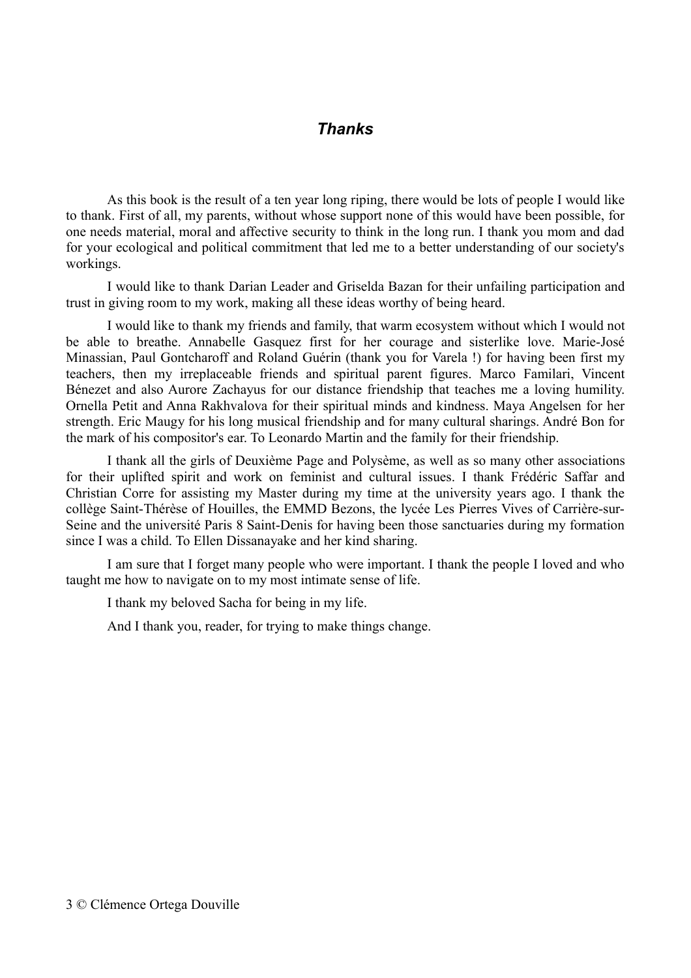#### *Thanks*

As this book is the result of a ten year long riping, there would be lots of people I would like to thank. First of all, my parents, without whose support none of this would have been possible, for one needs material, moral and affective security to think in the long run. I thank you mom and dad for your ecological and political commitment that led me to a better understanding of our society's workings.

I would like to thank Darian Leader and Griselda Bazan for their unfailing participation and trust in giving room to my work, making all these ideas worthy of being heard.

I would like to thank my friends and family, that warm ecosystem without which I would not be able to breathe. Annabelle Gasquez first for her courage and sisterlike love. Marie-José Minassian, Paul Gontcharoff and Roland Guérin (thank you for Varela !) for having been first my teachers, then my irreplaceable friends and spiritual parent figures. Marco Familari, Vincent Bénezet and also Aurore Zachayus for our distance friendship that teaches me a loving humility. Ornella Petit and Anna Rakhvalova for their spiritual minds and kindness. Maya Angelsen for her strength. Eric Maugy for his long musical friendship and for many cultural sharings. André Bon for the mark of his compositor's ear. To Leonardo Martin and the family for their friendship.

I thank all the girls of Deuxième Page and Polysème, as well as so many other associations for their uplifted spirit and work on feminist and cultural issues. I thank Frédéric Saffar and Christian Corre for assisting my Master during my time at the university years ago. I thank the collège Saint-Thérèse of Houilles, the EMMD Bezons, the lycée Les Pierres Vives of Carrière-sur-Seine and the université Paris 8 Saint-Denis for having been those sanctuaries during my formation since I was a child. To Ellen Dissanayake and her kind sharing.

I am sure that I forget many people who were important. I thank the people I loved and who taught me how to navigate on to my most intimate sense of life.

I thank my beloved Sacha for being in my life.

And I thank you, reader, for trying to make things change.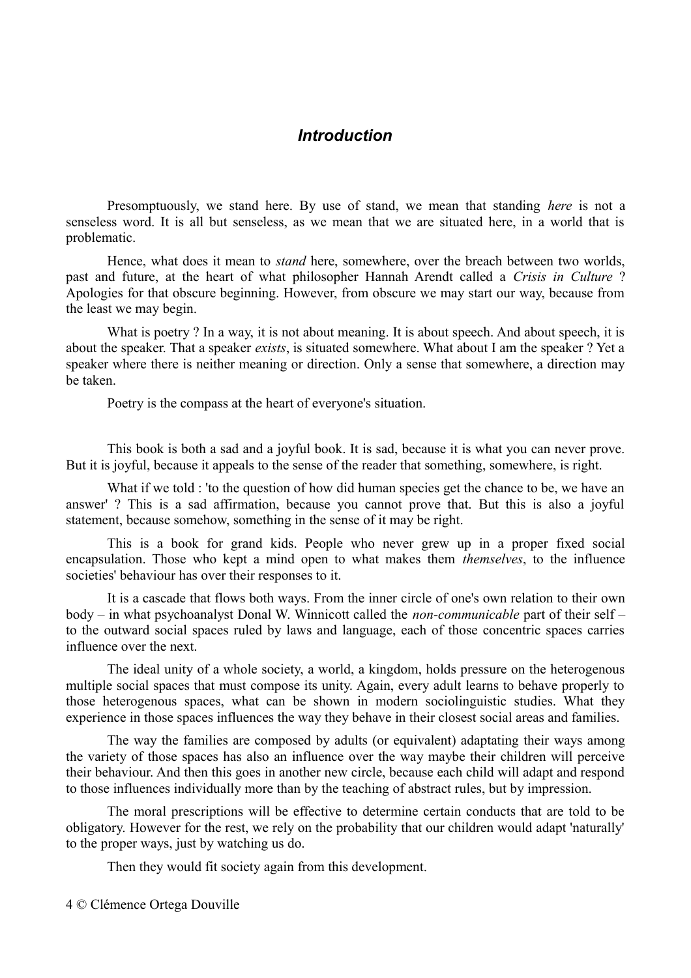# *Introduction*

Presomptuously, we stand here. By use of stand, we mean that standing *here* is not a senseless word. It is all but senseless, as we mean that we are situated here, in a world that is problematic.

Hence, what does it mean to *stand* here, somewhere, over the breach between two worlds, past and future, at the heart of what philosopher Hannah Arendt called a *Crisis in Culture* ? Apologies for that obscure beginning. However, from obscure we may start our way, because from the least we may begin.

What is poetry? In a way, it is not about meaning. It is about speech. And about speech, it is about the speaker. That a speaker *exists*, is situated somewhere. What about I am the speaker ? Yet a speaker where there is neither meaning or direction. Only a sense that somewhere, a direction may be taken.

Poetry is the compass at the heart of everyone's situation.

This book is both a sad and a joyful book. It is sad, because it is what you can never prove. But it is joyful, because it appeals to the sense of the reader that something, somewhere, is right.

What if we told : 'to the question of how did human species get the chance to be, we have an answer' ? This is a sad affirmation, because you cannot prove that. But this is also a joyful statement, because somehow, something in the sense of it may be right.

This is a book for grand kids. People who never grew up in a proper fixed social encapsulation. Those who kept a mind open to what makes them *themselves*, to the influence societies' behaviour has over their responses to it.

It is a cascade that flows both ways. From the inner circle of one's own relation to their own body – in what psychoanalyst Donal W. Winnicott called the *non-communicable* part of their self – to the outward social spaces ruled by laws and language, each of those concentric spaces carries influence over the next.

The ideal unity of a whole society, a world, a kingdom, holds pressure on the heterogenous multiple social spaces that must compose its unity. Again, every adult learns to behave properly to those heterogenous spaces, what can be shown in modern sociolinguistic studies. What they experience in those spaces influences the way they behave in their closest social areas and families.

The way the families are composed by adults (or equivalent) adaptating their ways among the variety of those spaces has also an influence over the way maybe their children will perceive their behaviour. And then this goes in another new circle, because each child will adapt and respond to those influences individually more than by the teaching of abstract rules, but by impression.

The moral prescriptions will be effective to determine certain conducts that are told to be obligatory. However for the rest, we rely on the probability that our children would adapt 'naturally' to the proper ways, just by watching us do.

Then they would fit society again from this development.

4 © Clémence Ortega Douville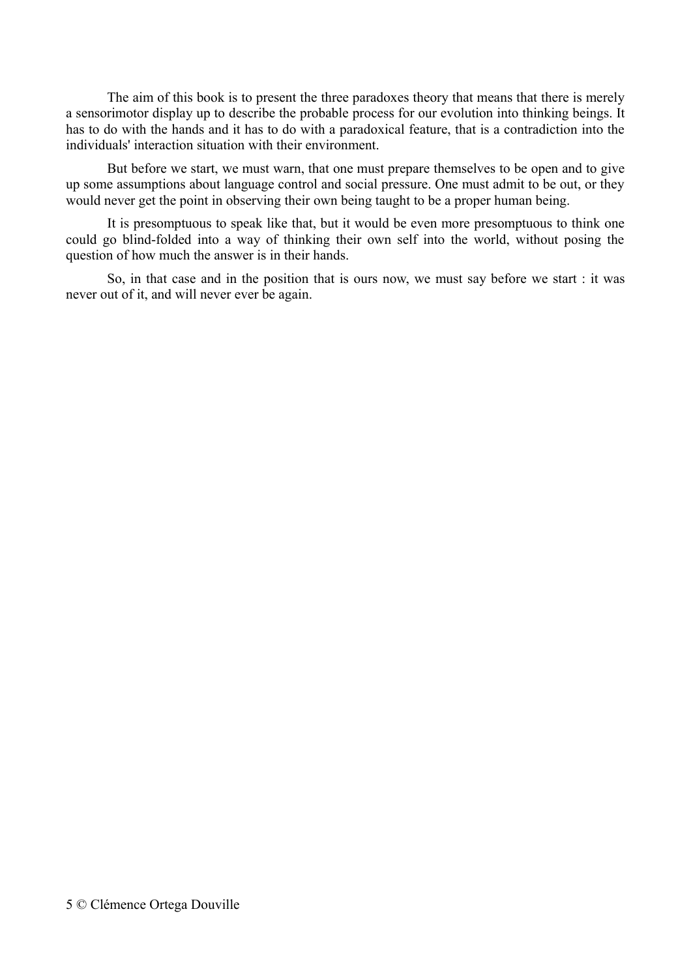The aim of this book is to present the three paradoxes theory that means that there is merely a sensorimotor display up to describe the probable process for our evolution into thinking beings. It has to do with the hands and it has to do with a paradoxical feature, that is a contradiction into the individuals' interaction situation with their environment.

But before we start, we must warn, that one must prepare themselves to be open and to give up some assumptions about language control and social pressure. One must admit to be out, or they would never get the point in observing their own being taught to be a proper human being.

It is presomptuous to speak like that, but it would be even more presomptuous to think one could go blind-folded into a way of thinking their own self into the world, without posing the question of how much the answer is in their hands.

So, in that case and in the position that is ours now, we must say before we start : it was never out of it, and will never ever be again.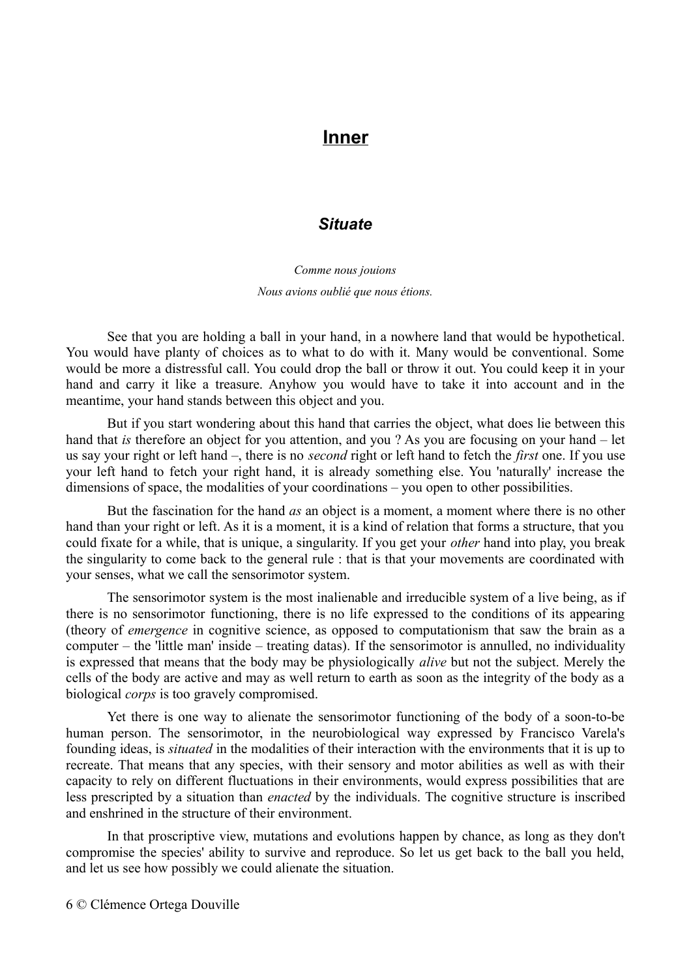# **Inner**

# *Situate*

*Comme nous jouions Nous avions oublié que nous étions.*

See that you are holding a ball in your hand, in a nowhere land that would be hypothetical. You would have planty of choices as to what to do with it. Many would be conventional. Some would be more a distressful call. You could drop the ball or throw it out. You could keep it in your hand and carry it like a treasure. Anyhow you would have to take it into account and in the meantime, your hand stands between this object and you.

But if you start wondering about this hand that carries the object, what does lie between this hand that *is* therefore an object for you attention, and you ? As you are focusing on your hand – let us say your right or left hand –, there is no *second* right or left hand to fetch the *first* one. If you use your left hand to fetch your right hand, it is already something else. You 'naturally' increase the dimensions of space, the modalities of your coordinations – you open to other possibilities.

But the fascination for the hand *as* an object is a moment, a moment where there is no other hand than your right or left. As it is a moment, it is a kind of relation that forms a structure, that you could fixate for a while, that is unique, a singularity. If you get your *other* hand into play, you break the singularity to come back to the general rule : that is that your movements are coordinated with your senses, what we call the sensorimotor system.

The sensorimotor system is the most inalienable and irreducible system of a live being, as if there is no sensorimotor functioning, there is no life expressed to the conditions of its appearing (theory of *emergence* in cognitive science, as opposed to computationism that saw the brain as a computer – the 'little man' inside – treating datas). If the sensorimotor is annulled, no individuality is expressed that means that the body may be physiologically *alive* but not the subject. Merely the cells of the body are active and may as well return to earth as soon as the integrity of the body as a biological *corps* is too gravely compromised.

Yet there is one way to alienate the sensorimotor functioning of the body of a soon-to-be human person. The sensorimotor, in the neurobiological way expressed by Francisco Varela's founding ideas, is *situated* in the modalities of their interaction with the environments that it is up to recreate. That means that any species, with their sensory and motor abilities as well as with their capacity to rely on different fluctuations in their environments, would express possibilities that are less prescripted by a situation than *enacted* by the individuals. The cognitive structure is inscribed and enshrined in the structure of their environment.

In that proscriptive view, mutations and evolutions happen by chance, as long as they don't compromise the species' ability to survive and reproduce. So let us get back to the ball you held, and let us see how possibly we could alienate the situation.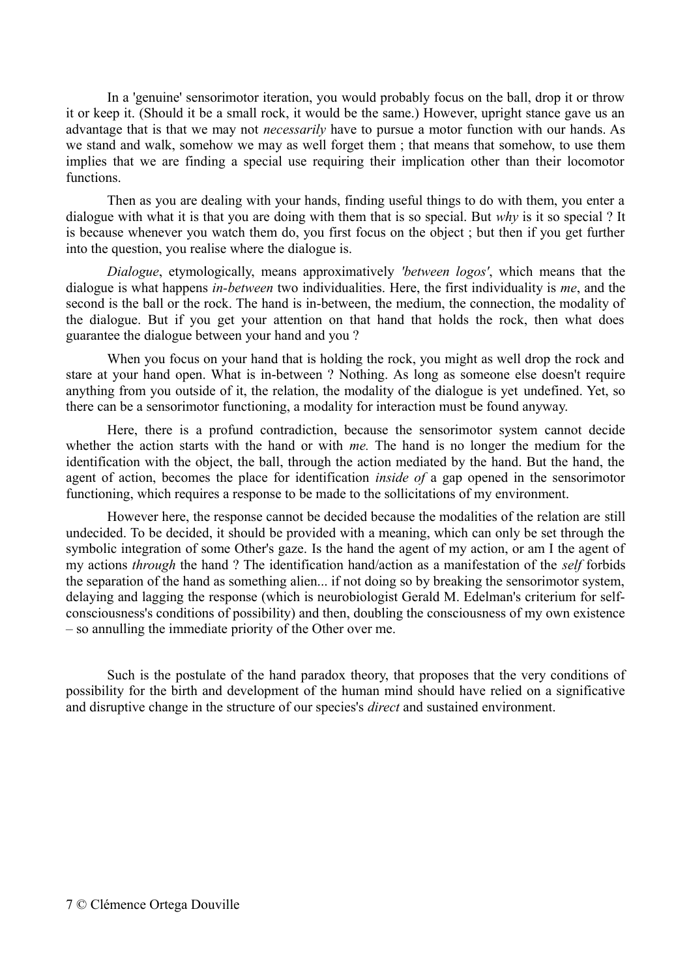In a 'genuine' sensorimotor iteration, you would probably focus on the ball, drop it or throw it or keep it. (Should it be a small rock, it would be the same.) However, upright stance gave us an advantage that is that we may not *necessarily* have to pursue a motor function with our hands. As we stand and walk, somehow we may as well forget them ; that means that somehow, to use them implies that we are finding a special use requiring their implication other than their locomotor functions.

Then as you are dealing with your hands, finding useful things to do with them, you enter a dialogue with what it is that you are doing with them that is so special. But *why* is it so special ? It is because whenever you watch them do, you first focus on the object ; but then if you get further into the question, you realise where the dialogue is.

*Dialogue*, etymologically, means approximatively *'between logos'*, which means that the dialogue is what happens *in-between* two individualities. Here, the first individuality is *me*, and the second is the ball or the rock. The hand is in-between, the medium, the connection, the modality of the dialogue. But if you get your attention on that hand that holds the rock, then what does guarantee the dialogue between your hand and you ?

When you focus on your hand that is holding the rock, you might as well drop the rock and stare at your hand open. What is in-between ? Nothing. As long as someone else doesn't require anything from you outside of it, the relation, the modality of the dialogue is yet undefined. Yet, so there can be a sensorimotor functioning, a modality for interaction must be found anyway.

Here, there is a profund contradiction, because the sensorimotor system cannot decide whether the action starts with the hand or with *me.* The hand is no longer the medium for the identification with the object, the ball, through the action mediated by the hand. But the hand, the agent of action, becomes the place for identification *inside of* a gap opened in the sensorimotor functioning, which requires a response to be made to the sollicitations of my environment.

However here, the response cannot be decided because the modalities of the relation are still undecided. To be decided, it should be provided with a meaning, which can only be set through the symbolic integration of some Other's gaze. Is the hand the agent of my action, or am I the agent of my actions *through* the hand ? The identification hand/action as a manifestation of the *self* forbids the separation of the hand as something alien... if not doing so by breaking the sensorimotor system, delaying and lagging the response (which is neurobiologist Gerald M. Edelman's criterium for selfconsciousness's conditions of possibility) and then, doubling the consciousness of my own existence – so annulling the immediate priority of the Other over me.

Such is the postulate of the hand paradox theory, that proposes that the very conditions of possibility for the birth and development of the human mind should have relied on a significative and disruptive change in the structure of our species's *direct* and sustained environment.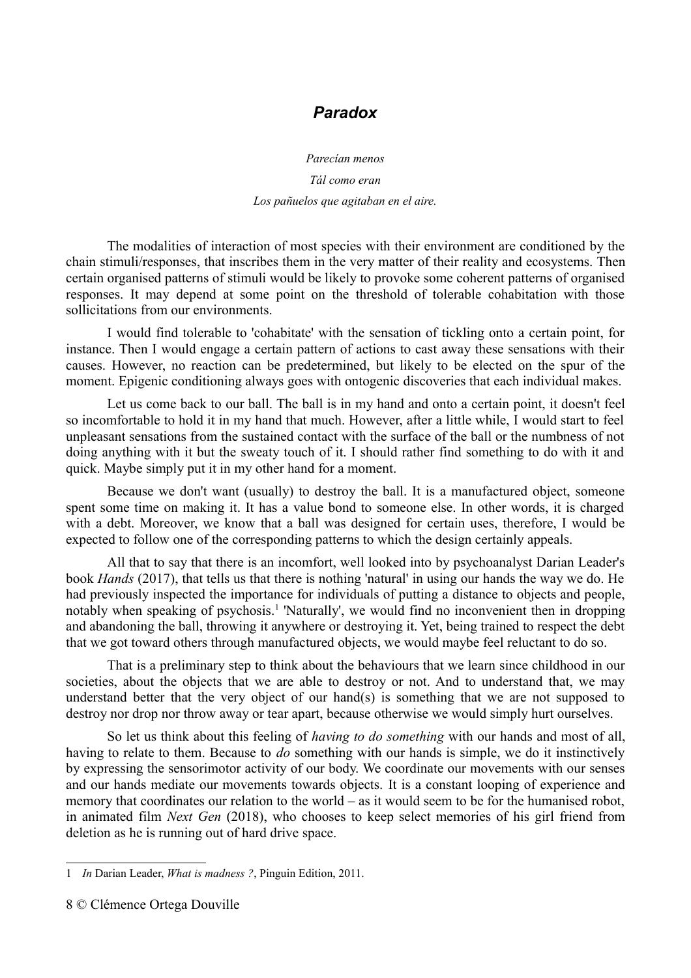# *Paradox*

*Parecían menos*

*Tál como eran Los pañuelos que agitaban en el aire.*

The modalities of interaction of most species with their environment are conditioned by the chain stimuli/responses, that inscribes them in the very matter of their reality and ecosystems. Then certain organised patterns of stimuli would be likely to provoke some coherent patterns of organised responses. It may depend at some point on the threshold of tolerable cohabitation with those sollicitations from our environments.

I would find tolerable to 'cohabitate' with the sensation of tickling onto a certain point, for instance. Then I would engage a certain pattern of actions to cast away these sensations with their causes. However, no reaction can be predetermined, but likely to be elected on the spur of the moment. Epigenic conditioning always goes with ontogenic discoveries that each individual makes.

Let us come back to our ball. The ball is in my hand and onto a certain point, it doesn't feel so incomfortable to hold it in my hand that much. However, after a little while, I would start to feel unpleasant sensations from the sustained contact with the surface of the ball or the numbness of not doing anything with it but the sweaty touch of it. I should rather find something to do with it and quick. Maybe simply put it in my other hand for a moment.

Because we don't want (usually) to destroy the ball. It is a manufactured object, someone spent some time on making it. It has a value bond to someone else. In other words, it is charged with a debt. Moreover, we know that a ball was designed for certain uses, therefore, I would be expected to follow one of the corresponding patterns to which the design certainly appeals.

All that to say that there is an incomfort, well looked into by psychoanalyst Darian Leader's book *Hands* (2017), that tells us that there is nothing 'natural' in using our hands the way we do. He had previously inspected the importance for individuals of putting a distance to objects and people, notably when speaking of psychosis.<sup>[1](#page-7-0)</sup> 'Naturally', we would find no inconvenient then in dropping and abandoning the ball, throwing it anywhere or destroying it. Yet, being trained to respect the debt that we got toward others through manufactured objects, we would maybe feel reluctant to do so.

That is a preliminary step to think about the behaviours that we learn since childhood in our societies, about the objects that we are able to destroy or not. And to understand that, we may understand better that the very object of our hand(s) is something that we are not supposed to destroy nor drop nor throw away or tear apart, because otherwise we would simply hurt ourselves.

So let us think about this feeling of *having to do something* with our hands and most of all, having to relate to them. Because to *do* something with our hands is simple, we do it instinctively by expressing the sensorimotor activity of our body. We coordinate our movements with our senses and our hands mediate our movements towards objects. It is a constant looping of experience and memory that coordinates our relation to the world – as it would seem to be for the humanised robot, in animated film *Next Gen* (2018), who chooses to keep select memories of his girl friend from deletion as he is running out of hard drive space.

<span id="page-7-0"></span><sup>1</sup> *In* Darian Leader, *What is madness ?*, Pinguin Edition, 2011.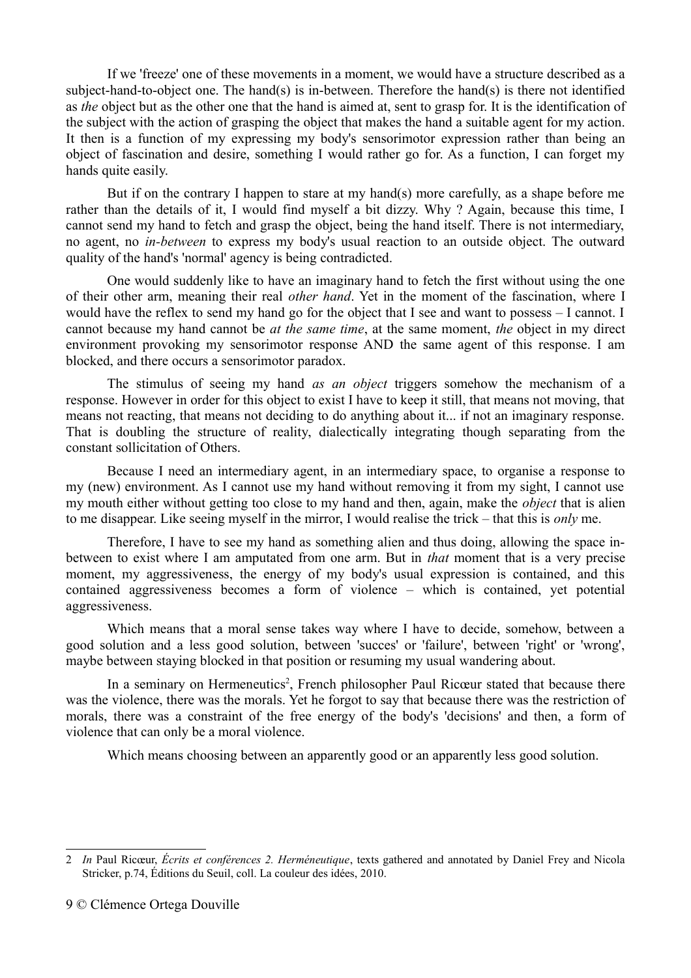If we 'freeze' one of these movements in a moment, we would have a structure described as a subject-hand-to-object one. The hand(s) is in-between. Therefore the hand(s) is there not identified as *the* object but as the other one that the hand is aimed at, sent to grasp for. It is the identification of the subject with the action of grasping the object that makes the hand a suitable agent for my action. It then is a function of my expressing my body's sensorimotor expression rather than being an object of fascination and desire, something I would rather go for. As a function, I can forget my hands quite easily.

But if on the contrary I happen to stare at my hand(s) more carefully, as a shape before me rather than the details of it, I would find myself a bit dizzy. Why ? Again, because this time, I cannot send my hand to fetch and grasp the object, being the hand itself. There is not intermediary, no agent, no *in-between* to express my body's usual reaction to an outside object. The outward quality of the hand's 'normal' agency is being contradicted.

One would suddenly like to have an imaginary hand to fetch the first without using the one of their other arm, meaning their real *other hand*. Yet in the moment of the fascination, where I would have the reflex to send my hand go for the object that I see and want to possess – I cannot. I cannot because my hand cannot be *at the same time*, at the same moment, *the* object in my direct environment provoking my sensorimotor response AND the same agent of this response. I am blocked, and there occurs a sensorimotor paradox.

The stimulus of seeing my hand *as an object* triggers somehow the mechanism of a response. However in order for this object to exist I have to keep it still, that means not moving, that means not reacting, that means not deciding to do anything about it... if not an imaginary response. That is doubling the structure of reality, dialectically integrating though separating from the constant sollicitation of Others.

Because I need an intermediary agent, in an intermediary space, to organise a response to my (new) environment. As I cannot use my hand without removing it from my sight, I cannot use my mouth either without getting too close to my hand and then, again, make the *object* that is alien to me disappear. Like seeing myself in the mirror, I would realise the trick – that this is *only* me.

Therefore, I have to see my hand as something alien and thus doing, allowing the space inbetween to exist where I am amputated from one arm. But in *that* moment that is a very precise moment, my aggressiveness, the energy of my body's usual expression is contained, and this contained aggressiveness becomes a form of violence – which is contained, yet potential aggressiveness.

Which means that a moral sense takes way where I have to decide, somehow, between a good solution and a less good solution, between 'succes' or 'failure', between 'right' or 'wrong', maybe between staying blocked in that position or resuming my usual wandering about.

In a seminary on Hermeneutics<sup>[2](#page-8-0)</sup>, French philosopher Paul Ricœur stated that because there was the violence, there was the morals. Yet he forgot to say that because there was the restriction of morals, there was a constraint of the free energy of the body's 'decisions' and then, a form of violence that can only be a moral violence.

Which means choosing between an apparently good or an apparently less good solution.

<span id="page-8-0"></span><sup>2</sup> *In* Paul Ricœur, *Écrits et conférences 2. Herméneutique*, texts gathered and annotated by Daniel Frey and Nicola Stricker, p.74, Éditions du Seuil, coll. La couleur des idées, 2010.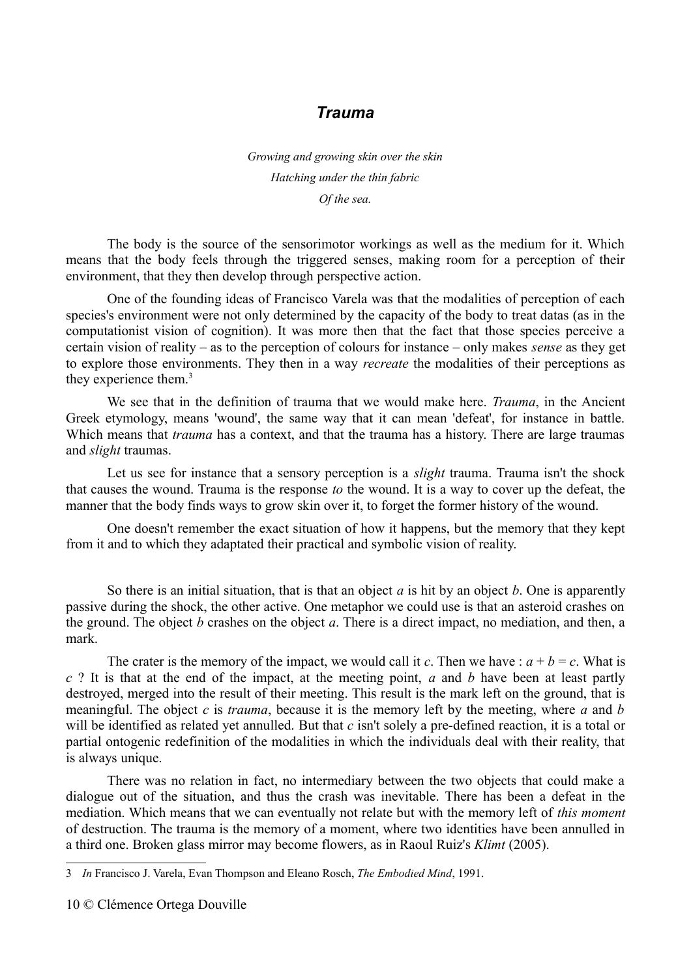# *Trauma*

*Growing and growing skin over the skin Hatching under the thin fabric Of the sea.*

The body is the source of the sensorimotor workings as well as the medium for it. Which means that the body feels through the triggered senses, making room for a perception of their environment, that they then develop through perspective action.

One of the founding ideas of Francisco Varela was that the modalities of perception of each species's environment were not only determined by the capacity of the body to treat datas (as in the computationist vision of cognition). It was more then that the fact that those species perceive a certain vision of reality – as to the perception of colours for instance – only makes *sense* as they get to explore those environments. They then in a way *recreate* the modalities of their perceptions as they experience them.<sup>[3](#page-9-0)</sup>

We see that in the definition of trauma that we would make here. *Trauma*, in the Ancient Greek etymology, means 'wound', the same way that it can mean 'defeat', for instance in battle. Which means that *trauma* has a context, and that the trauma has a history. There are large traumas and *slight* traumas.

Let us see for instance that a sensory perception is a *slight* trauma. Trauma isn't the shock that causes the wound. Trauma is the response *to* the wound. It is a way to cover up the defeat, the manner that the body finds ways to grow skin over it, to forget the former history of the wound.

One doesn't remember the exact situation of how it happens, but the memory that they kept from it and to which they adaptated their practical and symbolic vision of reality.

So there is an initial situation, that is that an object *a* is hit by an object *b*. One is apparently passive during the shock, the other active. One metaphor we could use is that an asteroid crashes on the ground. The object *b* crashes on the object *a*. There is a direct impact, no mediation, and then, a mark.

The crater is the memory of the impact, we would call it *c*. Then we have :  $a + b = c$ . What is *c* ? It is that at the end of the impact, at the meeting point, *a* and *b* have been at least partly destroyed, merged into the result of their meeting. This result is the mark left on the ground, that is meaningful. The object *c* is *trauma*, because it is the memory left by the meeting, where *a* and *b* will be identified as related yet annulled. But that *c* isn't solely a pre-defined reaction, it is a total or partial ontogenic redefinition of the modalities in which the individuals deal with their reality, that is always unique.

There was no relation in fact, no intermediary between the two objects that could make a dialogue out of the situation, and thus the crash was inevitable. There has been a defeat in the mediation. Which means that we can eventually not relate but with the memory left of *this moment* of destruction. The trauma is the memory of a moment, where two identities have been annulled in a third one. Broken glass mirror may become flowers, as in Raoul Ruiz's *Klimt* (2005).

<span id="page-9-0"></span><sup>3</sup> *In* Francisco J. Varela, Evan Thompson and Eleano Rosch, *The Embodied Mind*, 1991.

<sup>10</sup> © Clémence Ortega Douville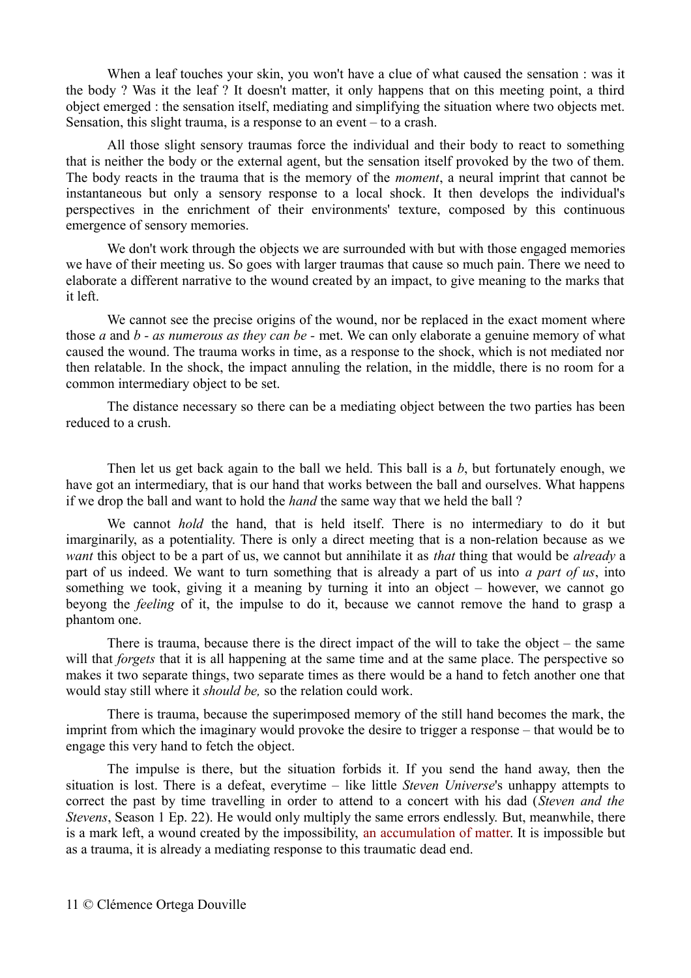When a leaf touches your skin, you won't have a clue of what caused the sensation : was it the body ? Was it the leaf ? It doesn't matter, it only happens that on this meeting point, a third object emerged : the sensation itself, mediating and simplifying the situation where two objects met. Sensation, this slight trauma, is a response to an event – to a crash.

All those slight sensory traumas force the individual and their body to react to something that is neither the body or the external agent, but the sensation itself provoked by the two of them. The body reacts in the trauma that is the memory of the *moment*, a neural imprint that cannot be instantaneous but only a sensory response to a local shock. It then develops the individual's perspectives in the enrichment of their environments' texture, composed by this continuous emergence of sensory memories.

We don't work through the objects we are surrounded with but with those engaged memories we have of their meeting us. So goes with larger traumas that cause so much pain. There we need to elaborate a different narrative to the wound created by an impact, to give meaning to the marks that it left.

We cannot see the precise origins of the wound, nor be replaced in the exact moment where those *a* and *b - as numerous as they can be -* met. We can only elaborate a genuine memory of what caused the wound. The trauma works in time, as a response to the shock, which is not mediated nor then relatable. In the shock, the impact annuling the relation, in the middle, there is no room for a common intermediary object to be set.

The distance necessary so there can be a mediating object between the two parties has been reduced to a crush.

Then let us get back again to the ball we held. This ball is a *b*, but fortunately enough, we have got an intermediary, that is our hand that works between the ball and ourselves. What happens if we drop the ball and want to hold the *hand* the same way that we held the ball ?

We cannot *hold* the hand, that is held itself. There is no intermediary to do it but imarginarily, as a potentiality. There is only a direct meeting that is a non-relation because as we *want* this object to be a part of us, we cannot but annihilate it as *that* thing that would be *already* a part of us indeed. We want to turn something that is already a part of us into *a part of us*, into something we took, giving it a meaning by turning it into an object – however, we cannot go beyong the *feeling* of it, the impulse to do it, because we cannot remove the hand to grasp a phantom one.

There is trauma, because there is the direct impact of the will to take the object – the same will that *forgets* that it is all happening at the same time and at the same place. The perspective so makes it two separate things, two separate times as there would be a hand to fetch another one that would stay still where it *should be,* so the relation could work.

There is trauma, because the superimposed memory of the still hand becomes the mark, the imprint from which the imaginary would provoke the desire to trigger a response – that would be to engage this very hand to fetch the object.

The impulse is there, but the situation forbids it. If you send the hand away, then the situation is lost. There is a defeat, everytime – like little *Steven Universe*'s unhappy attempts to correct the past by time travelling in order to attend to a concert with his dad (*Steven and the Stevens*, Season 1 Ep. 22). He would only multiply the same errors endlessly. But, meanwhile, there is a mark left, a wound created by the impossibility, an accumulation of matter. It is impossible but as a trauma, it is already a mediating response to this traumatic dead end.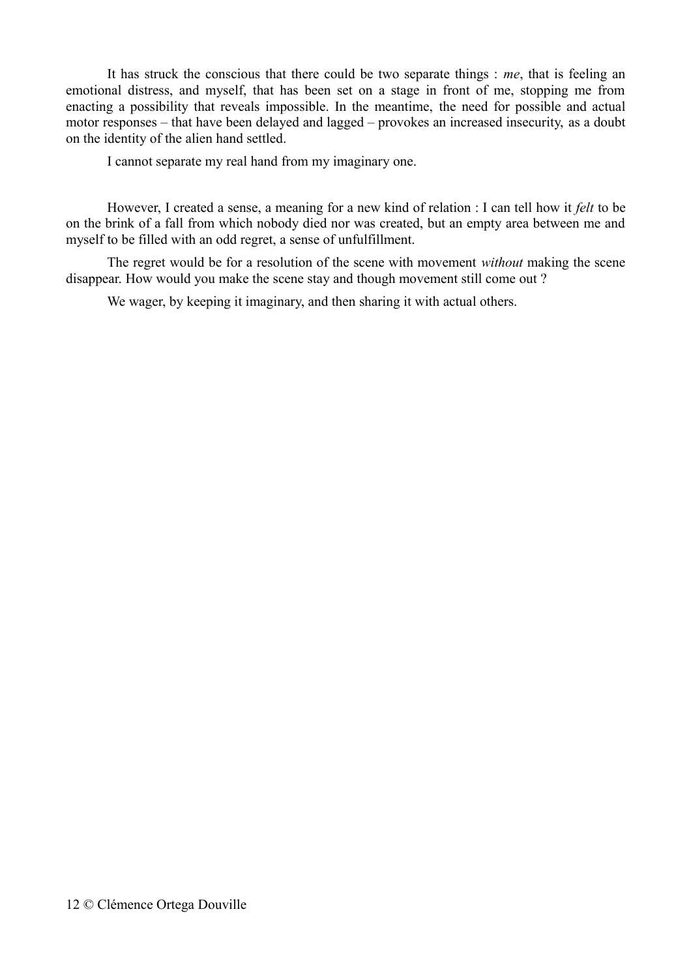It has struck the conscious that there could be two separate things : *me*, that is feeling an emotional distress, and myself, that has been set on a stage in front of me, stopping me from enacting a possibility that reveals impossible. In the meantime, the need for possible and actual motor responses – that have been delayed and lagged – provokes an increased insecurity, as a doubt on the identity of the alien hand settled.

I cannot separate my real hand from my imaginary one.

However, I created a sense, a meaning for a new kind of relation : I can tell how it *felt* to be on the brink of a fall from which nobody died nor was created, but an empty area between me and myself to be filled with an odd regret, a sense of unfulfillment.

The regret would be for a resolution of the scene with movement *without* making the scene disappear. How would you make the scene stay and though movement still come out ?

We wager, by keeping it imaginary, and then sharing it with actual others.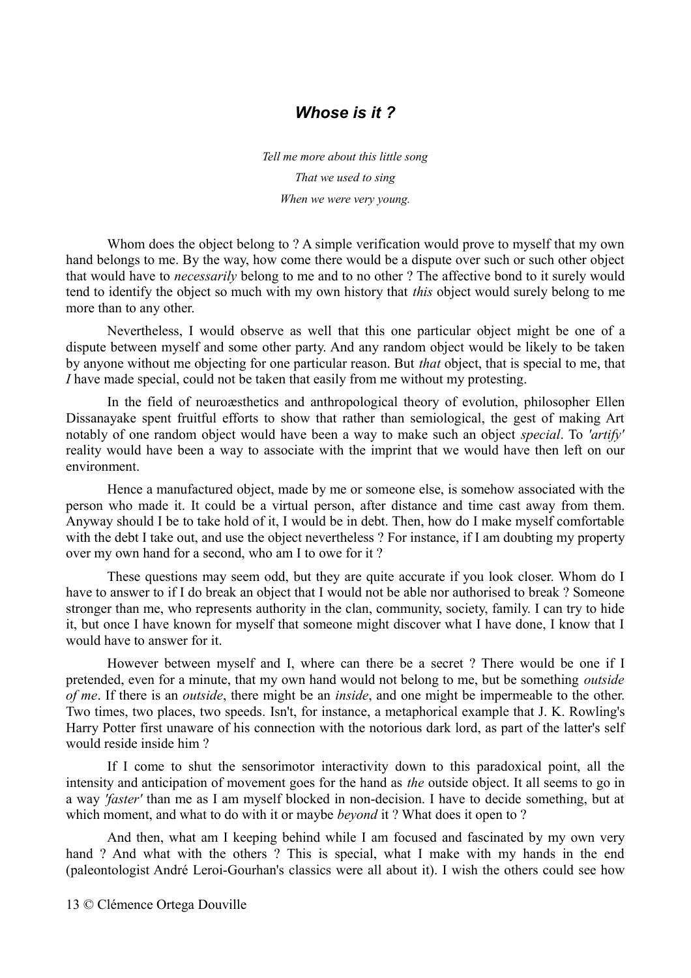# *Whose is it ?*

*Tell me more about this little song That we used to sing When we were very young.*

Whom does the object belong to ? A simple verification would prove to myself that my own hand belongs to me. By the way, how come there would be a dispute over such or such other object that would have to *necessarily* belong to me and to no other ? The affective bond to it surely would tend to identify the object so much with my own history that *this* object would surely belong to me more than to any other.

Nevertheless, I would observe as well that this one particular object might be one of a dispute between myself and some other party. And any random object would be likely to be taken by anyone without me objecting for one particular reason. But *that* object, that is special to me, that *I* have made special, could not be taken that easily from me without my protesting.

In the field of neuroæsthetics and anthropological theory of evolution, philosopher Ellen Dissanayake spent fruitful efforts to show that rather than semiological, the gest of making Art notably of one random object would have been a way to make such an object *special*. To *'artify'* reality would have been a way to associate with the imprint that we would have then left on our environment.

Hence a manufactured object, made by me or someone else, is somehow associated with the person who made it. It could be a virtual person, after distance and time cast away from them. Anyway should I be to take hold of it, I would be in debt. Then, how do I make myself comfortable with the debt I take out, and use the object nevertheless ? For instance, if I am doubting my property over my own hand for a second, who am I to owe for it ?

These questions may seem odd, but they are quite accurate if you look closer. Whom do I have to answer to if I do break an object that I would not be able nor authorised to break ? Someone stronger than me, who represents authority in the clan, community, society, family. I can try to hide it, but once I have known for myself that someone might discover what I have done, I know that I would have to answer for it.

However between myself and I, where can there be a secret ? There would be one if I pretended, even for a minute, that my own hand would not belong to me, but be something *outside of me*. If there is an *outside*, there might be an *inside*, and one might be impermeable to the other. Two times, two places, two speeds. Isn't, for instance, a metaphorical example that J. K. Rowling's Harry Potter first unaware of his connection with the notorious dark lord, as part of the latter's self would reside inside him ?

If I come to shut the sensorimotor interactivity down to this paradoxical point, all the intensity and anticipation of movement goes for the hand as *the* outside object. It all seems to go in a way *'faster'* than me as I am myself blocked in non-decision. I have to decide something, but at which moment, and what to do with it or maybe *beyond* it ? What does it open to ?

And then, what am I keeping behind while I am focused and fascinated by my own very hand ? And what with the others ? This is special, what I make with my hands in the end (paleontologist André Leroi-Gourhan's classics were all about it). I wish the others could see how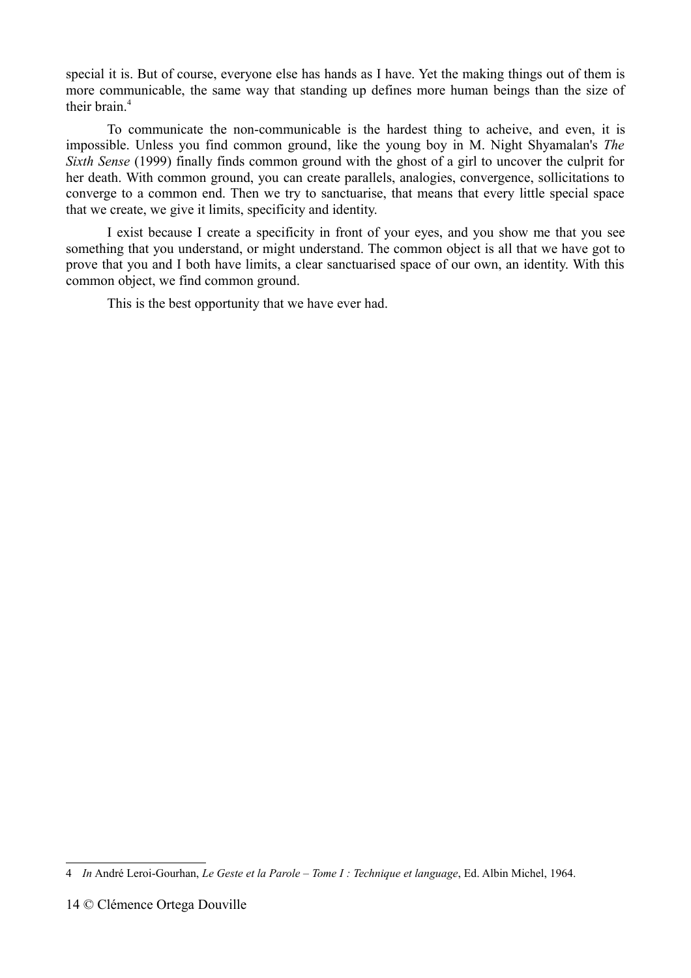special it is. But of course, everyone else has hands as I have. Yet the making things out of them is more communicable, the same way that standing up defines more human beings than the size of their brain.[4](#page-13-0)

To communicate the non-communicable is the hardest thing to acheive, and even, it is impossible. Unless you find common ground, like the young boy in M. Night Shyamalan's *The Sixth Sense* (1999) finally finds common ground with the ghost of a girl to uncover the culprit for her death. With common ground, you can create parallels, analogies, convergence, sollicitations to converge to a common end. Then we try to sanctuarise, that means that every little special space that we create, we give it limits, specificity and identity.

I exist because I create a specificity in front of your eyes, and you show me that you see something that you understand, or might understand. The common object is all that we have got to prove that you and I both have limits, a clear sanctuarised space of our own, an identity. With this common object, we find common ground.

This is the best opportunity that we have ever had.

<span id="page-13-0"></span><sup>4</sup> *In* André Leroi-Gourhan, *Le Geste et la Parole – Tome I : Technique et language*, Ed. Albin Michel, 1964.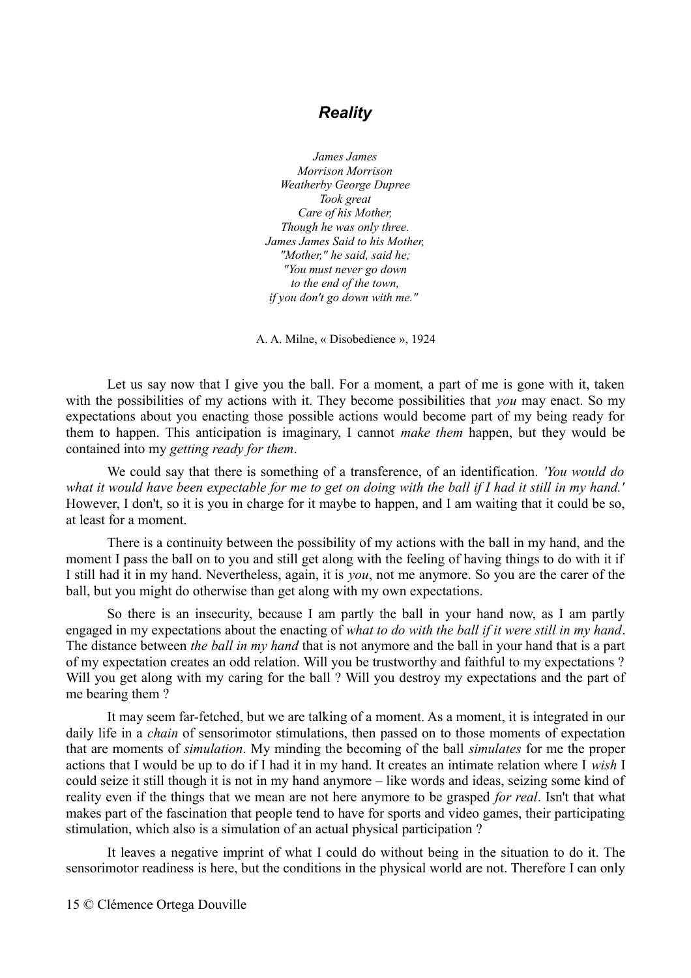# *Reality*

*James James Morrison Morrison Weatherby George Dupree Took great Care of his Mother, Though he was only three. James James Said to his Mother, "Mother," he said, said he; "You must never go down to the end of the town, if you don't go down with me."* 

A. A. Milne, « Disobedience », 1924

Let us say now that I give you the ball. For a moment, a part of me is gone with it, taken with the possibilities of my actions with it. They become possibilities that *you* may enact. So my expectations about you enacting those possible actions would become part of my being ready for them to happen. This anticipation is imaginary, I cannot *make them* happen, but they would be contained into my *getting ready for them*.

We could say that there is something of a transference, of an identification. *'You would do what it would have been expectable for me to get on doing with the ball if I had it still in my hand.'* However, I don't, so it is you in charge for it maybe to happen, and I am waiting that it could be so, at least for a moment.

There is a continuity between the possibility of my actions with the ball in my hand, and the moment I pass the ball on to you and still get along with the feeling of having things to do with it if I still had it in my hand. Nevertheless, again, it is *you*, not me anymore. So you are the carer of the ball, but you might do otherwise than get along with my own expectations.

So there is an insecurity, because I am partly the ball in your hand now, as I am partly engaged in my expectations about the enacting of *what to do with the ball if it were still in my hand*. The distance between *the ball in my hand* that is not anymore and the ball in your hand that is a part of my expectation creates an odd relation. Will you be trustworthy and faithful to my expectations ? Will you get along with my caring for the ball ? Will you destroy my expectations and the part of me bearing them ?

It may seem far-fetched, but we are talking of a moment. As a moment, it is integrated in our daily life in a *chain* of sensorimotor stimulations, then passed on to those moments of expectation that are moments of *simulation*. My minding the becoming of the ball *simulates* for me the proper actions that I would be up to do if I had it in my hand. It creates an intimate relation where I *wish* I could seize it still though it is not in my hand anymore – like words and ideas, seizing some kind of reality even if the things that we mean are not here anymore to be grasped *for real*. Isn't that what makes part of the fascination that people tend to have for sports and video games, their participating stimulation, which also is a simulation of an actual physical participation ?

It leaves a negative imprint of what I could do without being in the situation to do it. The sensorimotor readiness is here, but the conditions in the physical world are not. Therefore I can only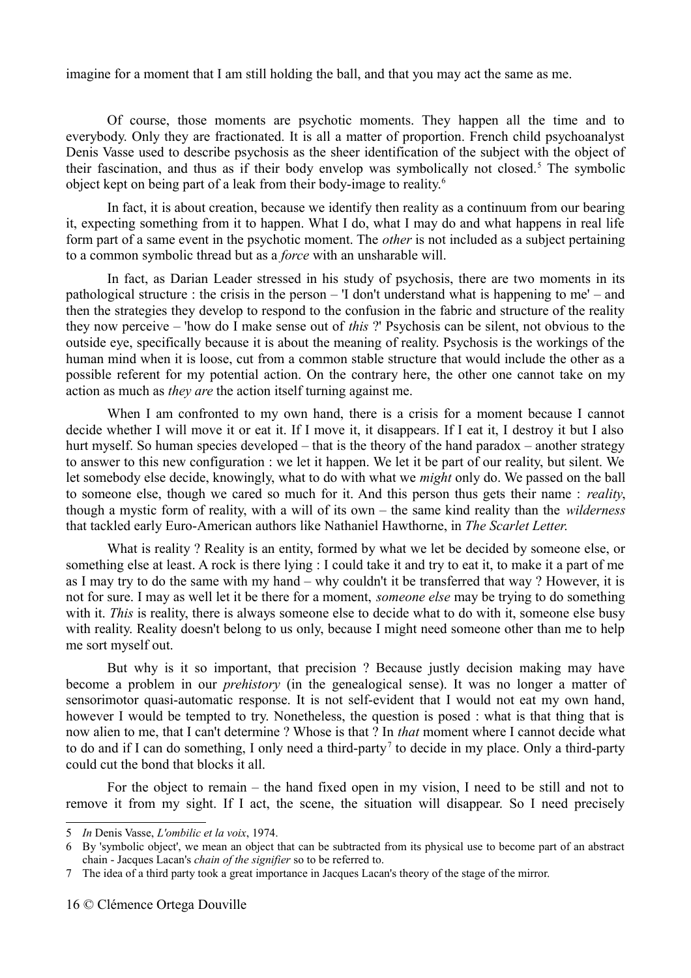imagine for a moment that I am still holding the ball, and that you may act the same as me.

Of course, those moments are psychotic moments. They happen all the time and to everybody. Only they are fractionated. It is all a matter of proportion. French child psychoanalyst Denis Vasse used to describe psychosis as the sheer identification of the subject with the object of their fascination, and thus as if their body envelop was symbolically not closed.<sup>[5](#page-15-0)</sup> The symbolic object kept on being part of a leak from their body-image to reality.[6](#page-15-1)

In fact, it is about creation, because we identify then reality as a continuum from our bearing it, expecting something from it to happen. What I do, what I may do and what happens in real life form part of a same event in the psychotic moment. The *other* is not included as a subject pertaining to a common symbolic thread but as a *force* with an unsharable will.

In fact, as Darian Leader stressed in his study of psychosis, there are two moments in its pathological structure : the crisis in the person – 'I don't understand what is happening to me' – and then the strategies they develop to respond to the confusion in the fabric and structure of the reality they now perceive – 'how do I make sense out of *this* ?' Psychosis can be silent, not obvious to the outside eye, specifically because it is about the meaning of reality. Psychosis is the workings of the human mind when it is loose, cut from a common stable structure that would include the other as a possible referent for my potential action. On the contrary here, the other one cannot take on my action as much as *they are* the action itself turning against me.

When I am confronted to my own hand, there is a crisis for a moment because I cannot decide whether I will move it or eat it. If I move it, it disappears. If I eat it, I destroy it but I also hurt myself. So human species developed – that is the theory of the hand paradox – another strategy to answer to this new configuration : we let it happen. We let it be part of our reality, but silent. We let somebody else decide, knowingly, what to do with what we *might* only do. We passed on the ball to someone else, though we cared so much for it. And this person thus gets their name : *reality*, though a mystic form of reality, with a will of its own – the same kind reality than the *wilderness* that tackled early Euro-American authors like Nathaniel Hawthorne, in *The Scarlet Letter*.

What is reality ? Reality is an entity, formed by what we let be decided by someone else, or something else at least. A rock is there lying : I could take it and try to eat it, to make it a part of me as I may try to do the same with my hand – why couldn't it be transferred that way ? However, it is not for sure. I may as well let it be there for a moment, *someone else* may be trying to do something with it. *This* is reality, there is always someone else to decide what to do with it, someone else busy with reality. Reality doesn't belong to us only, because I might need someone other than me to help me sort myself out.

But why is it so important, that precision ? Because justly decision making may have become a problem in our *prehistory* (in the genealogical sense). It was no longer a matter of sensorimotor quasi-automatic response. It is not self-evident that I would not eat my own hand, however I would be tempted to try. Nonetheless, the question is posed : what is that thing that is now alien to me, that I can't determine ? Whose is that ? In *that* moment where I cannot decide what to do and if I can do something, I only need a third-party<sup>[7](#page-15-2)</sup> to decide in my place. Only a third-party could cut the bond that blocks it all.

For the object to remain – the hand fixed open in my vision, I need to be still and not to remove it from my sight. If I act, the scene, the situation will disappear. So I need precisely

<span id="page-15-0"></span><sup>5</sup> *In* Denis Vasse, *L'ombilic et la voix*, 1974.

<span id="page-15-1"></span><sup>6</sup> By 'symbolic object', we mean an object that can be subtracted from its physical use to become part of an abstract chain - Jacques Lacan's *chain of the signifier* so to be referred to.

<span id="page-15-2"></span><sup>7</sup> The idea of a third party took a great importance in Jacques Lacan's theory of the stage of the mirror.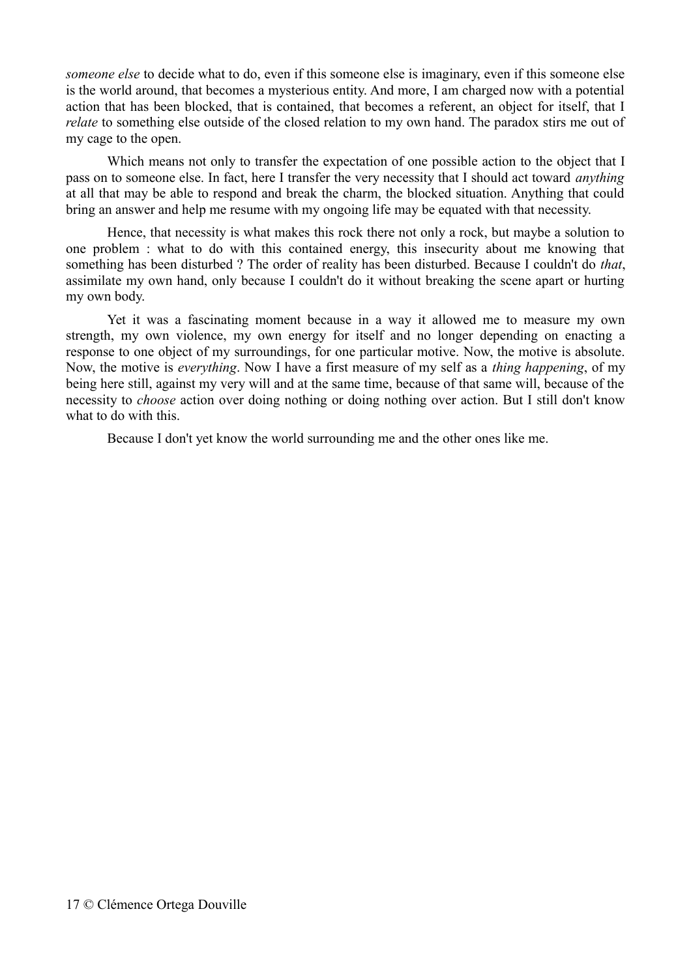*someone else* to decide what to do, even if this someone else is imaginary, even if this someone else is the world around, that becomes a mysterious entity. And more, I am charged now with a potential action that has been blocked, that is contained, that becomes a referent, an object for itself, that I *relate* to something else outside of the closed relation to my own hand. The paradox stirs me out of my cage to the open.

Which means not only to transfer the expectation of one possible action to the object that I pass on to someone else. In fact, here I transfer the very necessity that I should act toward *anything* at all that may be able to respond and break the charm, the blocked situation. Anything that could bring an answer and help me resume with my ongoing life may be equated with that necessity.

Hence, that necessity is what makes this rock there not only a rock, but maybe a solution to one problem : what to do with this contained energy, this insecurity about me knowing that something has been disturbed ? The order of reality has been disturbed. Because I couldn't do *that*, assimilate my own hand, only because I couldn't do it without breaking the scene apart or hurting my own body.

Yet it was a fascinating moment because in a way it allowed me to measure my own strength, my own violence, my own energy for itself and no longer depending on enacting a response to one object of my surroundings, for one particular motive. Now, the motive is absolute. Now, the motive is *everything*. Now I have a first measure of my self as a *thing happening*, of my being here still, against my very will and at the same time, because of that same will, because of the necessity to *choose* action over doing nothing or doing nothing over action. But I still don't know what to do with this.

Because I don't yet know the world surrounding me and the other ones like me.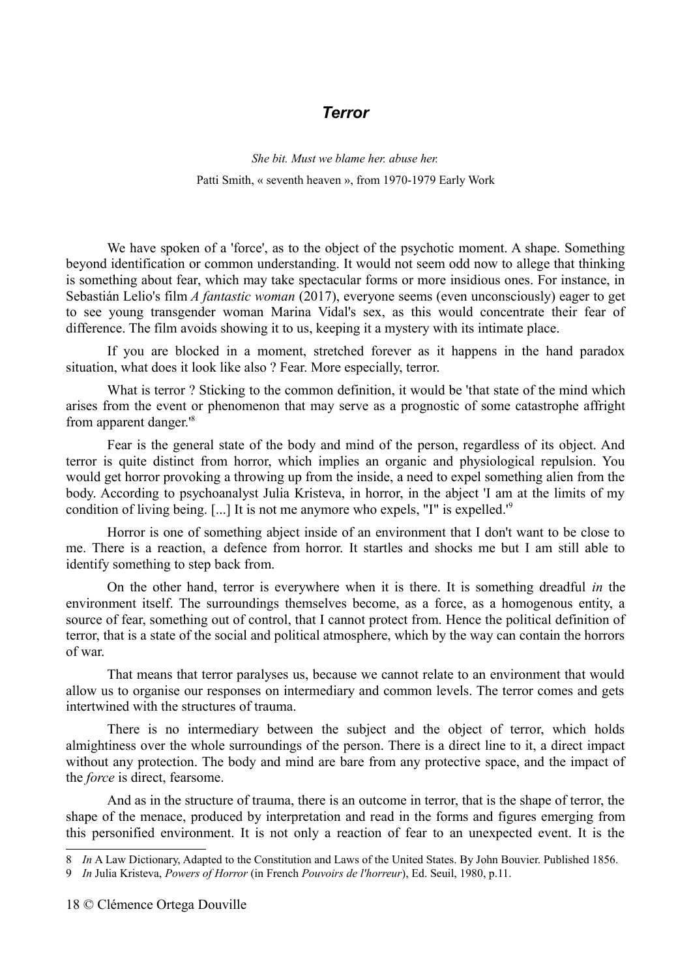#### *Terror*

*She bit. Must we blame her. abuse her.* Patti Smith, « seventh heaven », from 1970-1979 Early Work

We have spoken of a 'force', as to the object of the psychotic moment. A shape. Something beyond identification or common understanding. It would not seem odd now to allege that thinking is something about fear, which may take spectacular forms or more insidious ones. For instance, in Sebastián Lelio's film *A fantastic woman* (2017), everyone seems (even unconsciously) eager to get to see young transgender woman Marina Vidal's sex, as this would concentrate their fear of difference. The film avoids showing it to us, keeping it a mystery with its intimate place.

If you are blocked in a moment, stretched forever as it happens in the hand paradox situation, what does it look like also ? Fear. More especially, terror.

What is terror ? Sticking to the common definition, it would be 'that state of the mind which arises from the event or phenomenon that may serve as a prognostic of some catastrophe affright from apparent danger.'[8](#page-17-0)

Fear is the general state of the body and mind of the person, regardless of its object. And terror is quite distinct from horror, which implies an organic and physiological repulsion. You would get horror provoking a throwing up from the inside, a need to expel something alien from the body. According to psychoanalyst Julia Kristeva, in horror, in the abject 'I am at the limits of my condition of living being. [...] It is not me anymore who expels, "I" is expelled.'[9](#page-17-1)

Horror is one of something abject inside of an environment that I don't want to be close to me. There is a reaction, a defence from horror. It startles and shocks me but I am still able to identify something to step back from.

On the other hand, terror is everywhere when it is there. It is something dreadful *in* the environment itself. The surroundings themselves become, as a force, as a homogenous entity, a source of fear, something out of control, that I cannot protect from. Hence the political definition of terror, that is a state of the social and political atmosphere, which by the way can contain the horrors of war.

That means that terror paralyses us, because we cannot relate to an environment that would allow us to organise our responses on intermediary and common levels. The terror comes and gets intertwined with the structures of trauma.

There is no intermediary between the subject and the object of terror, which holds almightiness over the whole surroundings of the person. There is a direct line to it, a direct impact without any protection. The body and mind are bare from any protective space, and the impact of the *force* is direct, fearsome.

And as in the structure of trauma, there is an outcome in terror, that is the shape of terror, the shape of the menace, produced by interpretation and read in the forms and figures emerging from this personified environment. It is not only a reaction of fear to an unexpected event. It is the

<span id="page-17-0"></span><sup>8</sup> *In* A Law Dictionary, Adapted to the Constitution and Laws of the United States. By John Bouvier. Published 1856.

<span id="page-17-1"></span><sup>9</sup> *In* Julia Kristeva, *Powers of Horror* (in French *Pouvoirs de l'horreur*), Ed. Seuil, 1980, p.11.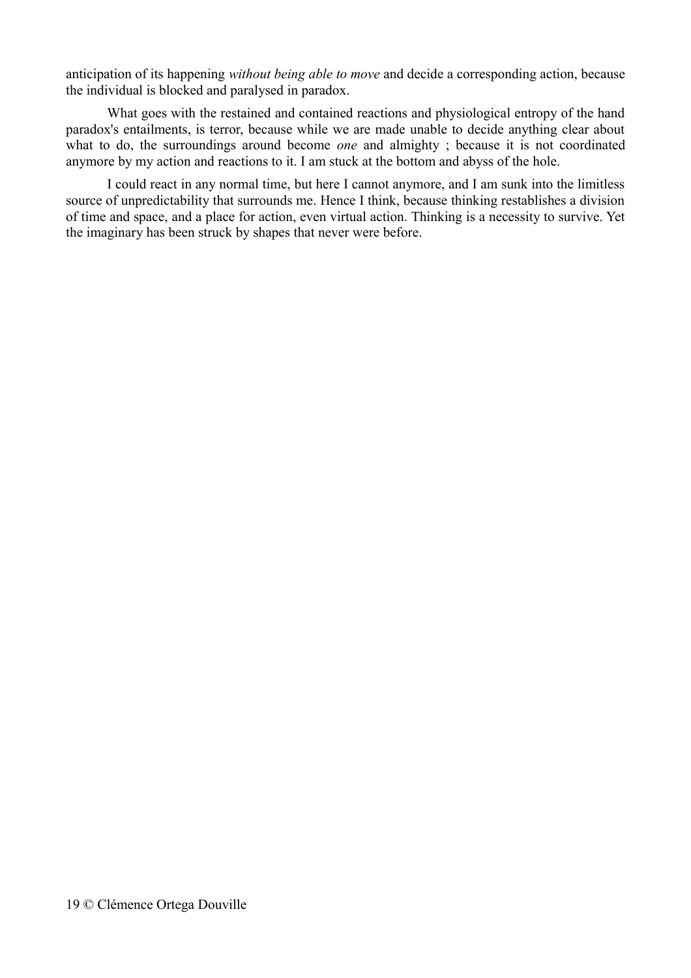anticipation of its happening *without being able to move* and decide a corresponding action, because the individual is blocked and paralysed in paradox.

What goes with the restained and contained reactions and physiological entropy of the hand paradox's entailments, is terror, because while we are made unable to decide anything clear about what to do, the surroundings around become *one* and almighty ; because it is not coordinated anymore by my action and reactions to it. I am stuck at the bottom and abyss of the hole.

I could react in any normal time, but here I cannot anymore, and I am sunk into the limitless source of unpredictability that surrounds me. Hence I think, because thinking restablishes a division of time and space, and a place for action, even virtual action. Thinking is a necessity to survive. Yet the imaginary has been struck by shapes that never were before.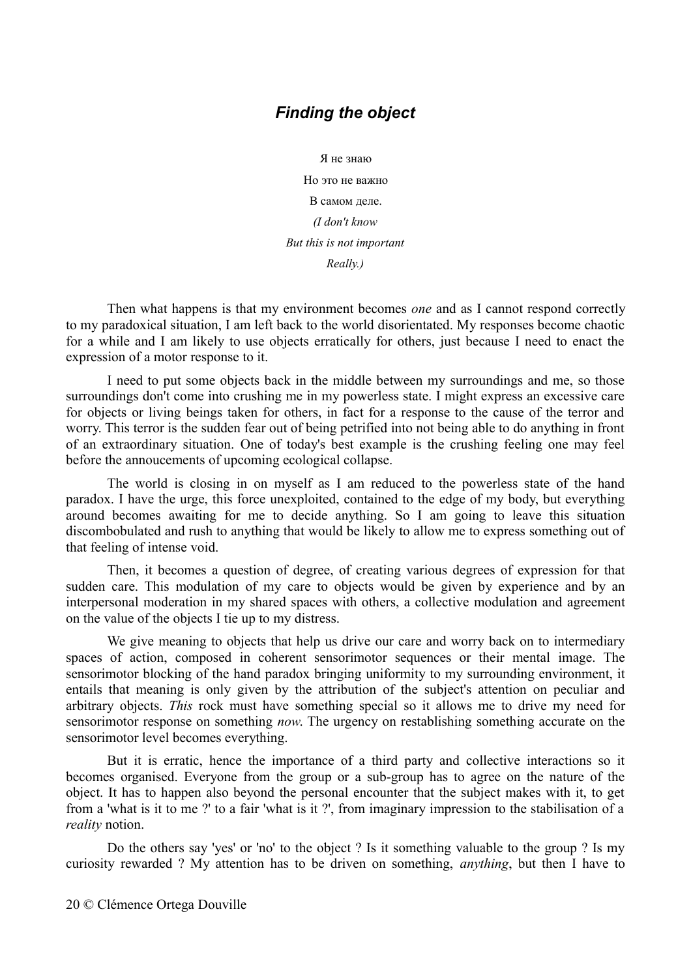# *Finding the object*

Я не знаю Но это не важно В самом деле. *(I don't know But this is not important Really.)*

Then what happens is that my environment becomes *one* and as I cannot respond correctly to my paradoxical situation, I am left back to the world disorientated. My responses become chaotic for a while and I am likely to use objects erratically for others, just because I need to enact the expression of a motor response to it.

I need to put some objects back in the middle between my surroundings and me, so those surroundings don't come into crushing me in my powerless state. I might express an excessive care for objects or living beings taken for others, in fact for a response to the cause of the terror and worry. This terror is the sudden fear out of being petrified into not being able to do anything in front of an extraordinary situation. One of today's best example is the crushing feeling one may feel before the annoucements of upcoming ecological collapse.

The world is closing in on myself as I am reduced to the powerless state of the hand paradox. I have the urge, this force unexploited, contained to the edge of my body, but everything around becomes awaiting for me to decide anything. So I am going to leave this situation discombobulated and rush to anything that would be likely to allow me to express something out of that feeling of intense void.

Then, it becomes a question of degree, of creating various degrees of expression for that sudden care. This modulation of my care to objects would be given by experience and by an interpersonal moderation in my shared spaces with others, a collective modulation and agreement on the value of the objects I tie up to my distress.

We give meaning to objects that help us drive our care and worry back on to intermediary spaces of action, composed in coherent sensorimotor sequences or their mental image. The sensorimotor blocking of the hand paradox bringing uniformity to my surrounding environment, it entails that meaning is only given by the attribution of the subject's attention on peculiar and arbitrary objects. *This* rock must have something special so it allows me to drive my need for sensorimotor response on something *now*. The urgency on restablishing something accurate on the sensorimotor level becomes everything.

But it is erratic, hence the importance of a third party and collective interactions so it becomes organised. Everyone from the group or a sub-group has to agree on the nature of the object. It has to happen also beyond the personal encounter that the subject makes with it, to get from a 'what is it to me ?' to a fair 'what is it ?', from imaginary impression to the stabilisation of a *reality* notion.

Do the others say 'yes' or 'no' to the object ? Is it something valuable to the group ? Is my curiosity rewarded ? My attention has to be driven on something, *anything*, but then I have to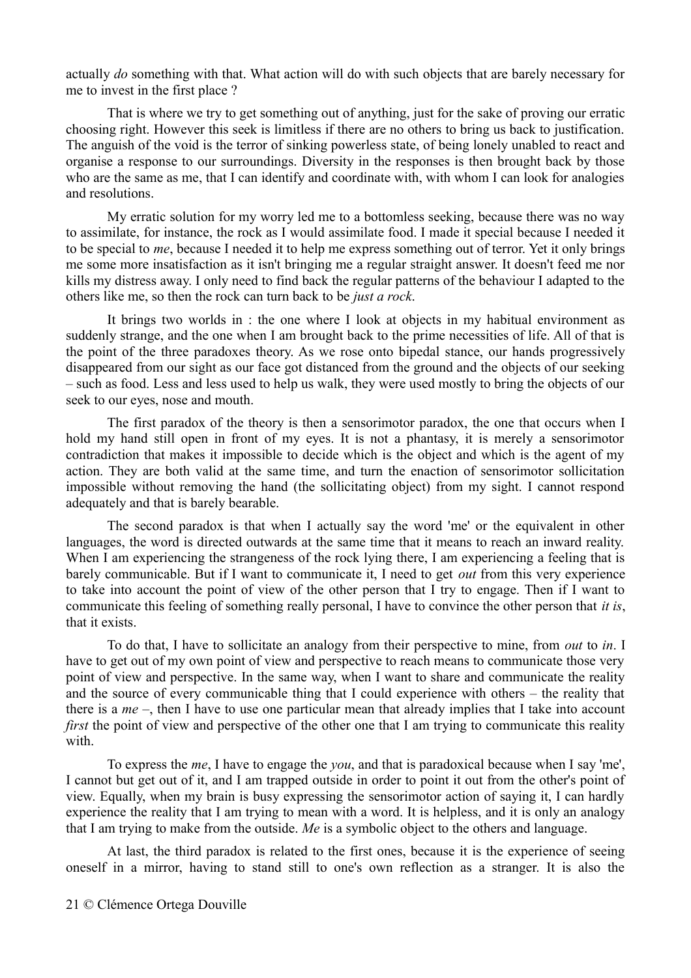actually *do* something with that. What action will do with such objects that are barely necessary for me to invest in the first place ?

That is where we try to get something out of anything, just for the sake of proving our erratic choosing right. However this seek is limitless if there are no others to bring us back to justification. The anguish of the void is the terror of sinking powerless state, of being lonely unabled to react and organise a response to our surroundings. Diversity in the responses is then brought back by those who are the same as me, that I can identify and coordinate with, with whom I can look for analogies and resolutions.

My erratic solution for my worry led me to a bottomless seeking, because there was no way to assimilate, for instance, the rock as I would assimilate food. I made it special because I needed it to be special to *me*, because I needed it to help me express something out of terror. Yet it only brings me some more insatisfaction as it isn't bringing me a regular straight answer. It doesn't feed me nor kills my distress away. I only need to find back the regular patterns of the behaviour I adapted to the others like me, so then the rock can turn back to be *just a rock*.

It brings two worlds in : the one where I look at objects in my habitual environment as suddenly strange, and the one when I am brought back to the prime necessities of life. All of that is the point of the three paradoxes theory. As we rose onto bipedal stance, our hands progressively disappeared from our sight as our face got distanced from the ground and the objects of our seeking – such as food. Less and less used to help us walk, they were used mostly to bring the objects of our seek to our eyes, nose and mouth.

The first paradox of the theory is then a sensorimotor paradox, the one that occurs when I hold my hand still open in front of my eyes. It is not a phantasy, it is merely a sensorimotor contradiction that makes it impossible to decide which is the object and which is the agent of my action. They are both valid at the same time, and turn the enaction of sensorimotor sollicitation impossible without removing the hand (the sollicitating object) from my sight. I cannot respond adequately and that is barely bearable.

The second paradox is that when I actually say the word 'me' or the equivalent in other languages, the word is directed outwards at the same time that it means to reach an inward reality. When I am experiencing the strangeness of the rock lying there, I am experiencing a feeling that is barely communicable. But if I want to communicate it, I need to get *out* from this very experience to take into account the point of view of the other person that I try to engage. Then if I want to communicate this feeling of something really personal, I have to convince the other person that *it is*, that it exists.

To do that, I have to sollicitate an analogy from their perspective to mine, from *out* to *in*. I have to get out of my own point of view and perspective to reach means to communicate those very point of view and perspective. In the same way, when I want to share and communicate the reality and the source of every communicable thing that I could experience with others – the reality that there is a *me* –, then I have to use one particular mean that already implies that I take into account *first* the point of view and perspective of the other one that I am trying to communicate this reality with.

To express the *me*, I have to engage the *you*, and that is paradoxical because when I say 'me', I cannot but get out of it, and I am trapped outside in order to point it out from the other's point of view. Equally, when my brain is busy expressing the sensorimotor action of saying it, I can hardly experience the reality that I am trying to mean with a word. It is helpless, and it is only an analogy that I am trying to make from the outside. *Me* is a symbolic object to the others and language.

At last, the third paradox is related to the first ones, because it is the experience of seeing oneself in a mirror, having to stand still to one's own reflection as a stranger. It is also the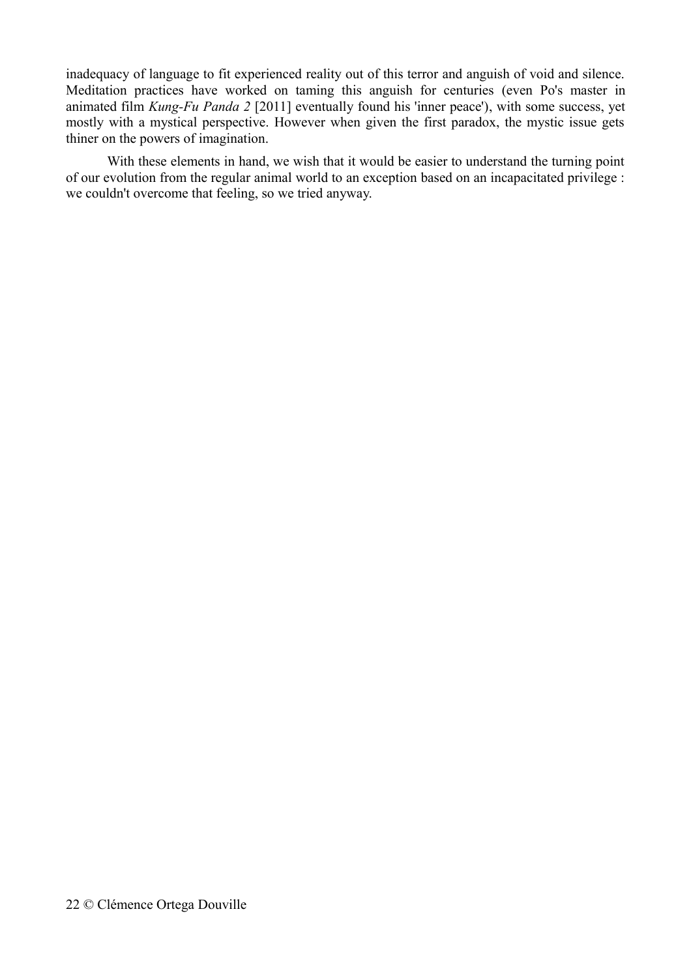inadequacy of language to fit experienced reality out of this terror and anguish of void and silence. Meditation practices have worked on taming this anguish for centuries (even Po's master in animated film *Kung-Fu Panda 2* [2011] eventually found his 'inner peace'), with some success, yet mostly with a mystical perspective. However when given the first paradox, the mystic issue gets thiner on the powers of imagination.

With these elements in hand, we wish that it would be easier to understand the turning point of our evolution from the regular animal world to an exception based on an incapacitated privilege : we couldn't overcome that feeling, so we tried anyway.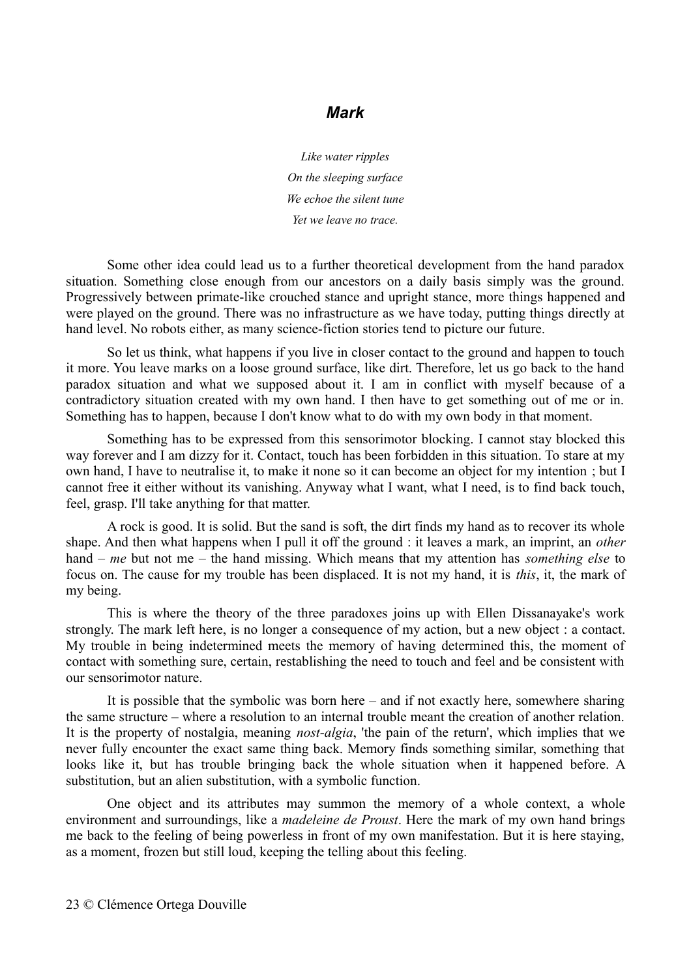#### *Mark*

*Like water ripples On the sleeping surface We echoe the silent tune Yet we leave no trace.*

Some other idea could lead us to a further theoretical development from the hand paradox situation. Something close enough from our ancestors on a daily basis simply was the ground. Progressively between primate-like crouched stance and upright stance, more things happened and were played on the ground. There was no infrastructure as we have today, putting things directly at hand level. No robots either, as many science-fiction stories tend to picture our future.

So let us think, what happens if you live in closer contact to the ground and happen to touch it more. You leave marks on a loose ground surface, like dirt. Therefore, let us go back to the hand paradox situation and what we supposed about it. I am in conflict with myself because of a contradictory situation created with my own hand. I then have to get something out of me or in. Something has to happen, because I don't know what to do with my own body in that moment.

Something has to be expressed from this sensorimotor blocking. I cannot stay blocked this way forever and I am dizzy for it. Contact, touch has been forbidden in this situation. To stare at my own hand, I have to neutralise it, to make it none so it can become an object for my intention ; but I cannot free it either without its vanishing. Anyway what I want, what I need, is to find back touch, feel, grasp. I'll take anything for that matter.

A rock is good. It is solid. But the sand is soft, the dirt finds my hand as to recover its whole shape. And then what happens when I pull it off the ground : it leaves a mark, an imprint, an *other* hand – *me* but not me – the hand missing. Which means that my attention has *something else* to focus on. The cause for my trouble has been displaced. It is not my hand, it is *this*, it, the mark of my being.

This is where the theory of the three paradoxes joins up with Ellen Dissanayake's work strongly. The mark left here, is no longer a consequence of my action, but a new object : a contact. My trouble in being indetermined meets the memory of having determined this, the moment of contact with something sure, certain, restablishing the need to touch and feel and be consistent with our sensorimotor nature.

It is possible that the symbolic was born here – and if not exactly here, somewhere sharing the same structure – where a resolution to an internal trouble meant the creation of another relation. It is the property of nostalgia, meaning *nost-algia*, 'the pain of the return', which implies that we never fully encounter the exact same thing back. Memory finds something similar, something that looks like it, but has trouble bringing back the whole situation when it happened before. A substitution, but an alien substitution, with a symbolic function.

One object and its attributes may summon the memory of a whole context, a whole environment and surroundings, like a *madeleine de Proust*. Here the mark of my own hand brings me back to the feeling of being powerless in front of my own manifestation. But it is here staying, as a moment, frozen but still loud, keeping the telling about this feeling.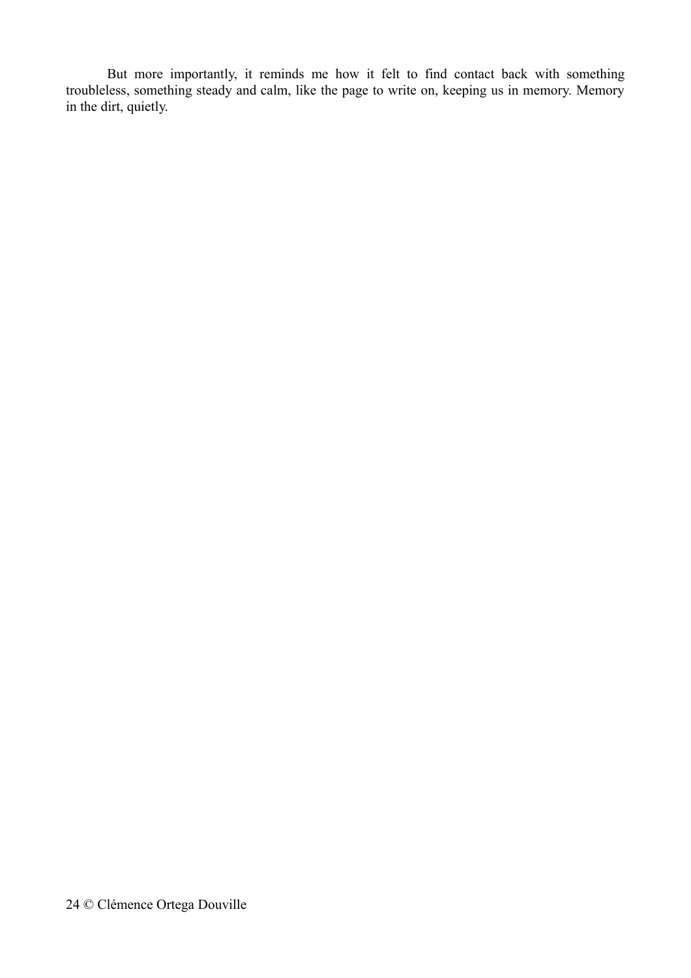But more importantly, it reminds me how it felt to find contact back with something troubleless, something steady and calm, like the page to write on, keeping us in memory. Memory in the dirt, quietly.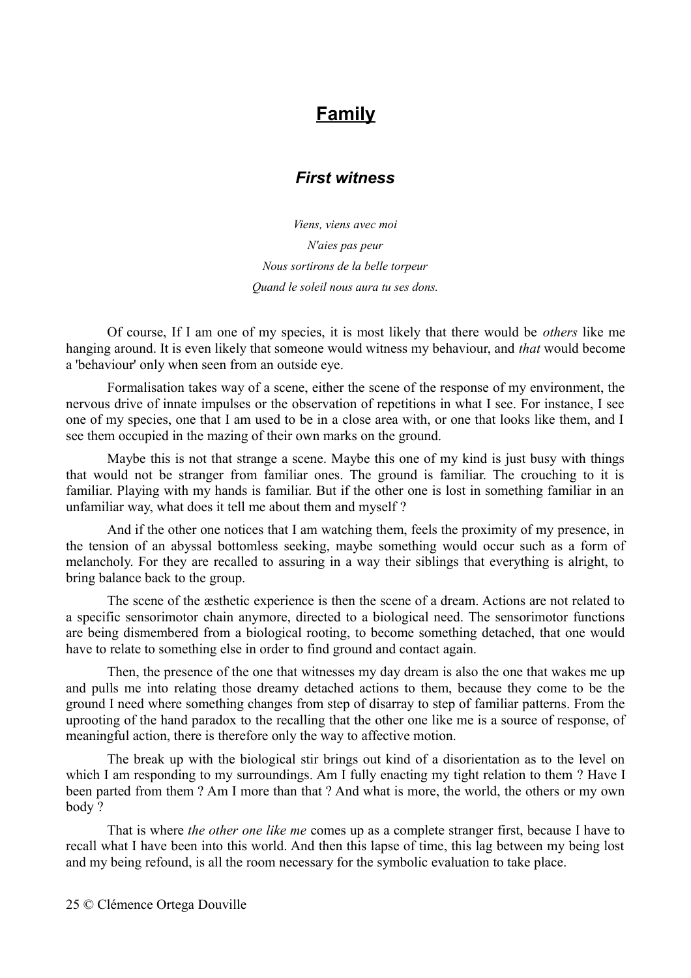# **Family**

# *First witness*

*Viens, viens avec moi N'aies pas peur Nous sortirons de la belle torpeur Quand le soleil nous aura tu ses dons.*

Of course, If I am one of my species, it is most likely that there would be *others* like me hanging around. It is even likely that someone would witness my behaviour, and *that* would become a 'behaviour' only when seen from an outside eye.

Formalisation takes way of a scene, either the scene of the response of my environment, the nervous drive of innate impulses or the observation of repetitions in what I see. For instance, I see one of my species, one that I am used to be in a close area with, or one that looks like them, and I see them occupied in the mazing of their own marks on the ground.

Maybe this is not that strange a scene. Maybe this one of my kind is just busy with things that would not be stranger from familiar ones. The ground is familiar. The crouching to it is familiar. Playing with my hands is familiar. But if the other one is lost in something familiar in an unfamiliar way, what does it tell me about them and myself ?

And if the other one notices that I am watching them, feels the proximity of my presence, in the tension of an abyssal bottomless seeking, maybe something would occur such as a form of melancholy. For they are recalled to assuring in a way their siblings that everything is alright, to bring balance back to the group.

The scene of the æsthetic experience is then the scene of a dream. Actions are not related to a specific sensorimotor chain anymore, directed to a biological need. The sensorimotor functions are being dismembered from a biological rooting, to become something detached, that one would have to relate to something else in order to find ground and contact again.

Then, the presence of the one that witnesses my day dream is also the one that wakes me up and pulls me into relating those dreamy detached actions to them, because they come to be the ground I need where something changes from step of disarray to step of familiar patterns. From the uprooting of the hand paradox to the recalling that the other one like me is a source of response, of meaningful action, there is therefore only the way to affective motion.

The break up with the biological stir brings out kind of a disorientation as to the level on which I am responding to my surroundings. Am I fully enacting my tight relation to them ? Have I been parted from them ? Am I more than that ? And what is more, the world, the others or my own body ?

That is where *the other one like me* comes up as a complete stranger first, because I have to recall what I have been into this world. And then this lapse of time, this lag between my being lost and my being refound, is all the room necessary for the symbolic evaluation to take place.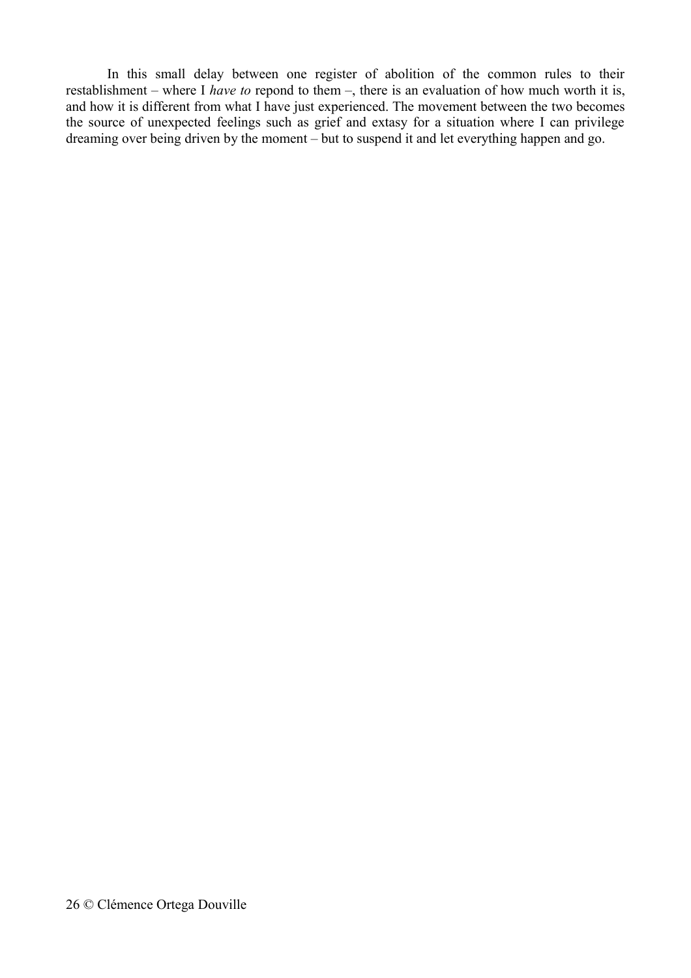In this small delay between one register of abolition of the common rules to their restablishment – where I *have to* repond to them –, there is an evaluation of how much worth it is, and how it is different from what I have just experienced. The movement between the two becomes the source of unexpected feelings such as grief and extasy for a situation where I can privilege dreaming over being driven by the moment – but to suspend it and let everything happen and go.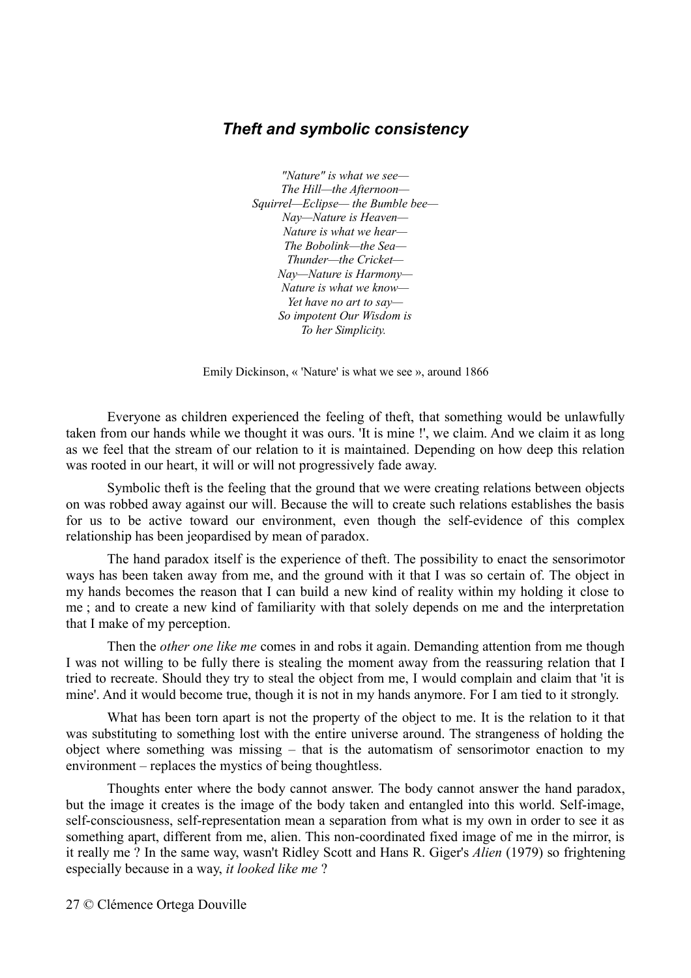#### *Theft and symbolic consistency*

*"Nature" is what we see— The Hill—the Afternoon— Squirrel—Eclipse— the Bumble bee— Nay—Nature is Heaven— Nature is what we hear— The Bobolink—the Sea— Thunder—the Cricket— Nay—Nature is Harmony— Nature is what we know— Yet have no art to say— So impotent Our Wisdom is To her Simplicity.* 

Emily Dickinson, « 'Nature' is what we see », around 1866

Everyone as children experienced the feeling of theft, that something would be unlawfully taken from our hands while we thought it was ours. 'It is mine !', we claim. And we claim it as long as we feel that the stream of our relation to it is maintained. Depending on how deep this relation was rooted in our heart, it will or will not progressively fade away.

Symbolic theft is the feeling that the ground that we were creating relations between objects on was robbed away against our will. Because the will to create such relations establishes the basis for us to be active toward our environment, even though the self-evidence of this complex relationship has been jeopardised by mean of paradox.

The hand paradox itself is the experience of theft. The possibility to enact the sensorimotor ways has been taken away from me, and the ground with it that I was so certain of. The object in my hands becomes the reason that I can build a new kind of reality within my holding it close to me ; and to create a new kind of familiarity with that solely depends on me and the interpretation that I make of my perception.

Then the *other one like me* comes in and robs it again. Demanding attention from me though I was not willing to be fully there is stealing the moment away from the reassuring relation that I tried to recreate. Should they try to steal the object from me, I would complain and claim that 'it is mine'. And it would become true, though it is not in my hands anymore. For I am tied to it strongly.

What has been torn apart is not the property of the object to me. It is the relation to it that was substituting to something lost with the entire universe around. The strangeness of holding the object where something was missing – that is the automatism of sensorimotor enaction to my environment – replaces the mystics of being thoughtless.

Thoughts enter where the body cannot answer. The body cannot answer the hand paradox, but the image it creates is the image of the body taken and entangled into this world. Self-image, self-consciousness, self-representation mean a separation from what is my own in order to see it as something apart, different from me, alien. This non-coordinated fixed image of me in the mirror, is it really me ? In the same way, wasn't Ridley Scott and Hans R. Giger's *Alien* (1979) so frightening especially because in a way, *it looked like me* ?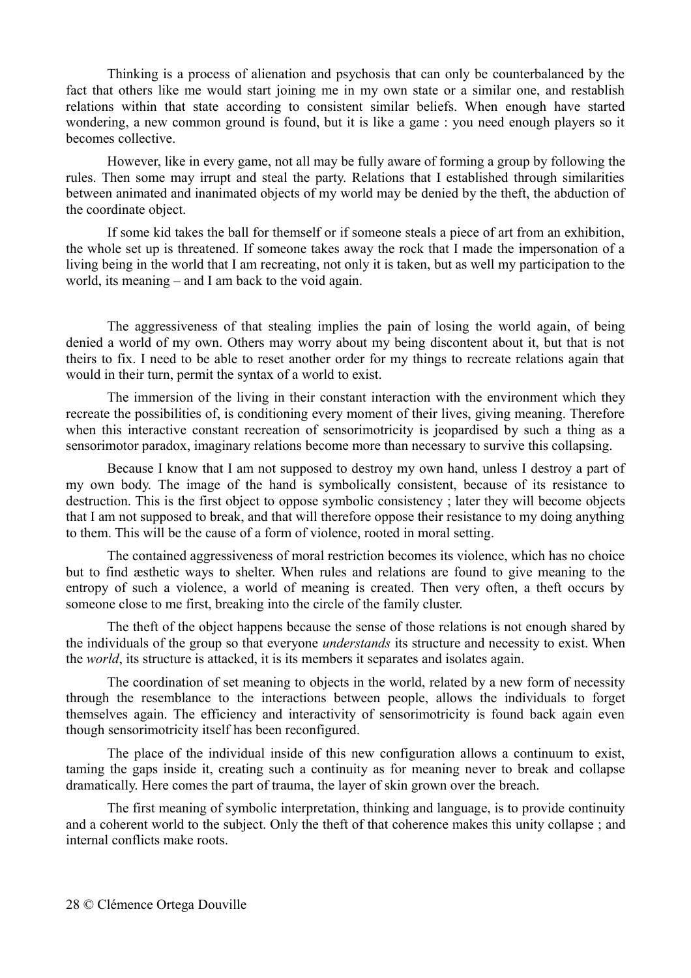Thinking is a process of alienation and psychosis that can only be counterbalanced by the fact that others like me would start joining me in my own state or a similar one, and restablish relations within that state according to consistent similar beliefs. When enough have started wondering, a new common ground is found, but it is like a game : you need enough players so it becomes collective.

However, like in every game, not all may be fully aware of forming a group by following the rules. Then some may irrupt and steal the party. Relations that I established through similarities between animated and inanimated objects of my world may be denied by the theft, the abduction of the coordinate object.

If some kid takes the ball for themself or if someone steals a piece of art from an exhibition, the whole set up is threatened. If someone takes away the rock that I made the impersonation of a living being in the world that I am recreating, not only it is taken, but as well my participation to the world, its meaning – and I am back to the void again.

The aggressiveness of that stealing implies the pain of losing the world again, of being denied a world of my own. Others may worry about my being discontent about it, but that is not theirs to fix. I need to be able to reset another order for my things to recreate relations again that would in their turn, permit the syntax of a world to exist.

The immersion of the living in their constant interaction with the environment which they recreate the possibilities of, is conditioning every moment of their lives, giving meaning. Therefore when this interactive constant recreation of sensorimotricity is jeopardised by such a thing as a sensorimotor paradox, imaginary relations become more than necessary to survive this collapsing.

Because I know that I am not supposed to destroy my own hand, unless I destroy a part of my own body. The image of the hand is symbolically consistent, because of its resistance to destruction. This is the first object to oppose symbolic consistency ; later they will become objects that I am not supposed to break, and that will therefore oppose their resistance to my doing anything to them. This will be the cause of a form of violence, rooted in moral setting.

The contained aggressiveness of moral restriction becomes its violence, which has no choice but to find æsthetic ways to shelter. When rules and relations are found to give meaning to the entropy of such a violence, a world of meaning is created. Then very often, a theft occurs by someone close to me first, breaking into the circle of the family cluster.

The theft of the object happens because the sense of those relations is not enough shared by the individuals of the group so that everyone *understands* its structure and necessity to exist. When the *world*, its structure is attacked, it is its members it separates and isolates again.

The coordination of set meaning to objects in the world, related by a new form of necessity through the resemblance to the interactions between people, allows the individuals to forget themselves again. The efficiency and interactivity of sensorimotricity is found back again even though sensorimotricity itself has been reconfigured.

The place of the individual inside of this new configuration allows a continuum to exist, taming the gaps inside it, creating such a continuity as for meaning never to break and collapse dramatically. Here comes the part of trauma, the layer of skin grown over the breach.

The first meaning of symbolic interpretation, thinking and language, is to provide continuity and a coherent world to the subject. Only the theft of that coherence makes this unity collapse ; and internal conflicts make roots.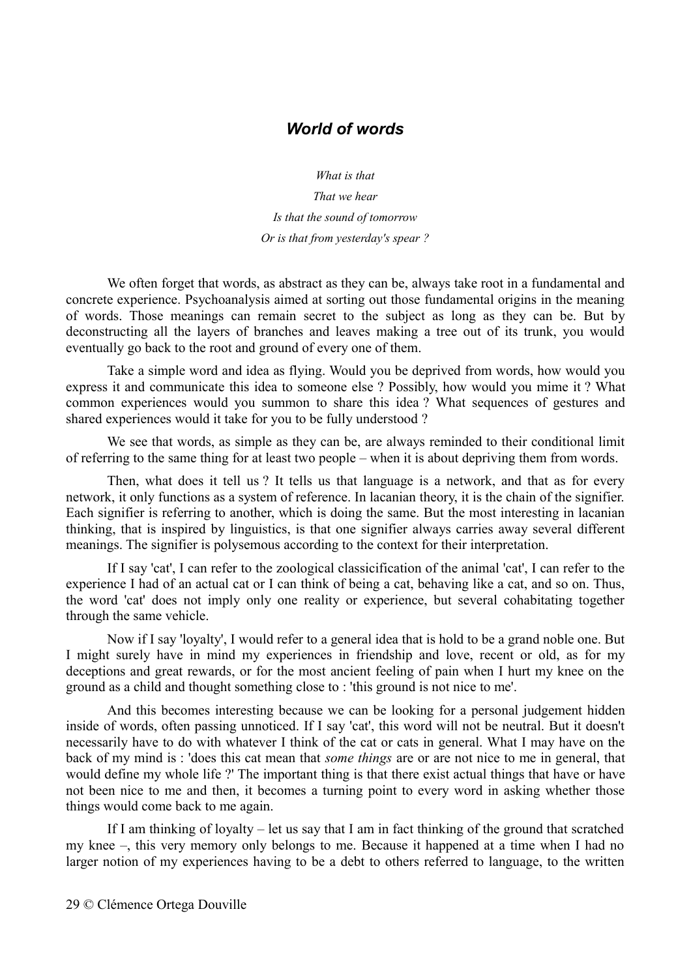#### *World of words*

*What is that That we hear Is that the sound of tomorrow*

*Or is that from yesterday's spear ?*

We often forget that words, as abstract as they can be, always take root in a fundamental and concrete experience. Psychoanalysis aimed at sorting out those fundamental origins in the meaning of words. Those meanings can remain secret to the subject as long as they can be. But by deconstructing all the layers of branches and leaves making a tree out of its trunk, you would eventually go back to the root and ground of every one of them.

Take a simple word and idea as flying. Would you be deprived from words, how would you express it and communicate this idea to someone else ? Possibly, how would you mime it ? What common experiences would you summon to share this idea ? What sequences of gestures and shared experiences would it take for you to be fully understood ?

We see that words, as simple as they can be, are always reminded to their conditional limit of referring to the same thing for at least two people – when it is about depriving them from words.

Then, what does it tell us ? It tells us that language is a network, and that as for every network, it only functions as a system of reference. In lacanian theory, it is the chain of the signifier. Each signifier is referring to another, which is doing the same. But the most interesting in lacanian thinking, that is inspired by linguistics, is that one signifier always carries away several different meanings. The signifier is polysemous according to the context for their interpretation.

If I say 'cat', I can refer to the zoological classicification of the animal 'cat', I can refer to the experience I had of an actual cat or I can think of being a cat, behaving like a cat, and so on. Thus, the word 'cat' does not imply only one reality or experience, but several cohabitating together through the same vehicle.

Now if I say 'loyalty', I would refer to a general idea that is hold to be a grand noble one. But I might surely have in mind my experiences in friendship and love, recent or old, as for my deceptions and great rewards, or for the most ancient feeling of pain when I hurt my knee on the ground as a child and thought something close to : 'this ground is not nice to me'.

And this becomes interesting because we can be looking for a personal judgement hidden inside of words, often passing unnoticed. If I say 'cat', this word will not be neutral. But it doesn't necessarily have to do with whatever I think of the cat or cats in general. What I may have on the back of my mind is : 'does this cat mean that *some things* are or are not nice to me in general, that would define my whole life ?' The important thing is that there exist actual things that have or have not been nice to me and then, it becomes a turning point to every word in asking whether those things would come back to me again.

If I am thinking of loyalty – let us say that I am in fact thinking of the ground that scratched my knee –, this very memory only belongs to me. Because it happened at a time when I had no larger notion of my experiences having to be a debt to others referred to language, to the written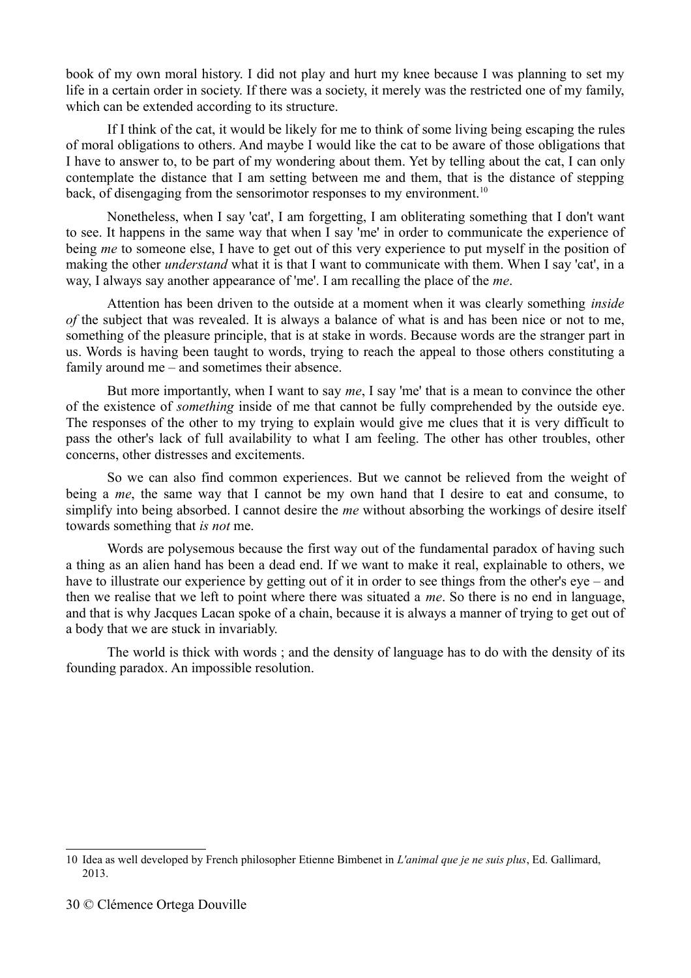book of my own moral history. I did not play and hurt my knee because I was planning to set my life in a certain order in society. If there was a society, it merely was the restricted one of my family, which can be extended according to its structure.

If I think of the cat, it would be likely for me to think of some living being escaping the rules of moral obligations to others. And maybe I would like the cat to be aware of those obligations that I have to answer to, to be part of my wondering about them. Yet by telling about the cat, I can only contemplate the distance that I am setting between me and them, that is the distance of stepping back, of disengaging from the sensorimotor responses to my environment.<sup>[10](#page-29-0)</sup>

Nonetheless, when I say 'cat', I am forgetting, I am obliterating something that I don't want to see. It happens in the same way that when I say 'me' in order to communicate the experience of being *me* to someone else, I have to get out of this very experience to put myself in the position of making the other *understand* what it is that I want to communicate with them. When I say 'cat', in a way, I always say another appearance of 'me'. I am recalling the place of the *me*.

Attention has been driven to the outside at a moment when it was clearly something *inside of* the subject that was revealed. It is always a balance of what is and has been nice or not to me, something of the pleasure principle, that is at stake in words. Because words are the stranger part in us. Words is having been taught to words, trying to reach the appeal to those others constituting a family around me – and sometimes their absence.

But more importantly, when I want to say *me*, I say 'me' that is a mean to convince the other of the existence of *something* inside of me that cannot be fully comprehended by the outside eye. The responses of the other to my trying to explain would give me clues that it is very difficult to pass the other's lack of full availability to what I am feeling. The other has other troubles, other concerns, other distresses and excitements.

So we can also find common experiences. But we cannot be relieved from the weight of being a *me*, the same way that I cannot be my own hand that I desire to eat and consume, to simplify into being absorbed. I cannot desire the *me* without absorbing the workings of desire itself towards something that *is not* me.

Words are polysemous because the first way out of the fundamental paradox of having such a thing as an alien hand has been a dead end. If we want to make it real, explainable to others, we have to illustrate our experience by getting out of it in order to see things from the other's eye – and then we realise that we left to point where there was situated a *me*. So there is no end in language, and that is why Jacques Lacan spoke of a chain, because it is always a manner of trying to get out of a body that we are stuck in invariably.

The world is thick with words ; and the density of language has to do with the density of its founding paradox. An impossible resolution.

<span id="page-29-0"></span><sup>10</sup> Idea as well developed by French philosopher Etienne Bimbenet in *L'animal que je ne suis plus*, Ed. Gallimard, 2013.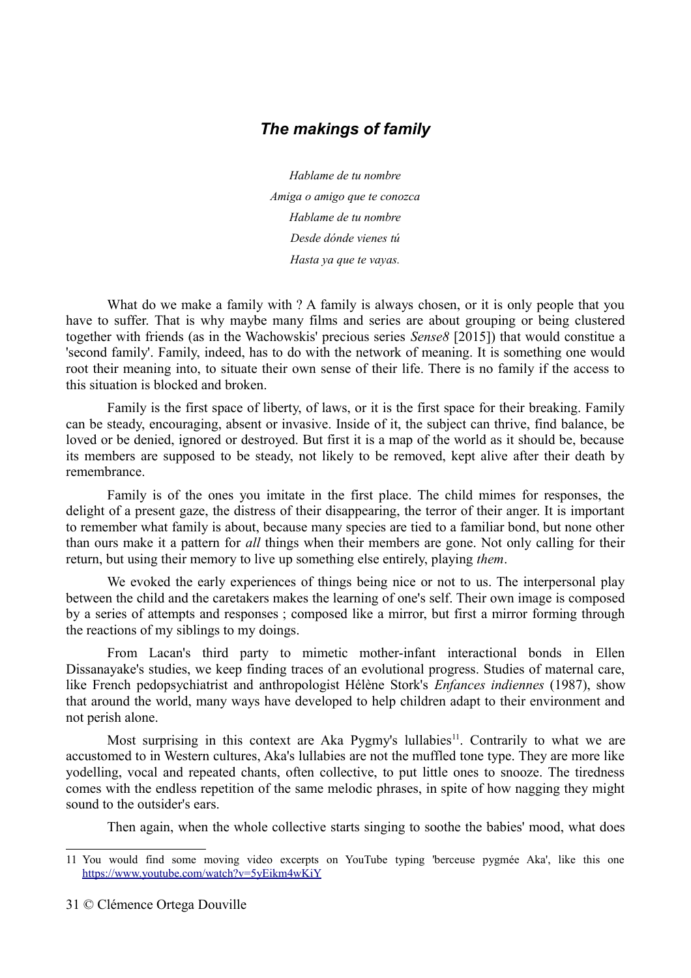# *The makings of family*

*Hablame de tu nombre Amiga o amigo que te conozca Hablame de tu nombre Desde dónde vienes tú Hasta ya que te vayas.*

What do we make a family with ? A family is always chosen, or it is only people that you have to suffer. That is why maybe many films and series are about grouping or being clustered together with friends (as in the Wachowskis' precious series *Sense8* [2015]) that would constitue a 'second family'. Family, indeed, has to do with the network of meaning. It is something one would root their meaning into, to situate their own sense of their life. There is no family if the access to this situation is blocked and broken.

Family is the first space of liberty, of laws, or it is the first space for their breaking. Family can be steady, encouraging, absent or invasive. Inside of it, the subject can thrive, find balance, be loved or be denied, ignored or destroyed. But first it is a map of the world as it should be, because its members are supposed to be steady, not likely to be removed, kept alive after their death by remembrance.

Family is of the ones you imitate in the first place. The child mimes for responses, the delight of a present gaze, the distress of their disappearing, the terror of their anger. It is important to remember what family is about, because many species are tied to a familiar bond, but none other than ours make it a pattern for *all* things when their members are gone. Not only calling for their return, but using their memory to live up something else entirely, playing *them*.

We evoked the early experiences of things being nice or not to us. The interpersonal play between the child and the caretakers makes the learning of one's self. Their own image is composed by a series of attempts and responses ; composed like a mirror, but first a mirror forming through the reactions of my siblings to my doings.

From Lacan's third party to mimetic mother-infant interactional bonds in Ellen Dissanayake's studies, we keep finding traces of an evolutional progress. Studies of maternal care, like French pedopsychiatrist and anthropologist Hélène Stork's *Enfances indiennes* (1987), show that around the world, many ways have developed to help children adapt to their environment and not perish alone.

Most surprising in this context are Aka Pygmy's lullabies<sup>[11](#page-30-0)</sup>. Contrarily to what we are accustomed to in Western cultures, Aka's lullabies are not the muffled tone type. They are more like yodelling, vocal and repeated chants, often collective, to put little ones to snooze. The tiredness comes with the endless repetition of the same melodic phrases, in spite of how nagging they might sound to the outsider's ears.

Then again, when the whole collective starts singing to soothe the babies' mood, what does

<span id="page-30-0"></span><sup>11</sup> You would find some moving video excerpts on YouTube typing 'berceuse pygmée Aka', like this one <https://www.youtube.com/watch?v=5yEikm4wKiY>

<sup>31</sup> © Clémence Ortega Douville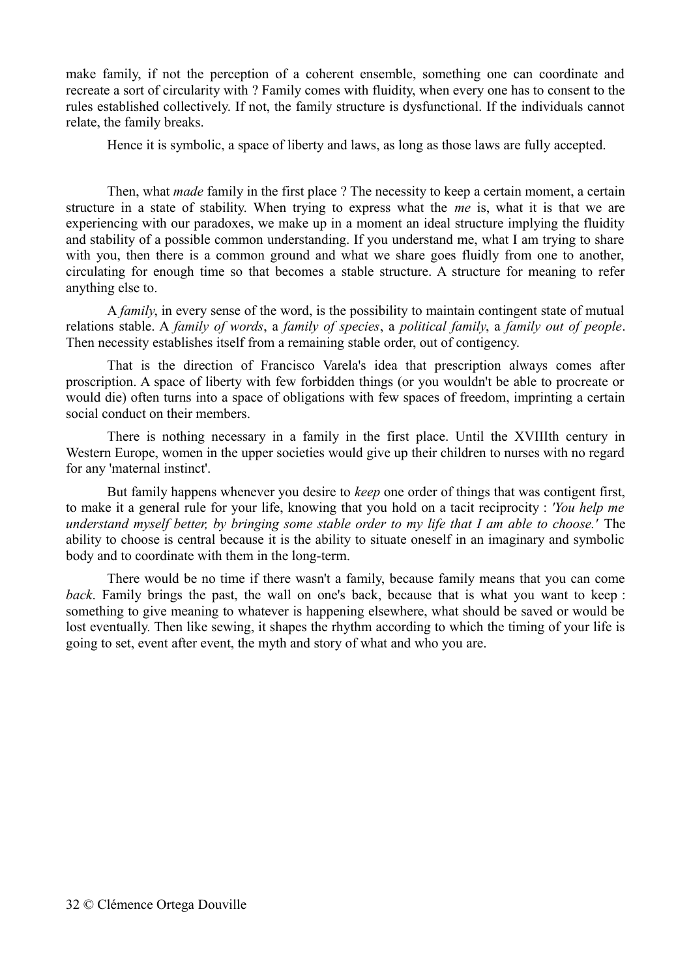make family, if not the perception of a coherent ensemble, something one can coordinate and recreate a sort of circularity with ? Family comes with fluidity, when every one has to consent to the rules established collectively. If not, the family structure is dysfunctional. If the individuals cannot relate, the family breaks.

Hence it is symbolic, a space of liberty and laws, as long as those laws are fully accepted.

Then, what *made* family in the first place ? The necessity to keep a certain moment, a certain structure in a state of stability. When trying to express what the *me* is, what it is that we are experiencing with our paradoxes, we make up in a moment an ideal structure implying the fluidity and stability of a possible common understanding. If you understand me, what I am trying to share with you, then there is a common ground and what we share goes fluidly from one to another, circulating for enough time so that becomes a stable structure. A structure for meaning to refer anything else to.

A *family*, in every sense of the word, is the possibility to maintain contingent state of mutual relations stable. A *family of words*, a *family of species*, a *political family*, a *family out of people*. Then necessity establishes itself from a remaining stable order, out of contigency.

That is the direction of Francisco Varela's idea that prescription always comes after proscription. A space of liberty with few forbidden things (or you wouldn't be able to procreate or would die) often turns into a space of obligations with few spaces of freedom, imprinting a certain social conduct on their members.

There is nothing necessary in a family in the first place. Until the XVIIIth century in Western Europe, women in the upper societies would give up their children to nurses with no regard for any 'maternal instinct'.

But family happens whenever you desire to *keep* one order of things that was contigent first, to make it a general rule for your life, knowing that you hold on a tacit reciprocity : *'You help me understand myself better, by bringing some stable order to my life that I am able to choose.'* The ability to choose is central because it is the ability to situate oneself in an imaginary and symbolic body and to coordinate with them in the long-term.

There would be no time if there wasn't a family, because family means that you can come *back*. Family brings the past, the wall on one's back, because that is what you want to keep : something to give meaning to whatever is happening elsewhere, what should be saved or would be lost eventually. Then like sewing, it shapes the rhythm according to which the timing of your life is going to set, event after event, the myth and story of what and who you are.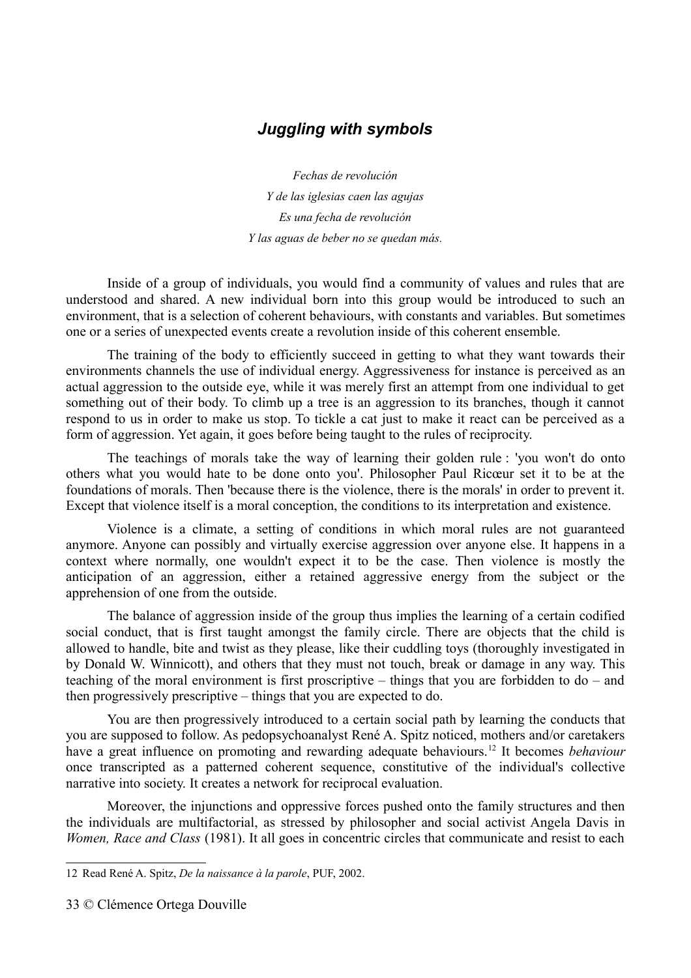# *Juggling with symbols*

*Fechas de revolución Y de las iglesias caen las agujas Es una fecha de revolución Y las aguas de beber no se quedan más.*

Inside of a group of individuals, you would find a community of values and rules that are understood and shared. A new individual born into this group would be introduced to such an environment, that is a selection of coherent behaviours, with constants and variables. But sometimes one or a series of unexpected events create a revolution inside of this coherent ensemble.

The training of the body to efficiently succeed in getting to what they want towards their environments channels the use of individual energy. Aggressiveness for instance is perceived as an actual aggression to the outside eye, while it was merely first an attempt from one individual to get something out of their body. To climb up a tree is an aggression to its branches, though it cannot respond to us in order to make us stop. To tickle a cat just to make it react can be perceived as a form of aggression. Yet again, it goes before being taught to the rules of reciprocity.

The teachings of morals take the way of learning their golden rule : 'you won't do onto others what you would hate to be done onto you'. Philosopher Paul Ricœur set it to be at the foundations of morals. Then 'because there is the violence, there is the morals' in order to prevent it. Except that violence itself is a moral conception, the conditions to its interpretation and existence.

Violence is a climate, a setting of conditions in which moral rules are not guaranteed anymore. Anyone can possibly and virtually exercise aggression over anyone else. It happens in a context where normally, one wouldn't expect it to be the case. Then violence is mostly the anticipation of an aggression, either a retained aggressive energy from the subject or the apprehension of one from the outside.

The balance of aggression inside of the group thus implies the learning of a certain codified social conduct, that is first taught amongst the family circle. There are objects that the child is allowed to handle, bite and twist as they please, like their cuddling toys (thoroughly investigated in by Donald W. Winnicott), and others that they must not touch, break or damage in any way. This teaching of the moral environment is first proscriptive – things that you are forbidden to do – and then progressively prescriptive – things that you are expected to do.

You are then progressively introduced to a certain social path by learning the conducts that you are supposed to follow. As pedopsychoanalyst René A. Spitz noticed, mothers and/or caretakers have a great influence on promoting and rewarding adequate behaviours.[12](#page-32-0) It becomes *behaviour* once transcripted as a patterned coherent sequence, constitutive of the individual's collective narrative into society. It creates a network for reciprocal evaluation.

Moreover, the injunctions and oppressive forces pushed onto the family structures and then the individuals are multifactorial, as stressed by philosopher and social activist Angela Davis in *Women, Race and Class* (1981). It all goes in concentric circles that communicate and resist to each

<span id="page-32-0"></span><sup>12</sup> Read René A. Spitz, *De la naissance à la parole*, PUF, 2002.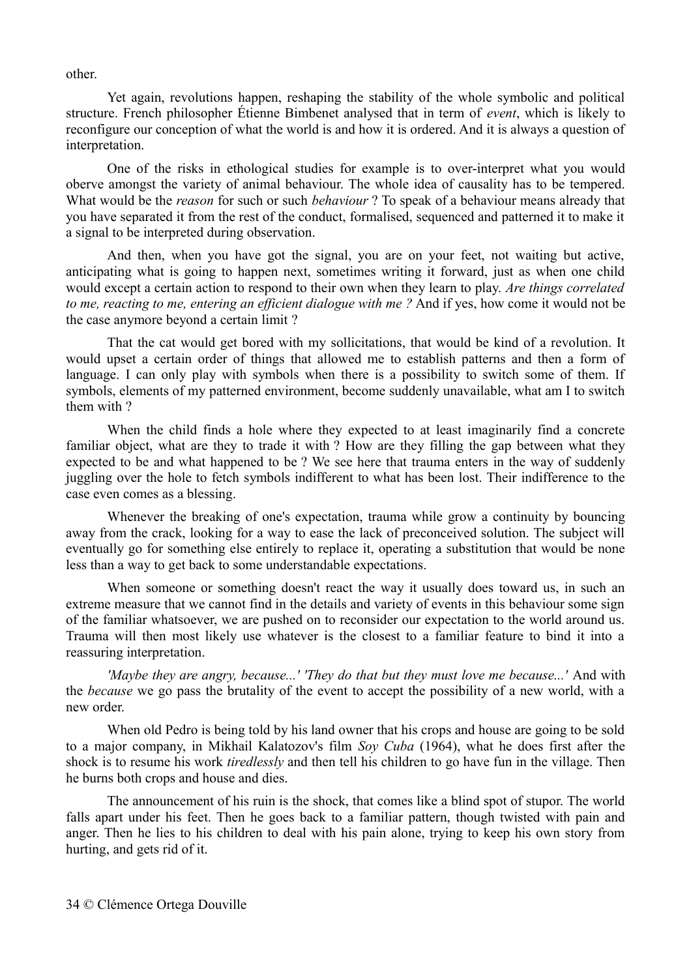other.

Yet again, revolutions happen, reshaping the stability of the whole symbolic and political structure. French philosopher Étienne Bimbenet analysed that in term of *event*, which is likely to reconfigure our conception of what the world is and how it is ordered. And it is always a question of interpretation.

One of the risks in ethological studies for example is to over-interpret what you would oberve amongst the variety of animal behaviour. The whole idea of causality has to be tempered. What would be the *reason* for such or such *behaviour* ? To speak of a behaviour means already that you have separated it from the rest of the conduct, formalised, sequenced and patterned it to make it a signal to be interpreted during observation.

And then, when you have got the signal, you are on your feet, not waiting but active, anticipating what is going to happen next, sometimes writing it forward, just as when one child would except a certain action to respond to their own when they learn to play. *Are things correlated to me, reacting to me, entering an efficient dialogue with me ?* And if yes, how come it would not be the case anymore beyond a certain limit ?

That the cat would get bored with my sollicitations, that would be kind of a revolution. It would upset a certain order of things that allowed me to establish patterns and then a form of language. I can only play with symbols when there is a possibility to switch some of them. If symbols, elements of my patterned environment, become suddenly unavailable, what am I to switch them with ?

When the child finds a hole where they expected to at least imaginarily find a concrete familiar object, what are they to trade it with ? How are they filling the gap between what they expected to be and what happened to be ? We see here that trauma enters in the way of suddenly juggling over the hole to fetch symbols indifferent to what has been lost. Their indifference to the case even comes as a blessing.

Whenever the breaking of one's expectation, trauma while grow a continuity by bouncing away from the crack, looking for a way to ease the lack of preconceived solution. The subject will eventually go for something else entirely to replace it, operating a substitution that would be none less than a way to get back to some understandable expectations.

When someone or something doesn't react the way it usually does toward us, in such an extreme measure that we cannot find in the details and variety of events in this behaviour some sign of the familiar whatsoever, we are pushed on to reconsider our expectation to the world around us. Trauma will then most likely use whatever is the closest to a familiar feature to bind it into a reassuring interpretation.

*'Maybe they are angry, because...' 'They do that but they must love me because...'* And with the *because* we go pass the brutality of the event to accept the possibility of a new world, with a new order.

When old Pedro is being told by his land owner that his crops and house are going to be sold to a major company, in Mikhail Kalatozov's film *Soy Cuba* (1964), what he does first after the shock is to resume his work *tiredlessly* and then tell his children to go have fun in the village. Then he burns both crops and house and dies.

The announcement of his ruin is the shock, that comes like a blind spot of stupor. The world falls apart under his feet. Then he goes back to a familiar pattern, though twisted with pain and anger. Then he lies to his children to deal with his pain alone, trying to keep his own story from hurting, and gets rid of it.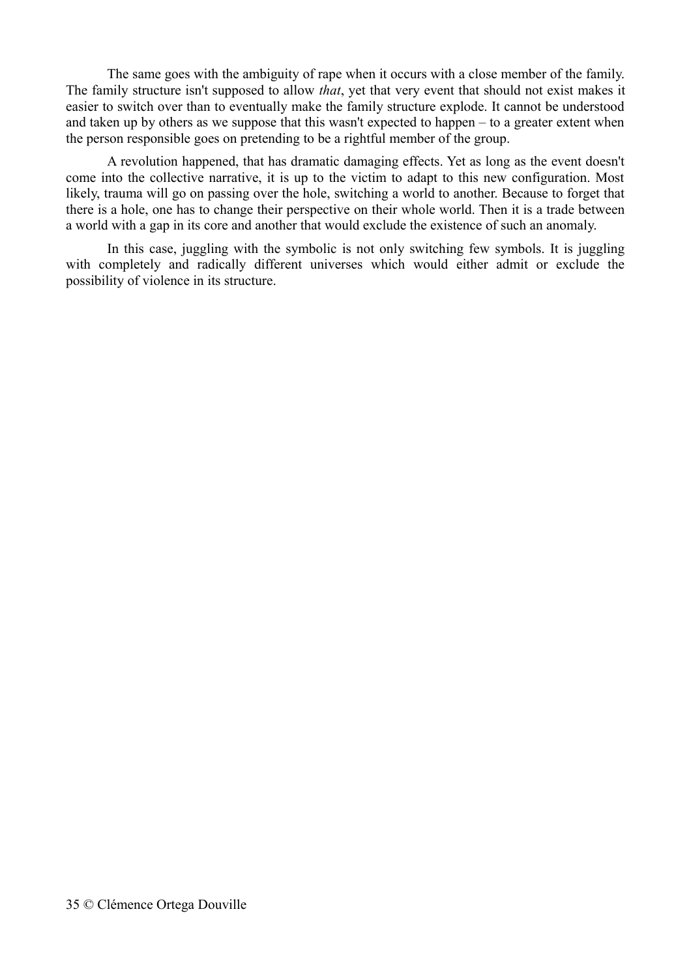The same goes with the ambiguity of rape when it occurs with a close member of the family. The family structure isn't supposed to allow *that*, yet that very event that should not exist makes it easier to switch over than to eventually make the family structure explode. It cannot be understood and taken up by others as we suppose that this wasn't expected to happen – to a greater extent when the person responsible goes on pretending to be a rightful member of the group.

A revolution happened, that has dramatic damaging effects. Yet as long as the event doesn't come into the collective narrative, it is up to the victim to adapt to this new configuration. Most likely, trauma will go on passing over the hole, switching a world to another. Because to forget that there is a hole, one has to change their perspective on their whole world. Then it is a trade between a world with a gap in its core and another that would exclude the existence of such an anomaly.

In this case, juggling with the symbolic is not only switching few symbols. It is juggling with completely and radically different universes which would either admit or exclude the possibility of violence in its structure.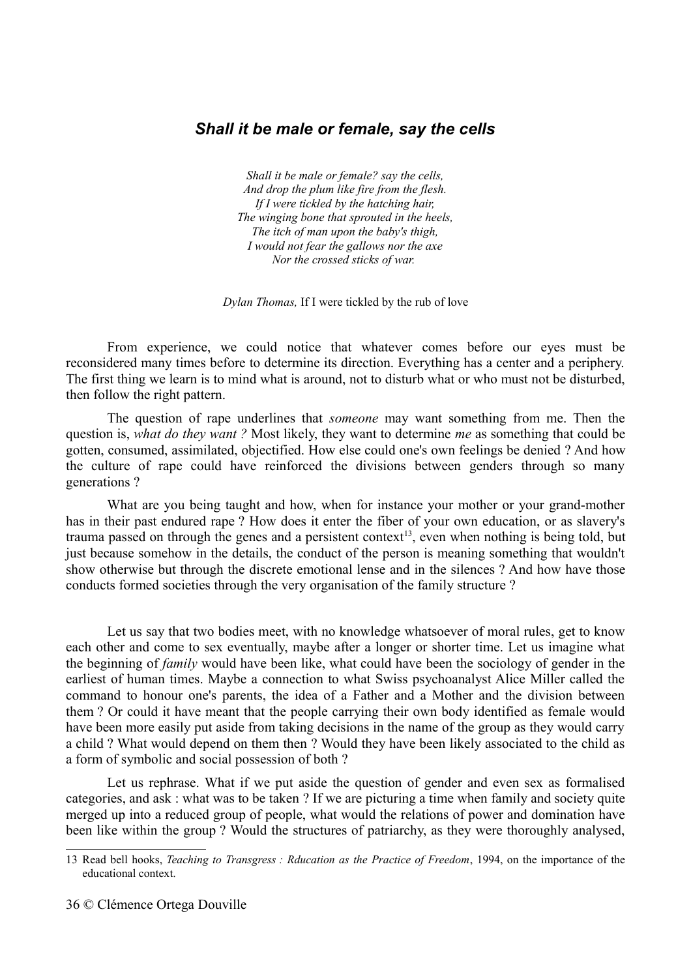# *Shall it be male or female, say the cells*

*Shall it be male or female? say the cells, And drop the plum like fire from the flesh. If I were tickled by the hatching hair, The winging bone that sprouted in the heels, The itch of man upon the baby's thigh, I would not fear the gallows nor the axe Nor the crossed sticks of war.* 

*Dylan Thomas,* If I were tickled by the rub of love

From experience, we could notice that whatever comes before our eyes must be reconsidered many times before to determine its direction. Everything has a center and a periphery. The first thing we learn is to mind what is around, not to disturb what or who must not be disturbed, then follow the right pattern.

The question of rape underlines that *someone* may want something from me. Then the question is, *what do they want ?* Most likely, they want to determine *me* as something that could be gotten, consumed, assimilated, objectified. How else could one's own feelings be denied ? And how the culture of rape could have reinforced the divisions between genders through so many generations ?

What are you being taught and how, when for instance your mother or your grand-mother has in their past endured rape ? How does it enter the fiber of your own education, or as slavery's trauma passed on through the genes and a persistent context<sup>[13](#page-35-0)</sup>, even when nothing is being told, but just because somehow in the details, the conduct of the person is meaning something that wouldn't show otherwise but through the discrete emotional lense and in the silences ? And how have those conducts formed societies through the very organisation of the family structure ?

Let us say that two bodies meet, with no knowledge whatsoever of moral rules, get to know each other and come to sex eventually, maybe after a longer or shorter time. Let us imagine what the beginning of *family* would have been like, what could have been the sociology of gender in the earliest of human times. Maybe a connection to what Swiss psychoanalyst Alice Miller called the command to honour one's parents, the idea of a Father and a Mother and the division between them ? Or could it have meant that the people carrying their own body identified as female would have been more easily put aside from taking decisions in the name of the group as they would carry a child ? What would depend on them then ? Would they have been likely associated to the child as a form of symbolic and social possession of both ?

Let us rephrase. What if we put aside the question of gender and even sex as formalised categories, and ask : what was to be taken ? If we are picturing a time when family and society quite merged up into a reduced group of people, what would the relations of power and domination have been like within the group ? Would the structures of patriarchy, as they were thoroughly analysed,

<span id="page-35-0"></span><sup>13</sup> Read bell hooks, *Teaching to Transgress : Rducation as the Practice of Freedom*, 1994, on the importance of the educational context.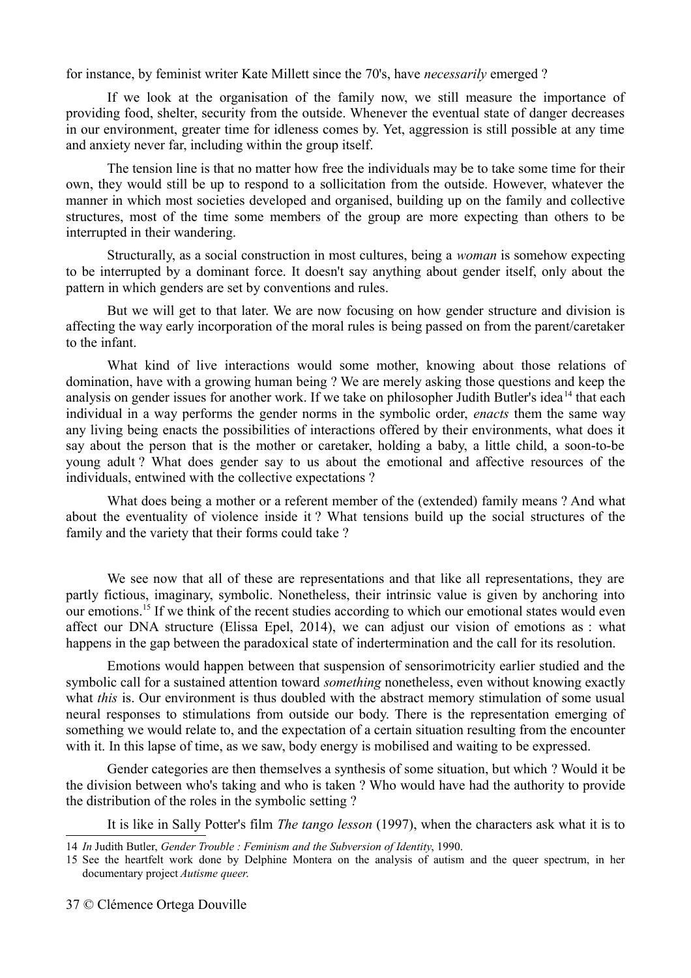for instance, by feminist writer Kate Millett since the 70's, have *necessarily* emerged ?

If we look at the organisation of the family now, we still measure the importance of providing food, shelter, security from the outside. Whenever the eventual state of danger decreases in our environment, greater time for idleness comes by. Yet, aggression is still possible at any time and anxiety never far, including within the group itself.

The tension line is that no matter how free the individuals may be to take some time for their own, they would still be up to respond to a sollicitation from the outside. However, whatever the manner in which most societies developed and organised, building up on the family and collective structures, most of the time some members of the group are more expecting than others to be interrupted in their wandering.

Structurally, as a social construction in most cultures, being a *woman* is somehow expecting to be interrupted by a dominant force. It doesn't say anything about gender itself, only about the pattern in which genders are set by conventions and rules.

But we will get to that later. We are now focusing on how gender structure and division is affecting the way early incorporation of the moral rules is being passed on from the parent/caretaker to the infant.

What kind of live interactions would some mother, knowing about those relations of domination, have with a growing human being ? We are merely asking those questions and keep the analysis on gender issues for another work. If we take on philosopher Judith Butler's idea<sup>[14](#page-36-0)</sup> that each individual in a way performs the gender norms in the symbolic order, *enacts* them the same way any living being enacts the possibilities of interactions offered by their environments, what does it say about the person that is the mother or caretaker, holding a baby, a little child, a soon-to-be young adult ? What does gender say to us about the emotional and affective resources of the individuals, entwined with the collective expectations ?

What does being a mother or a referent member of the (extended) family means ? And what about the eventuality of violence inside it ? What tensions build up the social structures of the family and the variety that their forms could take ?

We see now that all of these are representations and that like all representations, they are partly fictious, imaginary, symbolic. Nonetheless, their intrinsic value is given by anchoring into our emotions.[15](#page-36-1) If we think of the recent studies according to which our emotional states would even affect our DNA structure (Elissa Epel, 2014), we can adjust our vision of emotions as : what happens in the gap between the paradoxical state of indertermination and the call for its resolution.

Emotions would happen between that suspension of sensorimotricity earlier studied and the symbolic call for a sustained attention toward *something* nonetheless, even without knowing exactly what *this* is. Our environment is thus doubled with the abstract memory stimulation of some usual neural responses to stimulations from outside our body. There is the representation emerging of something we would relate to, and the expectation of a certain situation resulting from the encounter with it. In this lapse of time, as we saw, body energy is mobilised and waiting to be expressed.

Gender categories are then themselves a synthesis of some situation, but which ? Would it be the division between who's taking and who is taken ? Who would have had the authority to provide the distribution of the roles in the symbolic setting ?

It is like in Sally Potter's film *The tango lesson* (1997), when the characters ask what it is to

<span id="page-36-0"></span><sup>14</sup> *In* Judith Butler, *Gender Trouble : Feminism and the Subversion of Identity*, 1990.

<span id="page-36-1"></span><sup>15</sup> See the heartfelt work done by Delphine Montera on the analysis of autism and the queer spectrum, in her documentary project *Autisme queer*.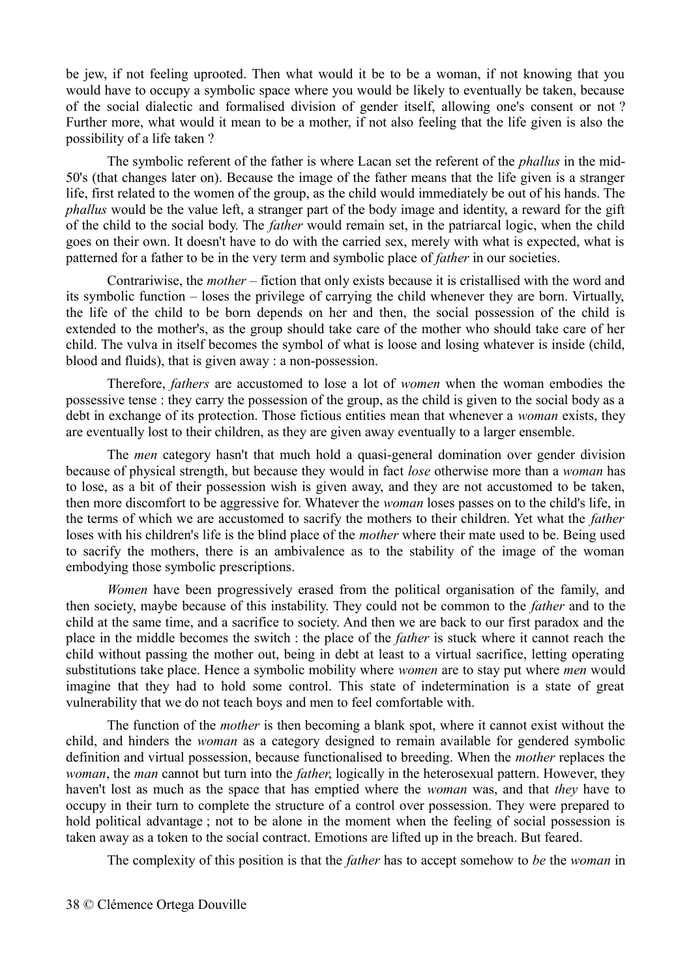be jew, if not feeling uprooted. Then what would it be to be a woman, if not knowing that you would have to occupy a symbolic space where you would be likely to eventually be taken, because of the social dialectic and formalised division of gender itself, allowing one's consent or not ? Further more, what would it mean to be a mother, if not also feeling that the life given is also the possibility of a life taken ?

The symbolic referent of the father is where Lacan set the referent of the *phallus* in the mid-50's (that changes later on). Because the image of the father means that the life given is a stranger life, first related to the women of the group, as the child would immediately be out of his hands. The *phallus* would be the value left, a stranger part of the body image and identity, a reward for the gift of the child to the social body. The *father* would remain set, in the patriarcal logic, when the child goes on their own. It doesn't have to do with the carried sex, merely with what is expected, what is patterned for a father to be in the very term and symbolic place of *father* in our societies.

Contrariwise, the *mother* – fiction that only exists because it is cristallised with the word and its symbolic function – loses the privilege of carrying the child whenever they are born. Virtually, the life of the child to be born depends on her and then, the social possession of the child is extended to the mother's, as the group should take care of the mother who should take care of her child. The vulva in itself becomes the symbol of what is loose and losing whatever is inside (child, blood and fluids), that is given away : a non-possession.

Therefore, *fathers* are accustomed to lose a lot of *women* when the woman embodies the possessive tense : they carry the possession of the group, as the child is given to the social body as a debt in exchange of its protection. Those fictious entities mean that whenever a *woman* exists, they are eventually lost to their children, as they are given away eventually to a larger ensemble.

The *men* category hasn't that much hold a quasi-general domination over gender division because of physical strength, but because they would in fact *lose* otherwise more than a *woman* has to lose, as a bit of their possession wish is given away, and they are not accustomed to be taken, then more discomfort to be aggressive for. Whatever the *woman* loses passes on to the child's life, in the terms of which we are accustomed to sacrify the mothers to their children. Yet what the *father* loses with his children's life is the blind place of the *mother* where their mate used to be. Being used to sacrify the mothers, there is an ambivalence as to the stability of the image of the woman embodying those symbolic prescriptions.

*Women* have been progressively erased from the political organisation of the family, and then society, maybe because of this instability. They could not be common to the *father* and to the child at the same time, and a sacrifice to society. And then we are back to our first paradox and the place in the middle becomes the switch : the place of the *father* is stuck where it cannot reach the child without passing the mother out, being in debt at least to a virtual sacrifice, letting operating substitutions take place. Hence a symbolic mobility where *women* are to stay put where *men* would imagine that they had to hold some control. This state of indetermination is a state of great vulnerability that we do not teach boys and men to feel comfortable with.

The function of the *mother* is then becoming a blank spot, where it cannot exist without the child, and hinders the *woman* as a category designed to remain available for gendered symbolic definition and virtual possession, because functionalised to breeding. When the *mother* replaces the *woman*, the *man* cannot but turn into the *father*, logically in the heterosexual pattern. However, they haven't lost as much as the space that has emptied where the *woman* was, and that *they* have to occupy in their turn to complete the structure of a control over possession. They were prepared to hold political advantage ; not to be alone in the moment when the feeling of social possession is taken away as a token to the social contract. Emotions are lifted up in the breach. But feared.

The complexity of this position is that the *father* has to accept somehow to *be* the *woman* in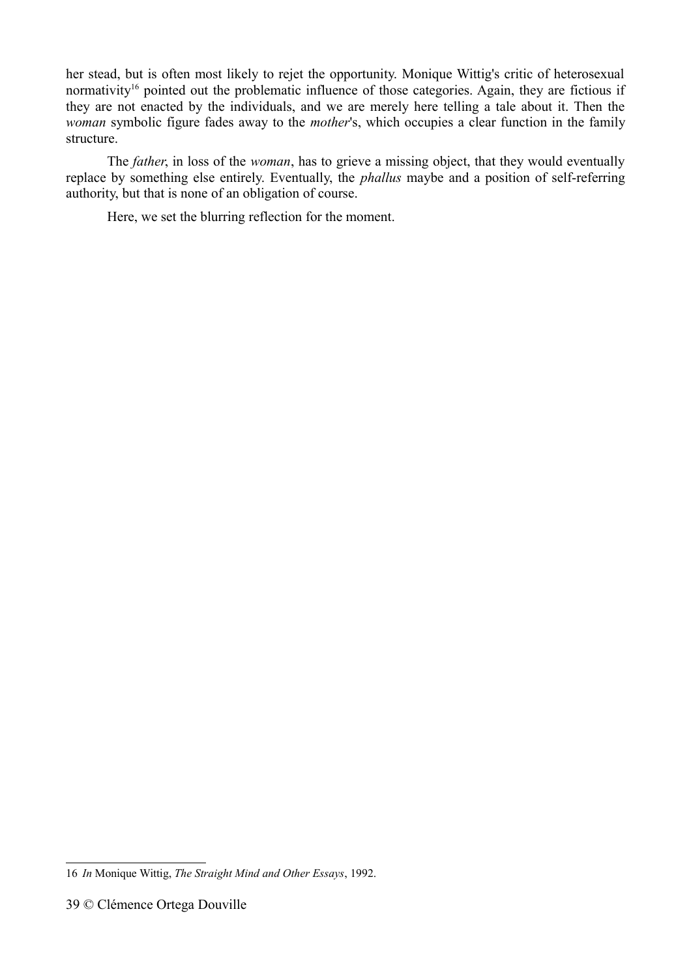her stead, but is often most likely to rejet the opportunity. Monique Wittig's critic of heterosexual normativity<sup>[16](#page-38-0)</sup> pointed out the problematic influence of those categories. Again, they are fictious if they are not enacted by the individuals, and we are merely here telling a tale about it. Then the *woman* symbolic figure fades away to the *mother*'s, which occupies a clear function in the family structure.

The *father*, in loss of the *woman*, has to grieve a missing object, that they would eventually replace by something else entirely. Eventually, the *phallus* maybe and a position of self-referring authority, but that is none of an obligation of course.

Here, we set the blurring reflection for the moment.

<span id="page-38-0"></span><sup>16</sup> *In* Monique Wittig, *The Straight Mind and Other Essays*, 1992.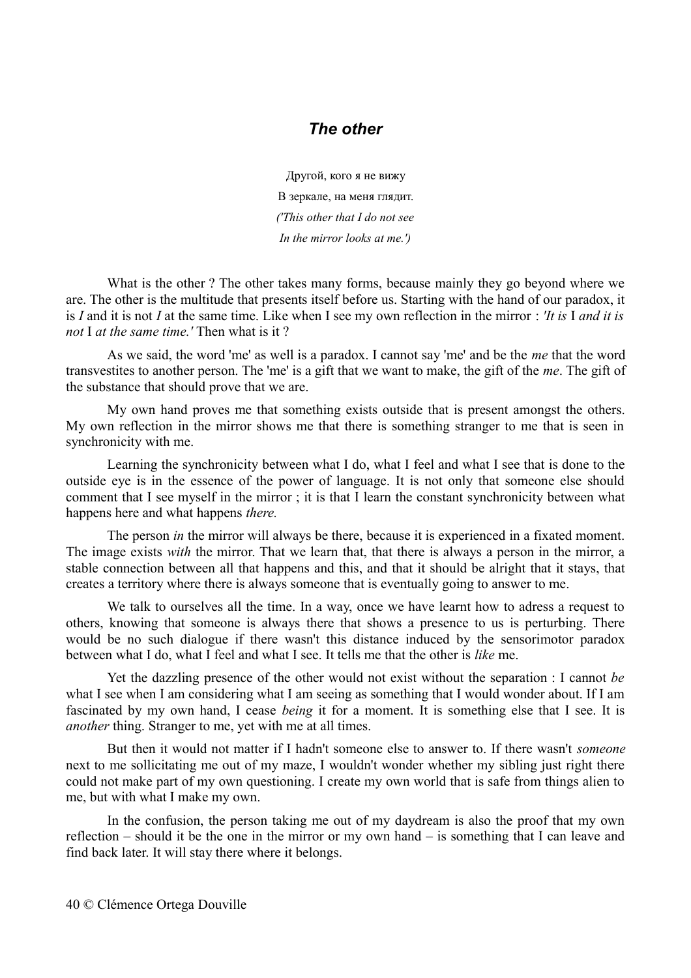#### *The other*

Другой, кого я не вижу В зеркале, на меня глядит. *('This other that I do not see In the mirror looks at me.')*

What is the other ? The other takes many forms, because mainly they go beyond where we are. The other is the multitude that presents itself before us. Starting with the hand of our paradox, it is *I* and it is not *I* at the same time. Like when I see my own reflection in the mirror : *'It is* I *and it is not* I *at the same time.'* Then what is it ?

As we said, the word 'me' as well is a paradox. I cannot say 'me' and be the *me* that the word transvestites to another person. The 'me' is a gift that we want to make, the gift of the *me*. The gift of the substance that should prove that we are.

My own hand proves me that something exists outside that is present amongst the others. My own reflection in the mirror shows me that there is something stranger to me that is seen in synchronicity with me.

Learning the synchronicity between what I do, what I feel and what I see that is done to the outside eye is in the essence of the power of language. It is not only that someone else should comment that I see myself in the mirror ; it is that I learn the constant synchronicity between what happens here and what happens *there.*

The person *in* the mirror will always be there, because it is experienced in a fixated moment. The image exists *with* the mirror. That we learn that, that there is always a person in the mirror, a stable connection between all that happens and this, and that it should be alright that it stays, that creates a territory where there is always someone that is eventually going to answer to me.

We talk to ourselves all the time. In a way, once we have learnt how to adress a request to others, knowing that someone is always there that shows a presence to us is perturbing. There would be no such dialogue if there wasn't this distance induced by the sensorimotor paradox between what I do, what I feel and what I see. It tells me that the other is *like* me.

Yet the dazzling presence of the other would not exist without the separation : I cannot *be* what I see when I am considering what I am seeing as something that I would wonder about. If I am fascinated by my own hand, I cease *being* it for a moment. It is something else that I see. It is *another* thing. Stranger to me, yet with me at all times.

But then it would not matter if I hadn't someone else to answer to. If there wasn't *someone* next to me sollicitating me out of my maze, I wouldn't wonder whether my sibling just right there could not make part of my own questioning. I create my own world that is safe from things alien to me, but with what I make my own.

In the confusion, the person taking me out of my daydream is also the proof that my own reflection – should it be the one in the mirror or my own hand – is something that I can leave and find back later. It will stay there where it belongs.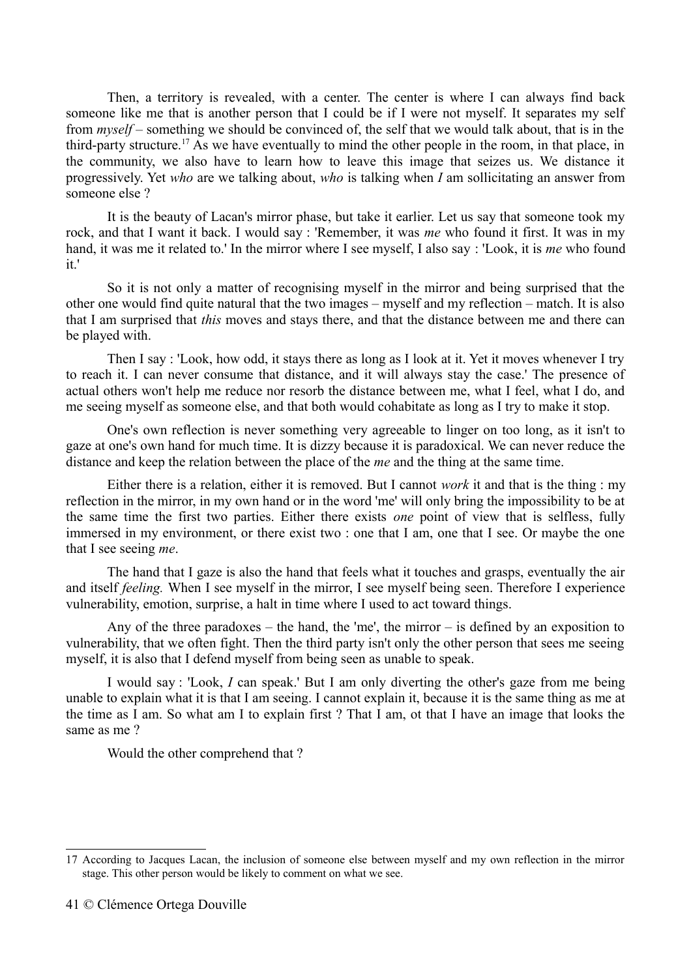Then, a territory is revealed, with a center. The center is where I can always find back someone like me that is another person that I could be if I were not myself. It separates my self from *myself –* something we should be convinced of, the self that we would talk about, that is in the third-party structure.<sup>[17](#page-40-0)</sup> As we have eventually to mind the other people in the room, in that place, in the community, we also have to learn how to leave this image that seizes us. We distance it progressively. Yet *who* are we talking about, *who* is talking when *I* am sollicitating an answer from someone else ?

It is the beauty of Lacan's mirror phase, but take it earlier. Let us say that someone took my rock, and that I want it back. I would say : 'Remember, it was *me* who found it first. It was in my hand, it was me it related to.' In the mirror where I see myself, I also say : 'Look, it is *me* who found it.'

So it is not only a matter of recognising myself in the mirror and being surprised that the other one would find quite natural that the two images – myself and my reflection – match. It is also that I am surprised that *this* moves and stays there, and that the distance between me and there can be played with.

Then I say : 'Look, how odd, it stays there as long as I look at it. Yet it moves whenever I try to reach it. I can never consume that distance, and it will always stay the case.' The presence of actual others won't help me reduce nor resorb the distance between me, what I feel, what I do, and me seeing myself as someone else, and that both would cohabitate as long as I try to make it stop.

One's own reflection is never something very agreeable to linger on too long, as it isn't to gaze at one's own hand for much time. It is dizzy because it is paradoxical. We can never reduce the distance and keep the relation between the place of the *me* and the thing at the same time.

Either there is a relation, either it is removed. But I cannot *work* it and that is the thing : my reflection in the mirror, in my own hand or in the word 'me' will only bring the impossibility to be at the same time the first two parties. Either there exists *one* point of view that is selfless, fully immersed in my environment, or there exist two : one that I am, one that I see. Or maybe the one that I see seeing *me*.

The hand that I gaze is also the hand that feels what it touches and grasps, eventually the air and itself *feeling.* When I see myself in the mirror, I see myself being seen. Therefore I experience vulnerability, emotion, surprise, a halt in time where I used to act toward things.

Any of the three paradoxes – the hand, the 'me', the mirror – is defined by an exposition to vulnerability, that we often fight. Then the third party isn't only the other person that sees me seeing myself, it is also that I defend myself from being seen as unable to speak.

I would say : 'Look, *I* can speak.' But I am only diverting the other's gaze from me being unable to explain what it is that I am seeing. I cannot explain it, because it is the same thing as me at the time as I am. So what am I to explain first ? That I am, ot that I have an image that looks the same as me ?

Would the other comprehend that ?

<span id="page-40-0"></span><sup>17</sup> According to Jacques Lacan, the inclusion of someone else between myself and my own reflection in the mirror stage. This other person would be likely to comment on what we see.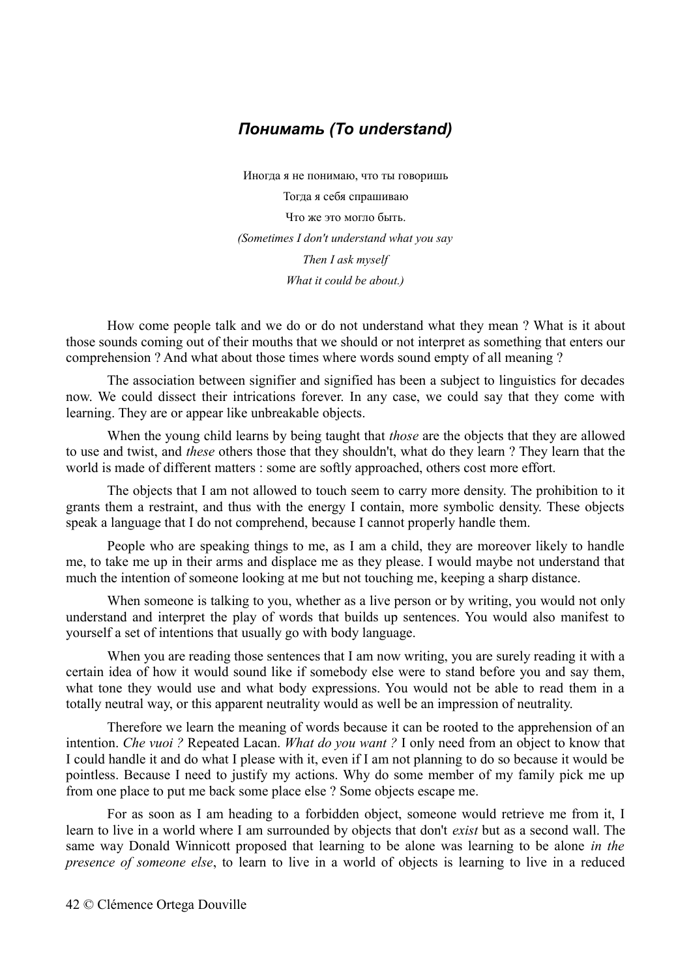### *Понимать (To understand)*

Иногда я не понимаю, что ты говоришь Тогда я себя спрашиваю Что же это могло быть. *(Sometimes I don't understand what you say Then I ask myself What it could be about.)*

How come people talk and we do or do not understand what they mean ? What is it about those sounds coming out of their mouths that we should or not interpret as something that enters our comprehension ? And what about those times where words sound empty of all meaning ?

The association between signifier and signified has been a subject to linguistics for decades now. We could dissect their intrications forever. In any case, we could say that they come with learning. They are or appear like unbreakable objects.

When the young child learns by being taught that *those* are the objects that they are allowed to use and twist, and *these* others those that they shouldn't, what do they learn ? They learn that the world is made of different matters : some are softly approached, others cost more effort.

The objects that I am not allowed to touch seem to carry more density. The prohibition to it grants them a restraint, and thus with the energy I contain, more symbolic density. These objects speak a language that I do not comprehend, because I cannot properly handle them.

People who are speaking things to me, as I am a child, they are moreover likely to handle me, to take me up in their arms and displace me as they please. I would maybe not understand that much the intention of someone looking at me but not touching me, keeping a sharp distance.

When someone is talking to you, whether as a live person or by writing, you would not only understand and interpret the play of words that builds up sentences. You would also manifest to yourself a set of intentions that usually go with body language.

When you are reading those sentences that I am now writing, you are surely reading it with a certain idea of how it would sound like if somebody else were to stand before you and say them, what tone they would use and what body expressions. You would not be able to read them in a totally neutral way, or this apparent neutrality would as well be an impression of neutrality.

Therefore we learn the meaning of words because it can be rooted to the apprehension of an intention. *Che vuoi ?* Repeated Lacan. *What do you want ?* I only need from an object to know that I could handle it and do what I please with it, even if I am not planning to do so because it would be pointless. Because I need to justify my actions. Why do some member of my family pick me up from one place to put me back some place else ? Some objects escape me.

For as soon as I am heading to a forbidden object, someone would retrieve me from it, I learn to live in a world where I am surrounded by objects that don't *exist* but as a second wall. The same way Donald Winnicott proposed that learning to be alone was learning to be alone *in the presence of someone else*, to learn to live in a world of objects is learning to live in a reduced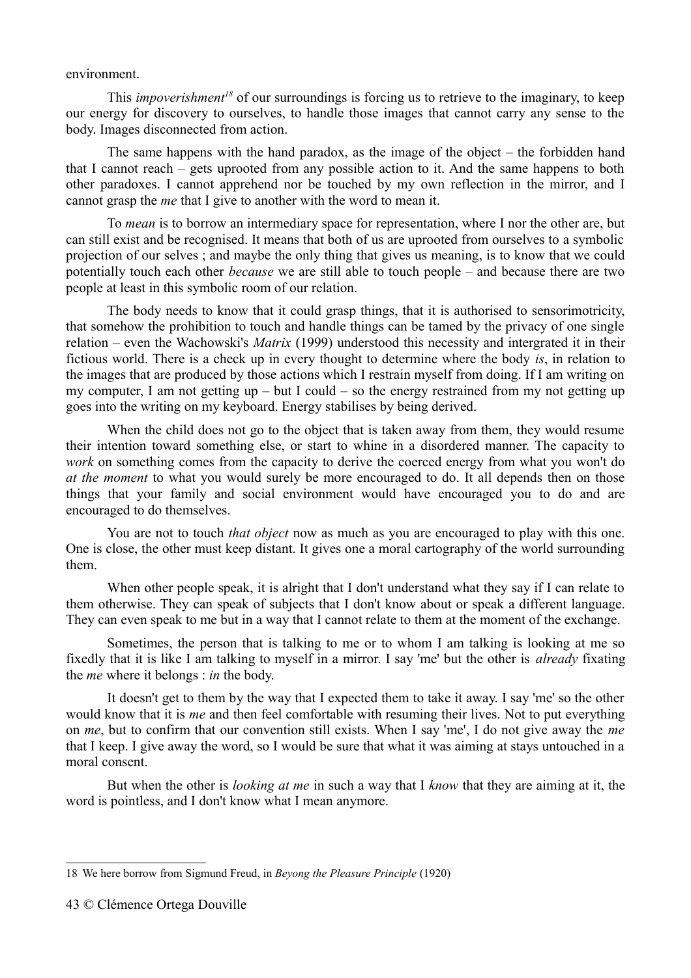environment.

This *impoverishment[18](#page-42-0)* of our surroundings is forcing us to retrieve to the imaginary, to keep our energy for discovery to ourselves, to handle those images that cannot carry any sense to the body. Images disconnected from action.

The same happens with the hand paradox, as the image of the object – the forbidden hand that I cannot reach – gets uprooted from any possible action to it. And the same happens to both other paradoxes. I cannot apprehend nor be touched by my own reflection in the mirror, and I cannot grasp the *me* that I give to another with the word to mean it.

To *mean* is to borrow an intermediary space for representation, where I nor the other are, but can still exist and be recognised. It means that both of us are uprooted from ourselves to a symbolic projection of our selves ; and maybe the only thing that gives us meaning, is to know that we could potentially touch each other *because* we are still able to touch people – and because there are two people at least in this symbolic room of our relation.

The body needs to know that it could grasp things, that it is authorised to sensorimotricity, that somehow the prohibition to touch and handle things can be tamed by the privacy of one single relation – even the Wachowski's *Matrix* (1999) understood this necessity and intergrated it in their fictious world. There is a check up in every thought to determine where the body *is*, in relation to the images that are produced by those actions which I restrain myself from doing. If I am writing on my computer, I am not getting up – but I could – so the energy restrained from my not getting up goes into the writing on my keyboard. Energy stabilises by being derived.

When the child does not go to the object that is taken away from them, they would resume their intention toward something else, or start to whine in a disordered manner. The capacity to *work* on something comes from the capacity to derive the coerced energy from what you won't do *at the moment* to what you would surely be more encouraged to do. It all depends then on those things that your family and social environment would have encouraged you to do and are encouraged to do themselves.

You are not to touch *that object* now as much as you are encouraged to play with this one. One is close, the other must keep distant. It gives one a moral cartography of the world surrounding them.

When other people speak, it is alright that I don't understand what they say if I can relate to them otherwise. They can speak of subjects that I don't know about or speak a different language. They can even speak to me but in a way that I cannot relate to them at the moment of the exchange.

Sometimes, the person that is talking to me or to whom I am talking is looking at me so fixedly that it is like I am talking to myself in a mirror. I say 'me' but the other is *already* fixating the *me* where it belongs : *in* the body.

It doesn't get to them by the way that I expected them to take it away. I say 'me' so the other would know that it is *me* and then feel comfortable with resuming their lives. Not to put everything on *me*, but to confirm that our convention still exists. When I say 'me', I do not give away the *me* that I keep. I give away the word, so I would be sure that what it was aiming at stays untouched in a moral consent.

But when the other is *looking at me* in such a way that I *know* that they are aiming at it, the word is pointless, and I don't know what I mean anymore.

<span id="page-42-0"></span><sup>18</sup> We here borrow from Sigmund Freud, in *Beyong the Pleasure Principle* (1920)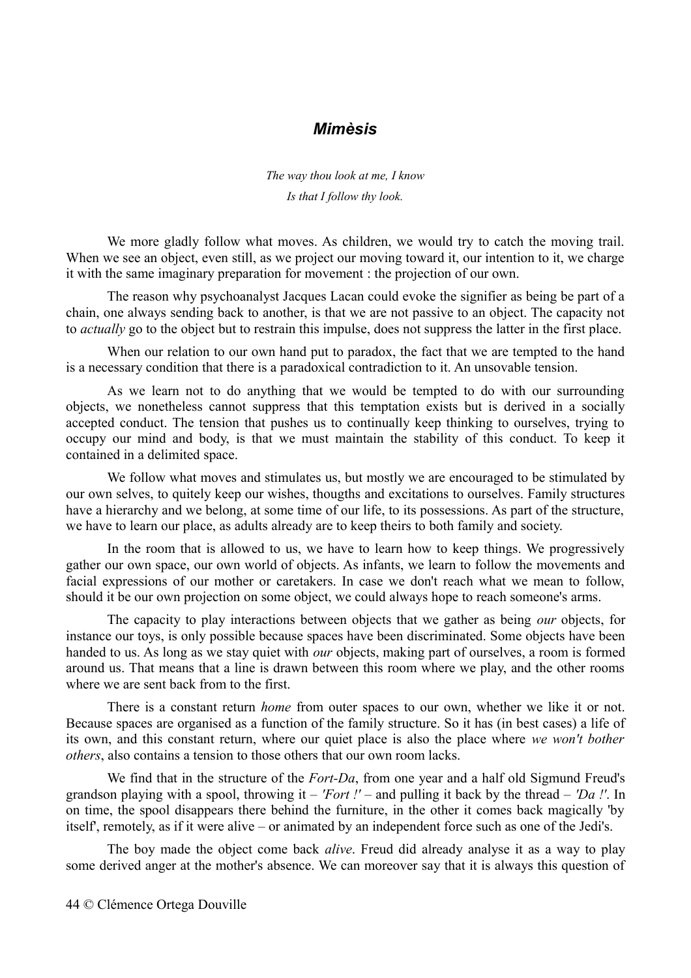#### *Mimèsis*

*The way thou look at me, I know Is that I follow thy look.*

We more gladly follow what moves. As children, we would try to catch the moving trail. When we see an object, even still, as we project our moving toward it, our intention to it, we charge it with the same imaginary preparation for movement : the projection of our own.

The reason why psychoanalyst Jacques Lacan could evoke the signifier as being be part of a chain, one always sending back to another, is that we are not passive to an object. The capacity not to *actually* go to the object but to restrain this impulse, does not suppress the latter in the first place.

When our relation to our own hand put to paradox, the fact that we are tempted to the hand is a necessary condition that there is a paradoxical contradiction to it. An unsovable tension.

As we learn not to do anything that we would be tempted to do with our surrounding objects, we nonetheless cannot suppress that this temptation exists but is derived in a socially accepted conduct. The tension that pushes us to continually keep thinking to ourselves, trying to occupy our mind and body, is that we must maintain the stability of this conduct. To keep it contained in a delimited space.

We follow what moves and stimulates us, but mostly we are encouraged to be stimulated by our own selves, to quitely keep our wishes, thougths and excitations to ourselves. Family structures have a hierarchy and we belong, at some time of our life, to its possessions. As part of the structure, we have to learn our place, as adults already are to keep theirs to both family and society.

In the room that is allowed to us, we have to learn how to keep things. We progressively gather our own space, our own world of objects. As infants, we learn to follow the movements and facial expressions of our mother or caretakers. In case we don't reach what we mean to follow, should it be our own projection on some object, we could always hope to reach someone's arms.

The capacity to play interactions between objects that we gather as being *our* objects, for instance our toys, is only possible because spaces have been discriminated. Some objects have been handed to us. As long as we stay quiet with *our* objects, making part of ourselves, a room is formed around us. That means that a line is drawn between this room where we play, and the other rooms where we are sent back from to the first.

There is a constant return *home* from outer spaces to our own, whether we like it or not. Because spaces are organised as a function of the family structure. So it has (in best cases) a life of its own, and this constant return, where our quiet place is also the place where *we won't bother others*, also contains a tension to those others that our own room lacks.

We find that in the structure of the *Fort-Da*, from one year and a half old Sigmund Freud's grandson playing with a spool, throwing it – *'Fort !' –* and pulling it back by the thread – *'Da !'*. In on time, the spool disappears there behind the furniture, in the other it comes back magically 'by itself', remotely, as if it were alive – or animated by an independent force such as one of the Jedi's.

The boy made the object come back *alive*. Freud did already analyse it as a way to play some derived anger at the mother's absence. We can moreover say that it is always this question of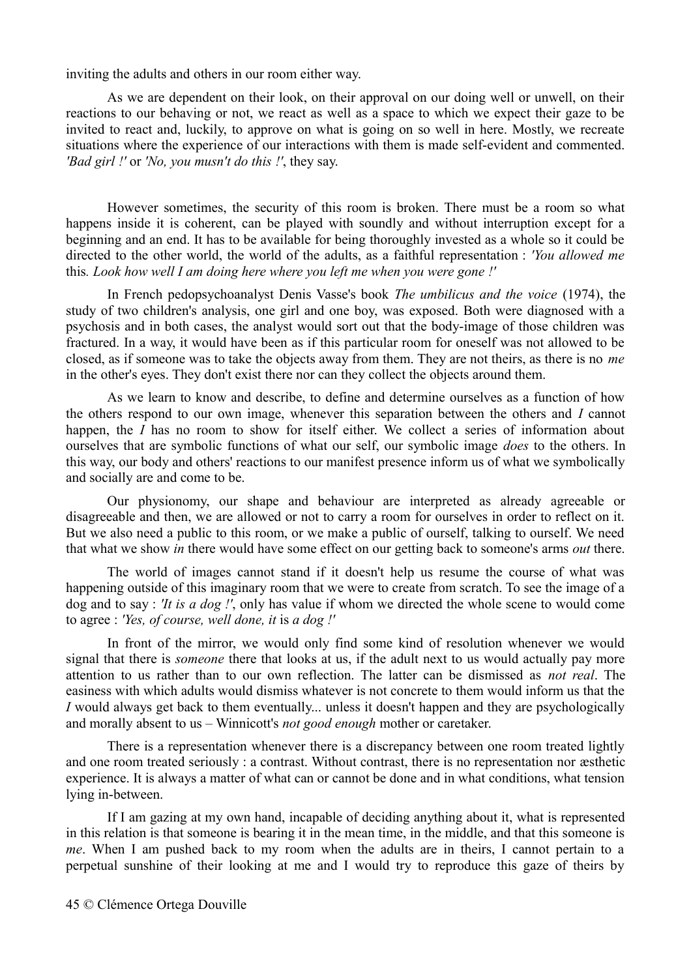inviting the adults and others in our room either way.

As we are dependent on their look, on their approval on our doing well or unwell, on their reactions to our behaving or not, we react as well as a space to which we expect their gaze to be invited to react and, luckily, to approve on what is going on so well in here. Mostly, we recreate situations where the experience of our interactions with them is made self-evident and commented. *'Bad girl !'* or *'No, you musn't do this !'*, they say.

However sometimes, the security of this room is broken. There must be a room so what happens inside it is coherent, can be played with soundly and without interruption except for a beginning and an end. It has to be available for being thoroughly invested as a whole so it could be directed to the other world, the world of the adults, as a faithful representation : *'You allowed me* this*. Look how well I am doing here where you left me when you were gone !'*

In French pedopsychoanalyst Denis Vasse's book *The umbilicus and the voice* (1974), the study of two children's analysis, one girl and one boy, was exposed. Both were diagnosed with a psychosis and in both cases, the analyst would sort out that the body-image of those children was fractured. In a way, it would have been as if this particular room for oneself was not allowed to be closed, as if someone was to take the objects away from them. They are not theirs, as there is no *me* in the other's eyes. They don't exist there nor can they collect the objects around them.

As we learn to know and describe, to define and determine ourselves as a function of how the others respond to our own image, whenever this separation between the others and *I* cannot happen, the *I* has no room to show for itself either. We collect a series of information about ourselves that are symbolic functions of what our self, our symbolic image *does* to the others. In this way, our body and others' reactions to our manifest presence inform us of what we symbolically and socially are and come to be.

Our physionomy, our shape and behaviour are interpreted as already agreeable or disagreeable and then, we are allowed or not to carry a room for ourselves in order to reflect on it. But we also need a public to this room, or we make a public of ourself, talking to ourself. We need that what we show *in* there would have some effect on our getting back to someone's arms *out* there.

The world of images cannot stand if it doesn't help us resume the course of what was happening outside of this imaginary room that we were to create from scratch. To see the image of a dog and to say : *'It is a dog !'*, only has value if whom we directed the whole scene to would come to agree : *'Yes, of course, well done, it* is *a dog !'*

In front of the mirror, we would only find some kind of resolution whenever we would signal that there is *someone* there that looks at us, if the adult next to us would actually pay more attention to us rather than to our own reflection. The latter can be dismissed as *not real*. The easiness with which adults would dismiss whatever is not concrete to them would inform us that the *I* would always get back to them eventually... unless it doesn't happen and they are psychologically and morally absent to us – Winnicott's *not good enough* mother or caretaker.

There is a representation whenever there is a discrepancy between one room treated lightly and one room treated seriously : a contrast. Without contrast, there is no representation nor æsthetic experience. It is always a matter of what can or cannot be done and in what conditions, what tension lying in-between.

If I am gazing at my own hand, incapable of deciding anything about it, what is represented in this relation is that someone is bearing it in the mean time, in the middle, and that this someone is *me*. When I am pushed back to my room when the adults are in theirs, I cannot pertain to a perpetual sunshine of their looking at me and I would try to reproduce this gaze of theirs by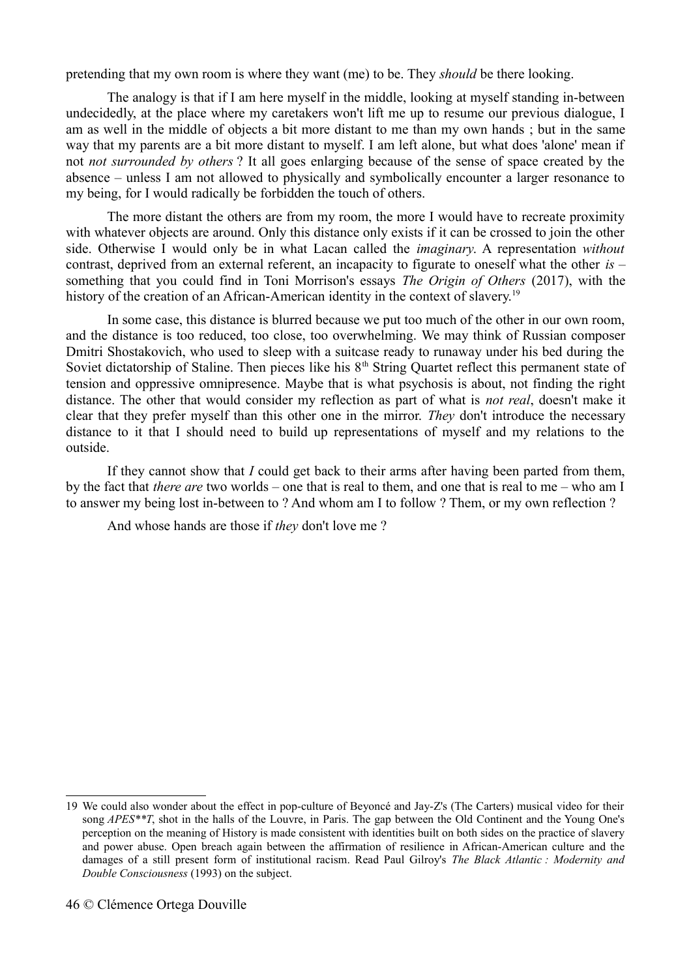pretending that my own room is where they want (me) to be. They *should* be there looking.

The analogy is that if I am here myself in the middle, looking at myself standing in-between undecidedly, at the place where my caretakers won't lift me up to resume our previous dialogue, I am as well in the middle of objects a bit more distant to me than my own hands ; but in the same way that my parents are a bit more distant to myself. I am left alone, but what does 'alone' mean if not *not surrounded by others* ? It all goes enlarging because of the sense of space created by the absence – unless I am not allowed to physically and symbolically encounter a larger resonance to my being, for I would radically be forbidden the touch of others.

The more distant the others are from my room, the more I would have to recreate proximity with whatever objects are around. Only this distance only exists if it can be crossed to join the other side. Otherwise I would only be in what Lacan called the *imaginary*. A representation *without* contrast, deprived from an external referent, an incapacity to figurate to oneself what the other *is –* something that you could find in Toni Morrison's essays *The Origin of Others* (2017), with the history of the creation of an African-American identity in the context of slavery.<sup>[19](#page-45-0)</sup>

In some case, this distance is blurred because we put too much of the other in our own room, and the distance is too reduced, too close, too overwhelming. We may think of Russian composer Dmitri Shostakovich, who used to sleep with a suitcase ready to runaway under his bed during the Soviet dictatorship of Staline. Then pieces like his  $8<sup>th</sup>$  String Quartet reflect this permanent state of tension and oppressive omnipresence. Maybe that is what psychosis is about, not finding the right distance. The other that would consider my reflection as part of what is *not real*, doesn't make it clear that they prefer myself than this other one in the mirror. *They* don't introduce the necessary distance to it that I should need to build up representations of myself and my relations to the outside.

If they cannot show that *I* could get back to their arms after having been parted from them, by the fact that *there are* two worlds – one that is real to them, and one that is real to me – who am I to answer my being lost in-between to ? And whom am I to follow ? Them, or my own reflection ?

And whose hands are those if *they* don't love me ?

<span id="page-45-0"></span><sup>19</sup> We could also wonder about the effect in pop-culture of Beyoncé and Jay-Z's (The Carters) musical video for their song *APES\*\*T*, shot in the halls of the Louvre, in Paris. The gap between the Old Continent and the Young One's perception on the meaning of History is made consistent with identities built on both sides on the practice of slavery and power abuse. Open breach again between the affirmation of resilience in African-American culture and the damages of a still present form of institutional racism. Read Paul Gilroy's *The Black Atlantic : Modernity and Double Consciousness* (1993) on the subject.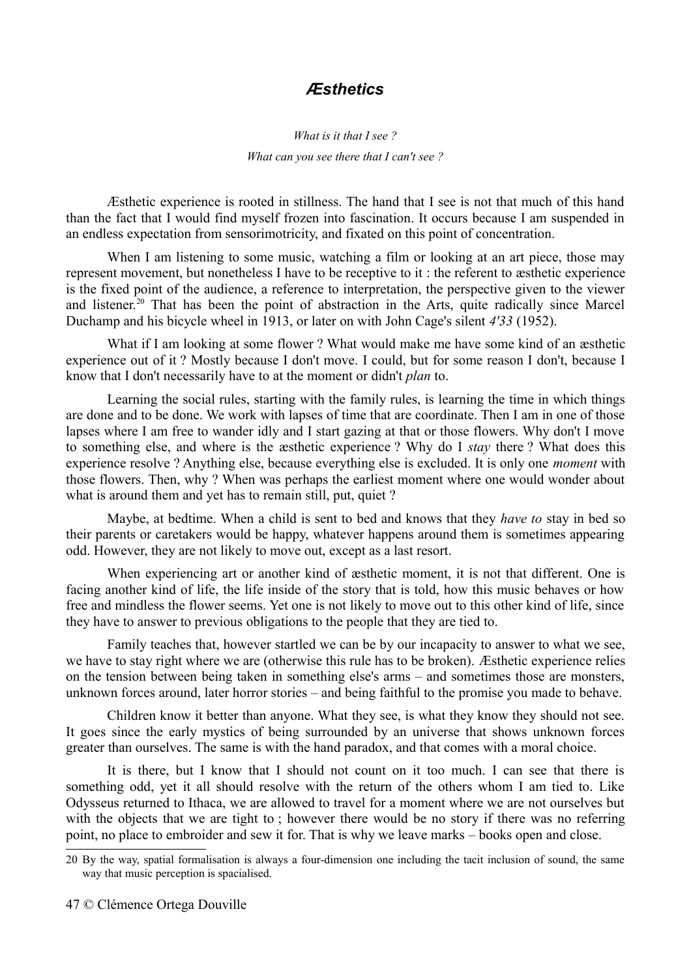## *Æsthetics*

### *What is it that I see ? What can you see there that I can't see ?*

Æsthetic experience is rooted in stillness. The hand that I see is not that much of this hand than the fact that I would find myself frozen into fascination. It occurs because I am suspended in an endless expectation from sensorimotricity, and fixated on this point of concentration.

When I am listening to some music, watching a film or looking at an art piece, those may represent movement, but nonetheless I have to be receptive to it : the referent to æsthetic experience is the fixed point of the audience, a reference to interpretation, the perspective given to the viewer and listener.<sup>[20](#page-46-0)</sup> That has been the point of abstraction in the Arts, quite radically since Marcel Duchamp and his bicycle wheel in 1913, or later on with John Cage's silent *4'33* (1952).

What if I am looking at some flower ? What would make me have some kind of an æsthetic experience out of it ? Mostly because I don't move. I could, but for some reason I don't, because I know that I don't necessarily have to at the moment or didn't *plan* to.

Learning the social rules, starting with the family rules, is learning the time in which things are done and to be done. We work with lapses of time that are coordinate. Then I am in one of those lapses where I am free to wander idly and I start gazing at that or those flowers. Why don't I move to something else, and where is the æsthetic experience ? Why do I *stay* there ? What does this experience resolve ? Anything else, because everything else is excluded. It is only one *moment* with those flowers. Then, why ? When was perhaps the earliest moment where one would wonder about what is around them and yet has to remain still, put, quiet ?

Maybe, at bedtime. When a child is sent to bed and knows that they *have to* stay in bed so their parents or caretakers would be happy, whatever happens around them is sometimes appearing odd. However, they are not likely to move out, except as a last resort.

When experiencing art or another kind of æsthetic moment, it is not that different. One is facing another kind of life, the life inside of the story that is told, how this music behaves or how free and mindless the flower seems. Yet one is not likely to move out to this other kind of life, since they have to answer to previous obligations to the people that they are tied to.

Family teaches that, however startled we can be by our incapacity to answer to what we see, we have to stay right where we are (otherwise this rule has to be broken). Æsthetic experience relies on the tension between being taken in something else's arms – and sometimes those are monsters, unknown forces around, later horror stories – and being faithful to the promise you made to behave.

Children know it better than anyone. What they see, is what they know they should not see. It goes since the early mystics of being surrounded by an universe that shows unknown forces greater than ourselves. The same is with the hand paradox, and that comes with a moral choice.

It is there, but I know that I should not count on it too much. I can see that there is something odd, yet it all should resolve with the return of the others whom I am tied to. Like Odysseus returned to Ithaca, we are allowed to travel for a moment where we are not ourselves but with the objects that we are tight to; however there would be no story if there was no referring point, no place to embroider and sew it for. That is why we leave marks – books open and close.

<span id="page-46-0"></span><sup>20</sup> By the way, spatial formalisation is always a four-dimension one including the tacit inclusion of sound, the same way that music perception is spacialised.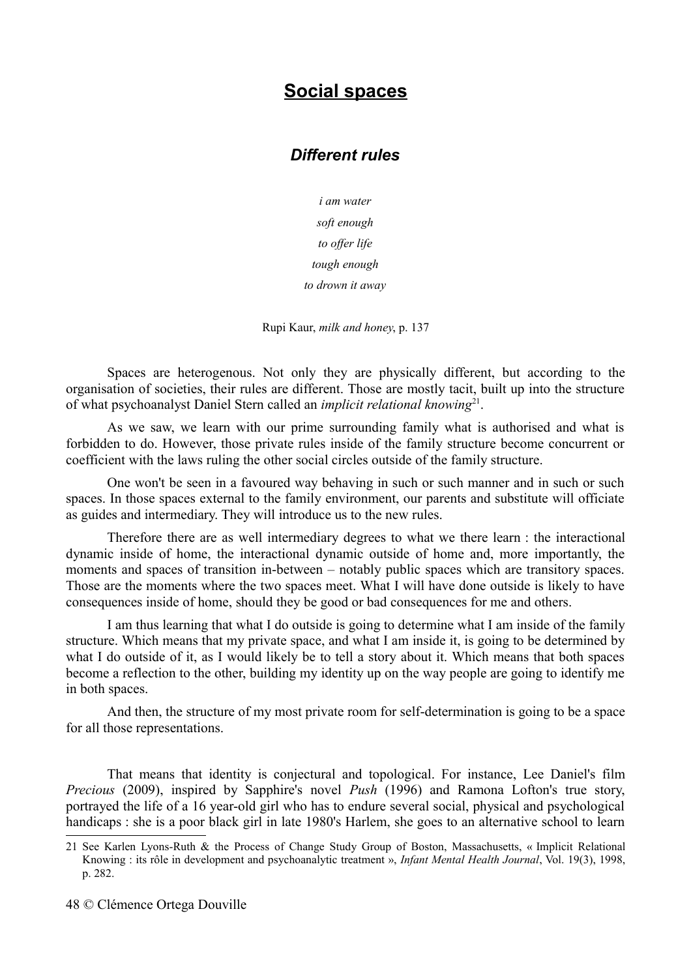# **Social spaces**

### *Different rules*

*i am water soft enough to offer life tough enough to drown it away*

Rupi Kaur, *milk and honey*, p. 137

Spaces are heterogenous. Not only they are physically different, but according to the organisation of societies, their rules are different. Those are mostly tacit, built up into the structure of what psychoanalyst Daniel Stern called an *implicit relational knowing*<sup>[21](#page-47-0)</sup>.

As we saw, we learn with our prime surrounding family what is authorised and what is forbidden to do. However, those private rules inside of the family structure become concurrent or coefficient with the laws ruling the other social circles outside of the family structure.

One won't be seen in a favoured way behaving in such or such manner and in such or such spaces. In those spaces external to the family environment, our parents and substitute will officiate as guides and intermediary. They will introduce us to the new rules.

Therefore there are as well intermediary degrees to what we there learn : the interactional dynamic inside of home, the interactional dynamic outside of home and, more importantly, the moments and spaces of transition in-between – notably public spaces which are transitory spaces. Those are the moments where the two spaces meet. What I will have done outside is likely to have consequences inside of home, should they be good or bad consequences for me and others.

I am thus learning that what I do outside is going to determine what I am inside of the family structure. Which means that my private space, and what I am inside it, is going to be determined by what I do outside of it, as I would likely be to tell a story about it. Which means that both spaces become a reflection to the other, building my identity up on the way people are going to identify me in both spaces.

And then, the structure of my most private room for self-determination is going to be a space for all those representations.

That means that identity is conjectural and topological. For instance, Lee Daniel's film *Precious* (2009), inspired by Sapphire's novel *Push* (1996) and Ramona Lofton's true story, portrayed the life of a 16 year-old girl who has to endure several social, physical and psychological handicaps : she is a poor black girl in late 1980's Harlem, she goes to an alternative school to learn

<span id="page-47-0"></span><sup>21</sup> See Karlen Lyons-Ruth & the Process of Change Study Group of Boston, Massachusetts, « Implicit Relational Knowing : its rôle in development and psychoanalytic treatment », *Infant Mental Health Journal*, Vol. 19(3), 1998, p. 282.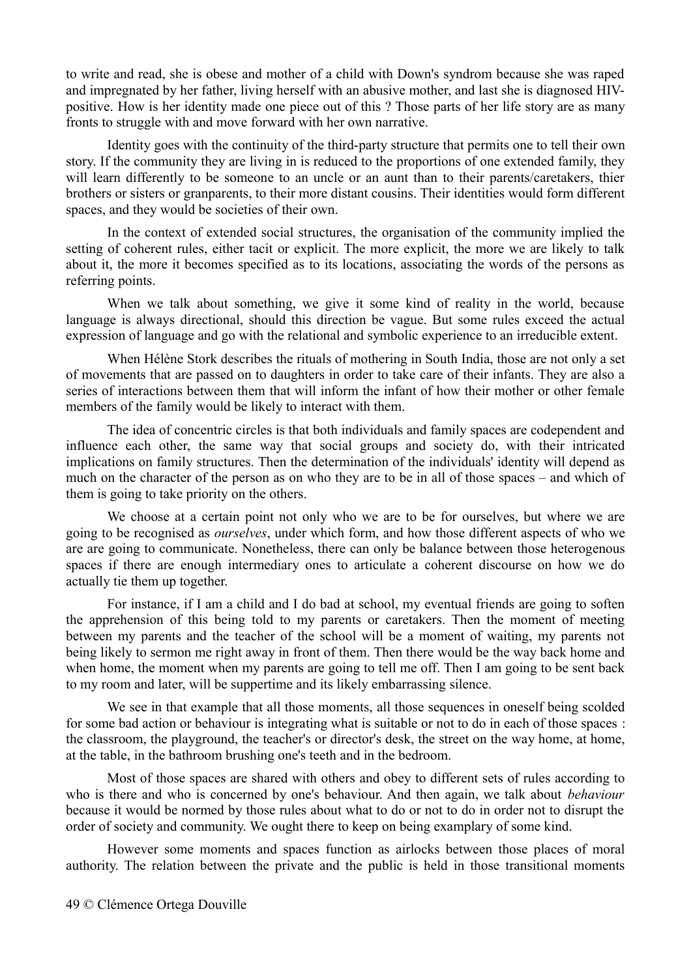to write and read, she is obese and mother of a child with Down's syndrom because she was raped and impregnated by her father, living herself with an abusive mother, and last she is diagnosed HIVpositive. How is her identity made one piece out of this ? Those parts of her life story are as many fronts to struggle with and move forward with her own narrative.

Identity goes with the continuity of the third-party structure that permits one to tell their own story. If the community they are living in is reduced to the proportions of one extended family, they will learn differently to be someone to an uncle or an aunt than to their parents/caretakers, thier brothers or sisters or granparents, to their more distant cousins. Their identities would form different spaces, and they would be societies of their own.

In the context of extended social structures, the organisation of the community implied the setting of coherent rules, either tacit or explicit. The more explicit, the more we are likely to talk about it, the more it becomes specified as to its locations, associating the words of the persons as referring points.

When we talk about something, we give it some kind of reality in the world, because language is always directional, should this direction be vague. But some rules exceed the actual expression of language and go with the relational and symbolic experience to an irreducible extent.

When Hélène Stork describes the rituals of mothering in South India, those are not only a set of movements that are passed on to daughters in order to take care of their infants. They are also a series of interactions between them that will inform the infant of how their mother or other female members of the family would be likely to interact with them.

The idea of concentric circles is that both individuals and family spaces are codependent and influence each other, the same way that social groups and society do, with their intricated implications on family structures. Then the determination of the individuals' identity will depend as much on the character of the person as on who they are to be in all of those spaces – and which of them is going to take priority on the others.

We choose at a certain point not only who we are to be for ourselves, but where we are going to be recognised as *ourselves*, under which form, and how those different aspects of who we are are going to communicate. Nonetheless, there can only be balance between those heterogenous spaces if there are enough intermediary ones to articulate a coherent discourse on how we do actually tie them up together.

For instance, if I am a child and I do bad at school, my eventual friends are going to soften the apprehension of this being told to my parents or caretakers. Then the moment of meeting between my parents and the teacher of the school will be a moment of waiting, my parents not being likely to sermon me right away in front of them. Then there would be the way back home and when home, the moment when my parents are going to tell me off. Then I am going to be sent back to my room and later, will be suppertime and its likely embarrassing silence.

We see in that example that all those moments, all those sequences in oneself being scolded for some bad action or behaviour is integrating what is suitable or not to do in each of those spaces : the classroom, the playground, the teacher's or director's desk, the street on the way home, at home, at the table, in the bathroom brushing one's teeth and in the bedroom.

Most of those spaces are shared with others and obey to different sets of rules according to who is there and who is concerned by one's behaviour. And then again, we talk about *behaviour* because it would be normed by those rules about what to do or not to do in order not to disrupt the order of society and community. We ought there to keep on being examplary of some kind.

However some moments and spaces function as airlocks between those places of moral authority. The relation between the private and the public is held in those transitional moments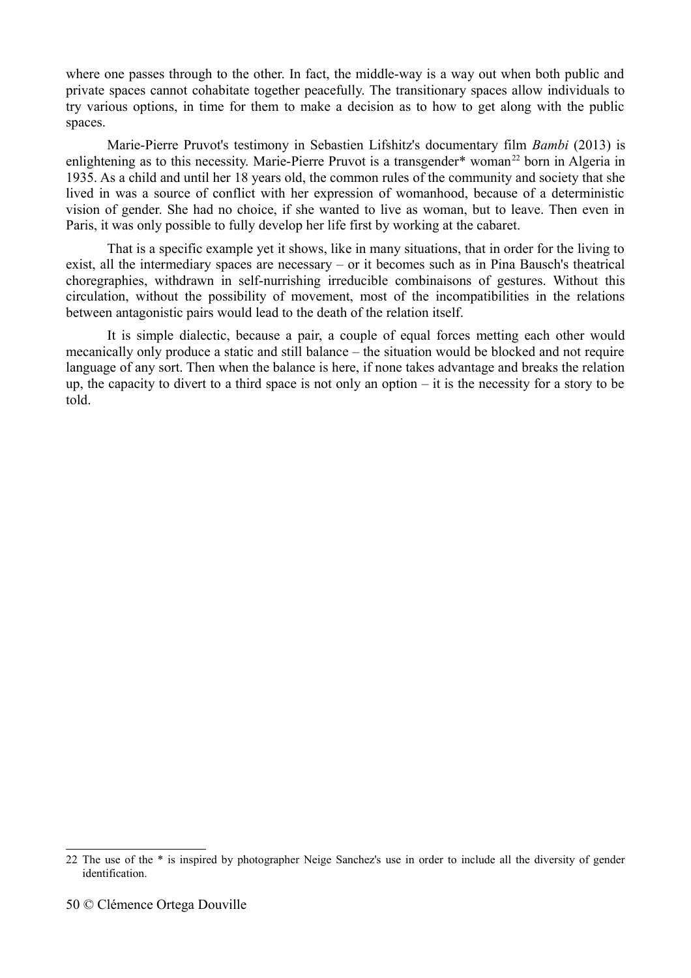where one passes through to the other. In fact, the middle-way is a way out when both public and private spaces cannot cohabitate together peacefully. The transitionary spaces allow individuals to try various options, in time for them to make a decision as to how to get along with the public spaces.

Marie-Pierre Pruvot's testimony in Sebastien Lifshitz's documentary film *Bambi* (2013) is enlightening as to this necessity. Marie-Pierre Pruvot is a transgender\* woman<sup>[22](#page-49-0)</sup> born in Algeria in 1935. As a child and until her 18 years old, the common rules of the community and society that she lived in was a source of conflict with her expression of womanhood, because of a deterministic vision of gender. She had no choice, if she wanted to live as woman, but to leave. Then even in Paris, it was only possible to fully develop her life first by working at the cabaret.

That is a specific example yet it shows, like in many situations, that in order for the living to exist, all the intermediary spaces are necessary – or it becomes such as in Pina Bausch's theatrical choregraphies, withdrawn in self-nurrishing irreducible combinaisons of gestures. Without this circulation, without the possibility of movement, most of the incompatibilities in the relations between antagonistic pairs would lead to the death of the relation itself.

It is simple dialectic, because a pair, a couple of equal forces metting each other would mecanically only produce a static and still balance – the situation would be blocked and not require language of any sort. Then when the balance is here, if none takes advantage and breaks the relation up, the capacity to divert to a third space is not only an option – it is the necessity for a story to be told.

<span id="page-49-0"></span><sup>22</sup> The use of the \* is inspired by photographer Neige Sanchez's use in order to include all the diversity of gender identification.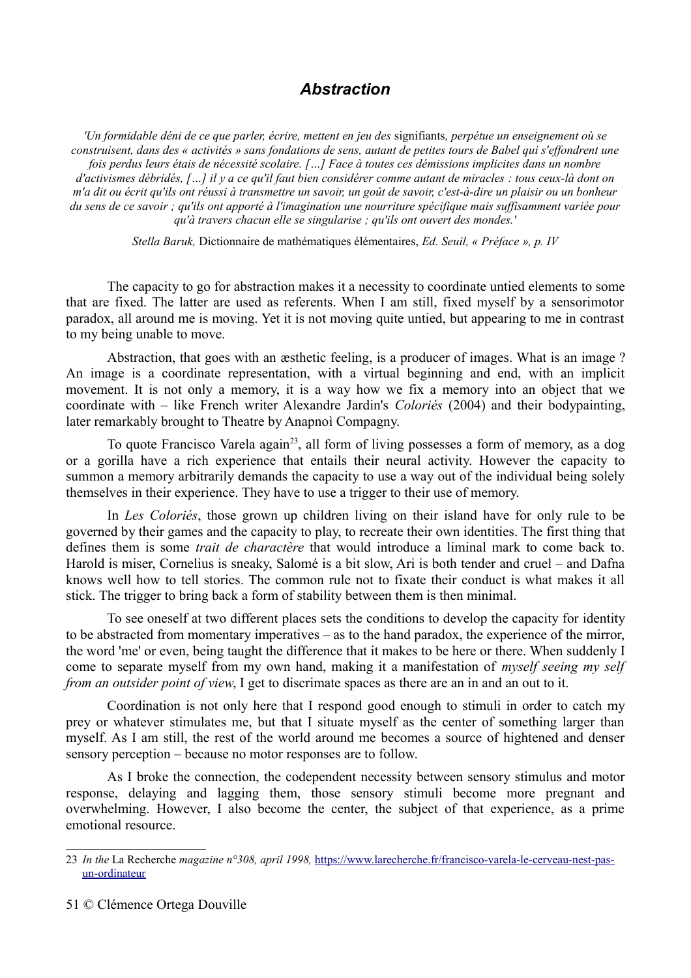## *Abstraction*

*'Un formidable déni de ce que parler, écrire, mettent en jeu des* signifiants*, perpétue un enseignement où se construisent, dans des « activités » sans fondations de sens, autant de petites tours de Babel qui s'effondrent une fois perdus leurs étais de nécessité scolaire. […] Face à toutes ces démissions implicites dans un nombre d'activismes débridés, […] il y a ce qu'il faut bien considérer comme autant de miracles : tous ceux-là dont on m'a dit ou écrit qu'ils ont réussi à transmettre un savoir, un goût de savoir, c'est-à-dire un plaisir ou un bonheur du sens de ce savoir ; qu'ils ont apporté à l'imagination une nourriture spécifique mais suffisamment variée pour qu'à travers chacun elle se singularise ; qu'ils ont ouvert des mondes.'*

*Stella Baruk,* Dictionnaire de mathématiques élémentaires, *Ed. Seuil, « Préface », p. IV*

The capacity to go for abstraction makes it a necessity to coordinate untied elements to some that are fixed. The latter are used as referents. When I am still, fixed myself by a sensorimotor paradox, all around me is moving. Yet it is not moving quite untied, but appearing to me in contrast to my being unable to move.

Abstraction, that goes with an æsthetic feeling, is a producer of images. What is an image ? An image is a coordinate representation, with a virtual beginning and end, with an implicit movement. It is not only a memory, it is a way how we fix a memory into an object that we coordinate with – like French writer Alexandre Jardin's *Coloriés* (2004) and their bodypainting, later remarkably brought to Theatre by Anapnoì Compagny.

To quote Francisco Varela again<sup>[23](#page-50-0)</sup>, all form of living possesses a form of memory, as a dog or a gorilla have a rich experience that entails their neural activity. However the capacity to summon a memory arbitrarily demands the capacity to use a way out of the individual being solely themselves in their experience. They have to use a trigger to their use of memory.

In *Les Coloriés*, those grown up children living on their island have for only rule to be governed by their games and the capacity to play, to recreate their own identities. The first thing that defines them is some *trait de charactère* that would introduce a liminal mark to come back to. Harold is miser, Cornelius is sneaky, Salomé is a bit slow, Ari is both tender and cruel – and Dafna knows well how to tell stories. The common rule not to fixate their conduct is what makes it all stick. The trigger to bring back a form of stability between them is then minimal.

To see oneself at two different places sets the conditions to develop the capacity for identity to be abstracted from momentary imperatives – as to the hand paradox, the experience of the mirror, the word 'me' or even, being taught the difference that it makes to be here or there. When suddenly I come to separate myself from my own hand, making it a manifestation of *myself seeing my self from an outsider point of view*, I get to discrimate spaces as there are an in and an out to it.

Coordination is not only here that I respond good enough to stimuli in order to catch my prey or whatever stimulates me, but that I situate myself as the center of something larger than myself. As I am still, the rest of the world around me becomes a source of hightened and denser sensory perception – because no motor responses are to follow.

As I broke the connection, the codependent necessity between sensory stimulus and motor response, delaying and lagging them, those sensory stimuli become more pregnant and overwhelming. However, I also become the center, the subject of that experience, as a prime emotional resource.

<span id="page-50-0"></span><sup>23</sup> *In the* La Recherche *magazine n°308, april 1998,* [https://www.larecherche.fr/francisco-varela-le-cerveau-nest-pas](https://www.larecherche.fr/francisco-varela-le-cerveau-nest-pas-un-ordinateur)[un-ordinateur](https://www.larecherche.fr/francisco-varela-le-cerveau-nest-pas-un-ordinateur)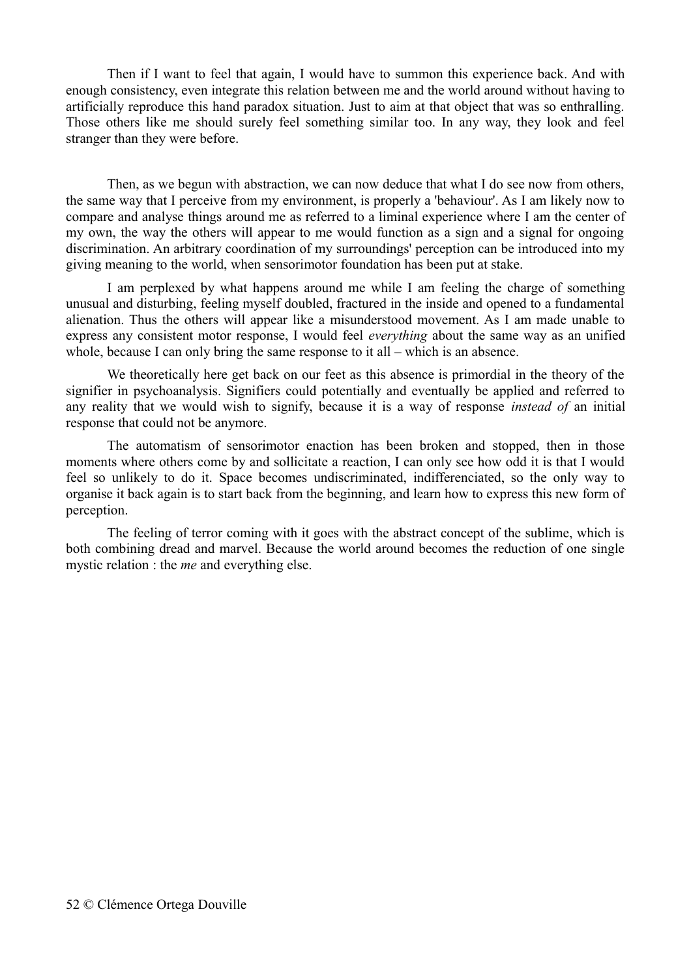Then if I want to feel that again, I would have to summon this experience back. And with enough consistency, even integrate this relation between me and the world around without having to artificially reproduce this hand paradox situation. Just to aim at that object that was so enthralling. Those others like me should surely feel something similar too. In any way, they look and feel stranger than they were before.

Then, as we begun with abstraction, we can now deduce that what I do see now from others, the same way that I perceive from my environment, is properly a 'behaviour'. As I am likely now to compare and analyse things around me as referred to a liminal experience where I am the center of my own, the way the others will appear to me would function as a sign and a signal for ongoing discrimination. An arbitrary coordination of my surroundings' perception can be introduced into my giving meaning to the world, when sensorimotor foundation has been put at stake.

I am perplexed by what happens around me while I am feeling the charge of something unusual and disturbing, feeling myself doubled, fractured in the inside and opened to a fundamental alienation. Thus the others will appear like a misunderstood movement. As I am made unable to express any consistent motor response, I would feel *everything* about the same way as an unified whole, because I can only bring the same response to it all – which is an absence.

We theoretically here get back on our feet as this absence is primordial in the theory of the signifier in psychoanalysis. Signifiers could potentially and eventually be applied and referred to any reality that we would wish to signify, because it is a way of response *instead of* an initial response that could not be anymore.

The automatism of sensorimotor enaction has been broken and stopped, then in those moments where others come by and sollicitate a reaction, I can only see how odd it is that I would feel so unlikely to do it. Space becomes undiscriminated, indifferenciated, so the only way to organise it back again is to start back from the beginning, and learn how to express this new form of perception.

The feeling of terror coming with it goes with the abstract concept of the sublime, which is both combining dread and marvel. Because the world around becomes the reduction of one single mystic relation : the *me* and everything else.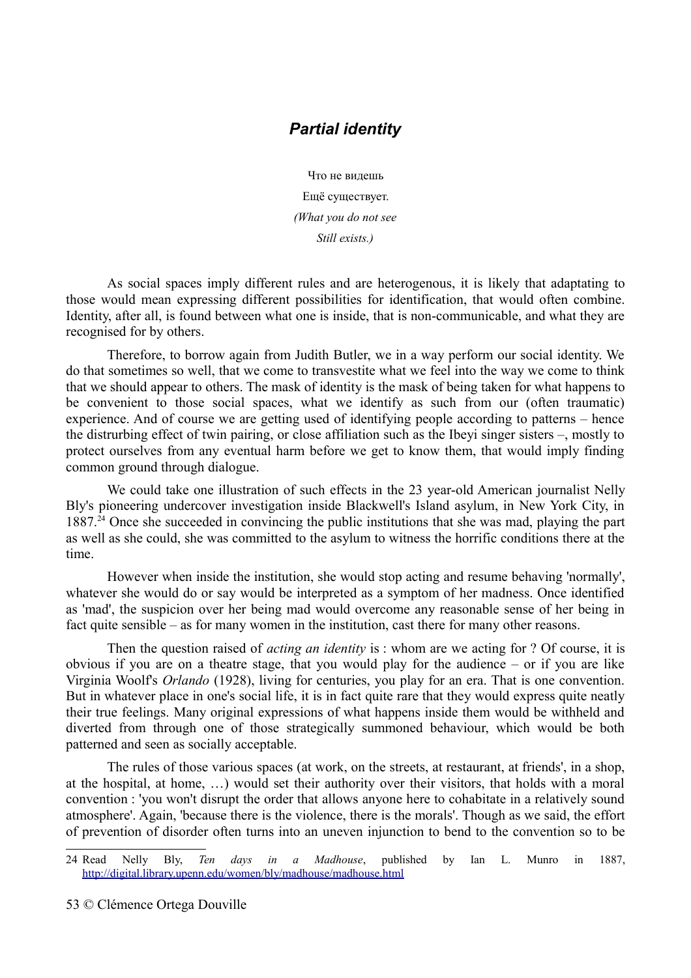### *Partial identity*

Что не видешь Ещё существует. *(What you do not see Still exists.)*

As social spaces imply different rules and are heterogenous, it is likely that adaptating to those would mean expressing different possibilities for identification, that would often combine. Identity, after all, is found between what one is inside, that is non-communicable, and what they are recognised for by others.

Therefore, to borrow again from Judith Butler, we in a way perform our social identity. We do that sometimes so well, that we come to transvestite what we feel into the way we come to think that we should appear to others. The mask of identity is the mask of being taken for what happens to be convenient to those social spaces, what we identify as such from our (often traumatic) experience. And of course we are getting used of identifying people according to patterns – hence the distrurbing effect of twin pairing, or close affiliation such as the Ibeyi singer sisters –, mostly to protect ourselves from any eventual harm before we get to know them, that would imply finding common ground through dialogue.

We could take one illustration of such effects in the 23 year-old American journalist Nelly Bly's pioneering undercover investigation inside Blackwell's Island asylum, in New York City, in  $1887<sup>24</sup>$  $1887<sup>24</sup>$  $1887<sup>24</sup>$  Once she succeeded in convincing the public institutions that she was mad, playing the part as well as she could, she was committed to the asylum to witness the horrific conditions there at the time.

However when inside the institution, she would stop acting and resume behaving 'normally', whatever she would do or say would be interpreted as a symptom of her madness. Once identified as 'mad', the suspicion over her being mad would overcome any reasonable sense of her being in fact quite sensible – as for many women in the institution, cast there for many other reasons.

Then the question raised of *acting an identity* is : whom are we acting for ? Of course, it is obvious if you are on a theatre stage, that you would play for the audience – or if you are like Virginia Woolf's *Orlando* (1928), living for centuries, you play for an era. That is one convention. But in whatever place in one's social life, it is in fact quite rare that they would express quite neatly their true feelings. Many original expressions of what happens inside them would be withheld and diverted from through one of those strategically summoned behaviour, which would be both patterned and seen as socially acceptable.

The rules of those various spaces (at work, on the streets, at restaurant, at friends', in a shop, at the hospital, at home, …) would set their authority over their visitors, that holds with a moral convention : 'you won't disrupt the order that allows anyone here to cohabitate in a relatively sound atmosphere'. Again, 'because there is the violence, there is the morals'. Though as we said, the effort of prevention of disorder often turns into an uneven injunction to bend to the convention so to be

<span id="page-52-0"></span><sup>24</sup> Read Nelly Bly, *Ten days in a Madhouse*, published by Ian L. Munro in 1887, <http://digital.library.upenn.edu/women/bly/madhouse/madhouse.html>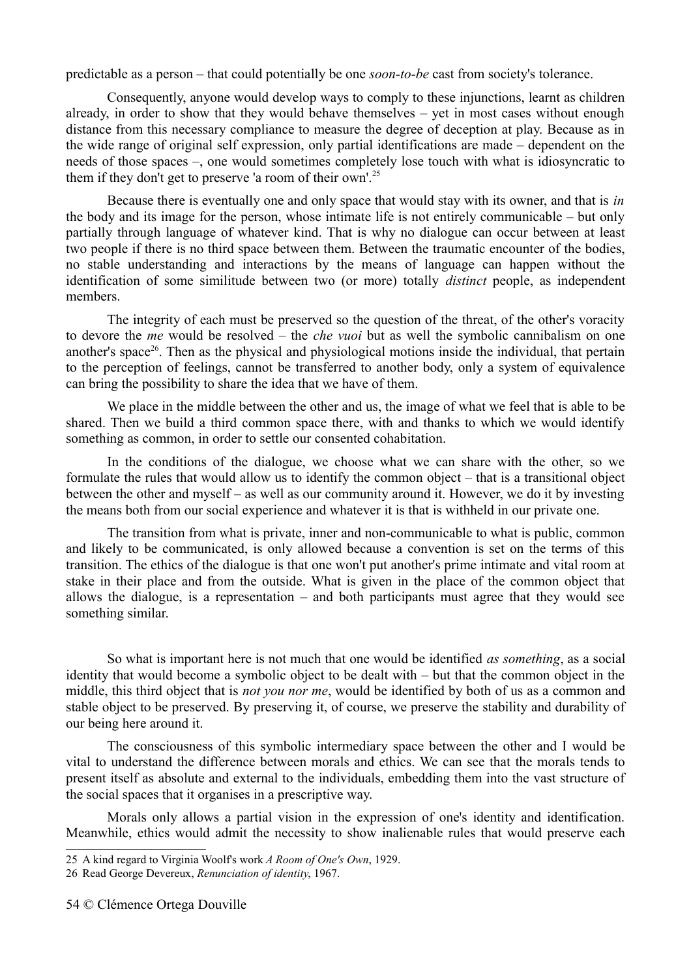predictable as a person – that could potentially be one *soon-to-be* cast from society's tolerance.

Consequently, anyone would develop ways to comply to these injunctions, learnt as children already, in order to show that they would behave themselves – yet in most cases without enough distance from this necessary compliance to measure the degree of deception at play. Because as in the wide range of original self expression, only partial identifications are made – dependent on the needs of those spaces –, one would sometimes completely lose touch with what is idiosyncratic to them if they don't get to preserve 'a room of their own'.[25](#page-53-0)

Because there is eventually one and only space that would stay with its owner, and that is *in* the body and its image for the person, whose intimate life is not entirely communicable – but only partially through language of whatever kind. That is why no dialogue can occur between at least two people if there is no third space between them. Between the traumatic encounter of the bodies, no stable understanding and interactions by the means of language can happen without the identification of some similitude between two (or more) totally *distinct* people, as independent members.

The integrity of each must be preserved so the question of the threat, of the other's voracity to devore the *me* would be resolved – the *che vuoi* but as well the symbolic cannibalism on one another's space<sup>[26](#page-53-1)</sup>. Then as the physical and physiological motions inside the individual, that pertain to the perception of feelings, cannot be transferred to another body, only a system of equivalence can bring the possibility to share the idea that we have of them.

We place in the middle between the other and us, the image of what we feel that is able to be shared. Then we build a third common space there, with and thanks to which we would identify something as common, in order to settle our consented cohabitation.

In the conditions of the dialogue, we choose what we can share with the other, so we formulate the rules that would allow us to identify the common object – that is a transitional object between the other and myself – as well as our community around it. However, we do it by investing the means both from our social experience and whatever it is that is withheld in our private one.

The transition from what is private, inner and non-communicable to what is public, common and likely to be communicated, is only allowed because a convention is set on the terms of this transition. The ethics of the dialogue is that one won't put another's prime intimate and vital room at stake in their place and from the outside. What is given in the place of the common object that allows the dialogue, is a representation – and both participants must agree that they would see something similar.

So what is important here is not much that one would be identified *as something*, as a social identity that would become a symbolic object to be dealt with – but that the common object in the middle, this third object that is *not you nor me*, would be identified by both of us as a common and stable object to be preserved. By preserving it, of course, we preserve the stability and durability of our being here around it.

The consciousness of this symbolic intermediary space between the other and I would be vital to understand the difference between morals and ethics. We can see that the morals tends to present itself as absolute and external to the individuals, embedding them into the vast structure of the social spaces that it organises in a prescriptive way.

Morals only allows a partial vision in the expression of one's identity and identification. Meanwhile, ethics would admit the necessity to show inalienable rules that would preserve each

<span id="page-53-0"></span><sup>25</sup> A kind regard to Virginia Woolf's work *A Room of One's Own*, 1929.

<span id="page-53-1"></span><sup>26</sup> Read George Devereux, *Renunciation of identity*, 1967.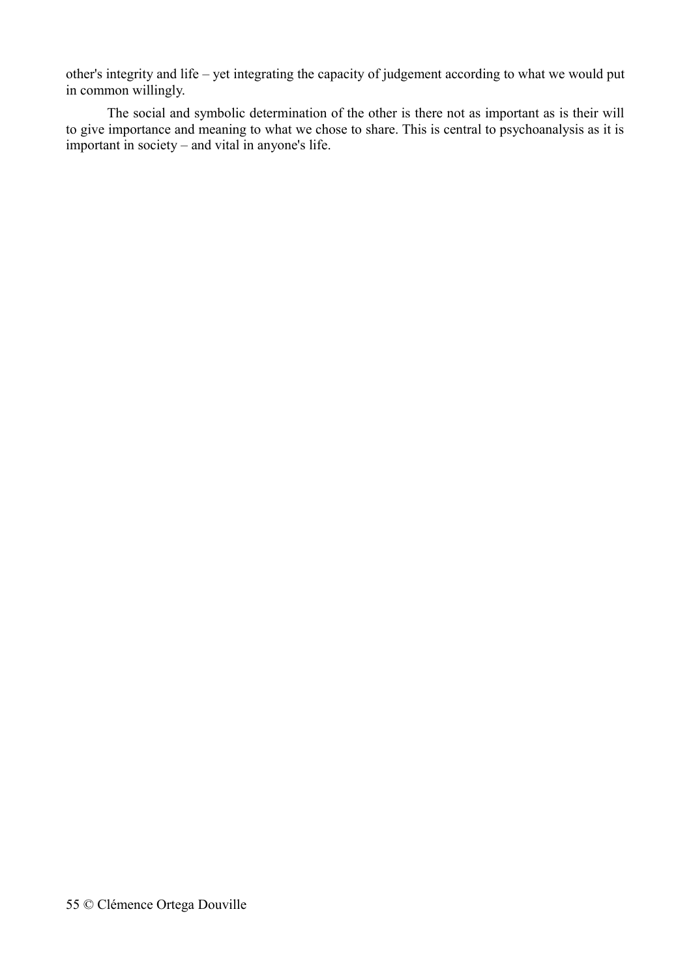other's integrity and life – yet integrating the capacity of judgement according to what we would put in common willingly.

The social and symbolic determination of the other is there not as important as is their will to give importance and meaning to what we chose to share. This is central to psychoanalysis as it is important in society – and vital in anyone's life.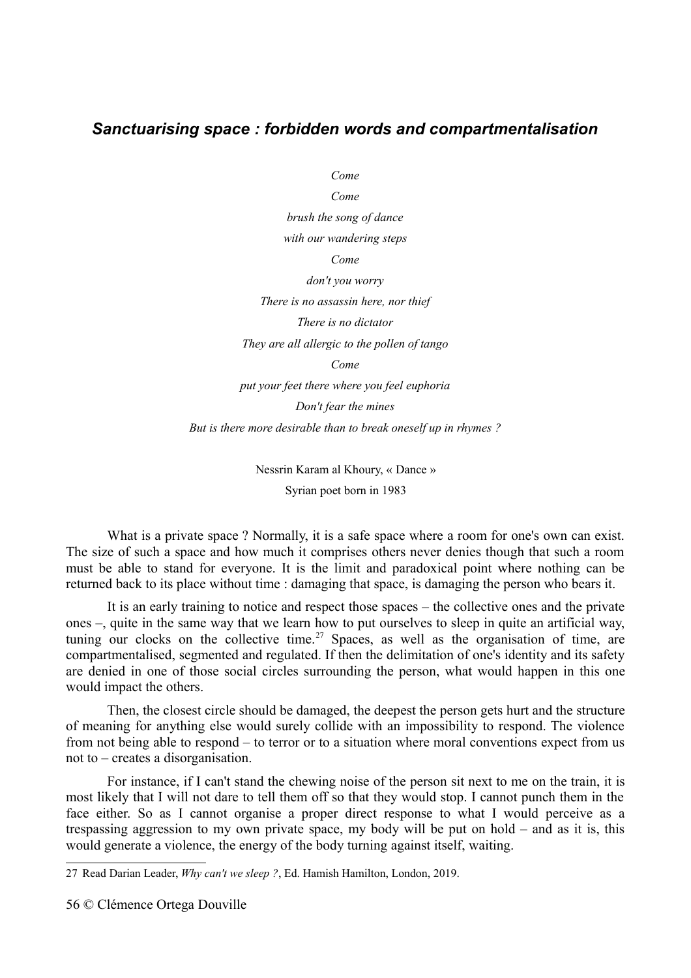### *Sanctuarising space : forbidden words and compartmentalisation*

*Come*

*Come brush the song of dance with our wandering steps Come don't you worry There is no assassin here, nor thief There is no dictator They are all allergic to the pollen of tango Come put your feet there where you feel euphoria Don't fear the mines But is there more desirable than to break oneself up in rhymes ?*

> Nessrin Karam al Khoury, « Dance » Syrian poet born in 1983

What is a private space ? Normally, it is a safe space where a room for one's own can exist. The size of such a space and how much it comprises others never denies though that such a room must be able to stand for everyone. It is the limit and paradoxical point where nothing can be returned back to its place without time : damaging that space, is damaging the person who bears it.

It is an early training to notice and respect those spaces – the collective ones and the private ones –, quite in the same way that we learn how to put ourselves to sleep in quite an artificial way, tuning our clocks on the collective time.<sup>[27](#page-55-0)</sup> Spaces, as well as the organisation of time, are compartmentalised, segmented and regulated. If then the delimitation of one's identity and its safety are denied in one of those social circles surrounding the person, what would happen in this one would impact the others.

Then, the closest circle should be damaged, the deepest the person gets hurt and the structure of meaning for anything else would surely collide with an impossibility to respond. The violence from not being able to respond – to terror or to a situation where moral conventions expect from us not to – creates a disorganisation.

For instance, if I can't stand the chewing noise of the person sit next to me on the train, it is most likely that I will not dare to tell them off so that they would stop. I cannot punch them in the face either. So as I cannot organise a proper direct response to what I would perceive as a trespassing aggression to my own private space, my body will be put on hold – and as it is, this would generate a violence, the energy of the body turning against itself, waiting.

56 © Clémence Ortega Douville

<span id="page-55-0"></span><sup>27</sup> Read Darian Leader, *Why can't we sleep ?*, Ed. Hamish Hamilton, London, 2019.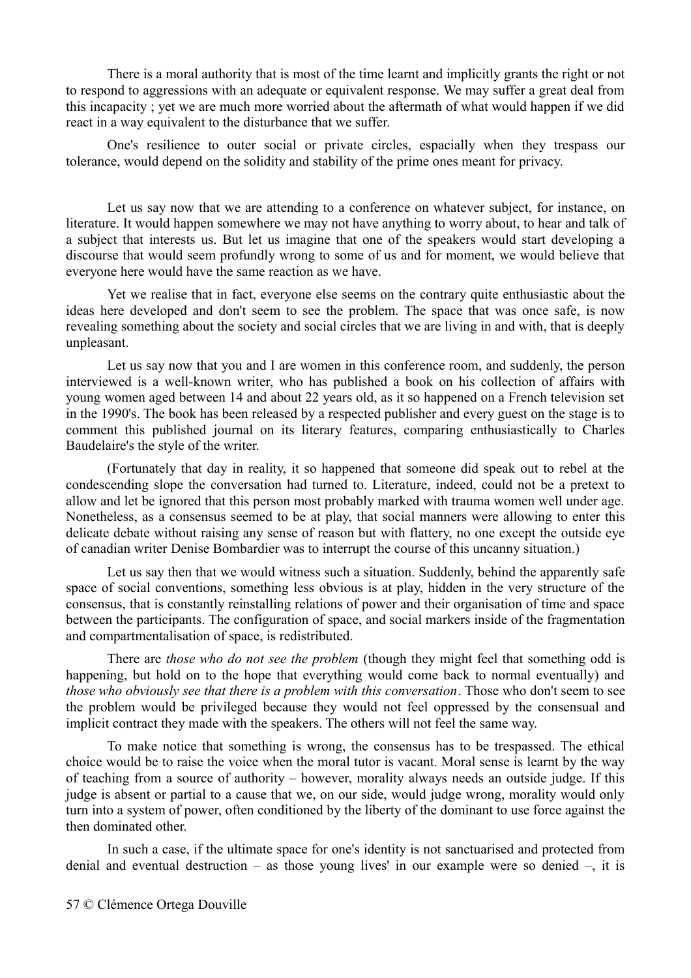There is a moral authority that is most of the time learnt and implicitly grants the right or not to respond to aggressions with an adequate or equivalent response. We may suffer a great deal from this incapacity ; yet we are much more worried about the aftermath of what would happen if we did react in a way equivalent to the disturbance that we suffer.

One's resilience to outer social or private circles, espacially when they trespass our tolerance, would depend on the solidity and stability of the prime ones meant for privacy.

Let us say now that we are attending to a conference on whatever subject, for instance, on literature. It would happen somewhere we may not have anything to worry about, to hear and talk of a subject that interests us. But let us imagine that one of the speakers would start developing a discourse that would seem profundly wrong to some of us and for moment, we would believe that everyone here would have the same reaction as we have.

Yet we realise that in fact, everyone else seems on the contrary quite enthusiastic about the ideas here developed and don't seem to see the problem. The space that was once safe, is now revealing something about the society and social circles that we are living in and with, that is deeply unpleasant.

Let us say now that you and I are women in this conference room, and suddenly, the person interviewed is a well-known writer, who has published a book on his collection of affairs with young women aged between 14 and about 22 years old, as it so happened on a French television set in the 1990's. The book has been released by a respected publisher and every guest on the stage is to comment this published journal on its literary features, comparing enthusiastically to Charles Baudelaire's the style of the writer.

(Fortunately that day in reality, it so happened that someone did speak out to rebel at the condescending slope the conversation had turned to. Literature, indeed, could not be a pretext to allow and let be ignored that this person most probably marked with trauma women well under age. Nonetheless, as a consensus seemed to be at play, that social manners were allowing to enter this delicate debate without raising any sense of reason but with flattery, no one except the outside eye of canadian writer Denise Bombardier was to interrupt the course of this uncanny situation.)

Let us say then that we would witness such a situation. Suddenly, behind the apparently safe space of social conventions, something less obvious is at play, hidden in the very structure of the consensus, that is constantly reinstalling relations of power and their organisation of time and space between the participants. The configuration of space, and social markers inside of the fragmentation and compartmentalisation of space, is redistributed.

There are *those who do not see the problem* (though they might feel that something odd is happening, but hold on to the hope that everything would come back to normal eventually) and *those who obviously see that there is a problem with this conversation*. Those who don't seem to see the problem would be privileged because they would not feel oppressed by the consensual and implicit contract they made with the speakers. The others will not feel the same way.

To make notice that something is wrong, the consensus has to be trespassed. The ethical choice would be to raise the voice when the moral tutor is vacant. Moral sense is learnt by the way of teaching from a source of authority – however, morality always needs an outside judge. If this judge is absent or partial to a cause that we, on our side, would judge wrong, morality would only turn into a system of power, often conditioned by the liberty of the dominant to use force against the then dominated other.

In such a case, if the ultimate space for one's identity is not sanctuarised and protected from denial and eventual destruction – as those young lives' in our example were so denied –, it is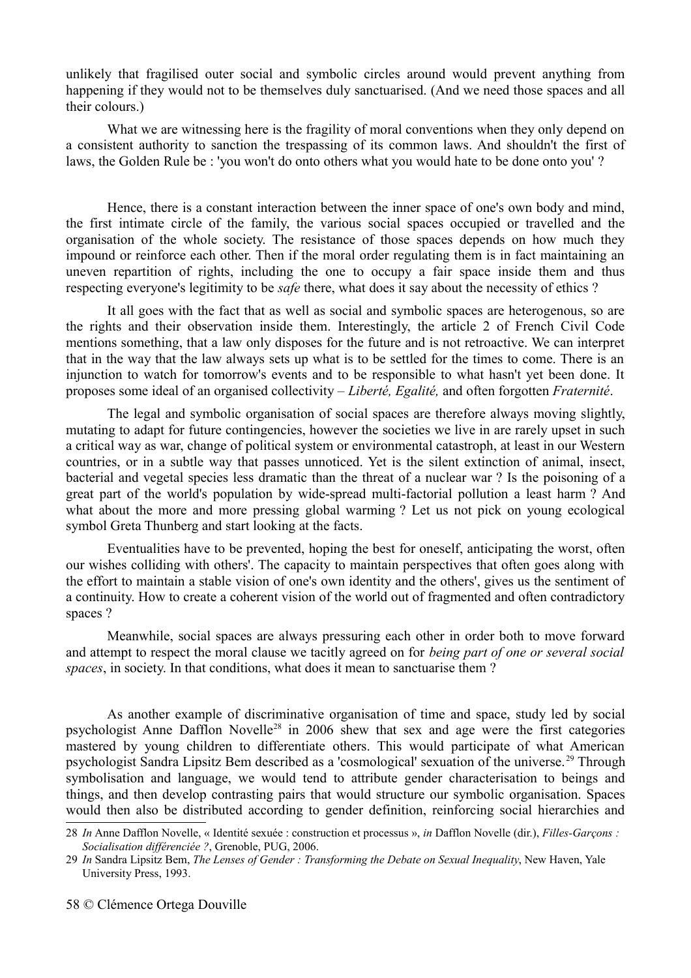unlikely that fragilised outer social and symbolic circles around would prevent anything from happening if they would not to be themselves duly sanctuarised. (And we need those spaces and all their colours.)

What we are witnessing here is the fragility of moral conventions when they only depend on a consistent authority to sanction the trespassing of its common laws. And shouldn't the first of laws, the Golden Rule be : 'you won't do onto others what you would hate to be done onto you' ?

Hence, there is a constant interaction between the inner space of one's own body and mind, the first intimate circle of the family, the various social spaces occupied or travelled and the organisation of the whole society. The resistance of those spaces depends on how much they impound or reinforce each other. Then if the moral order regulating them is in fact maintaining an uneven repartition of rights, including the one to occupy a fair space inside them and thus respecting everyone's legitimity to be *safe* there, what does it say about the necessity of ethics ?

It all goes with the fact that as well as social and symbolic spaces are heterogenous, so are the rights and their observation inside them. Interestingly, the article 2 of French Civil Code mentions something, that a law only disposes for the future and is not retroactive. We can interpret that in the way that the law always sets up what is to be settled for the times to come. There is an injunction to watch for tomorrow's events and to be responsible to what hasn't yet been done. It proposes some ideal of an organised collectivity – *Liberté, Egalité,* and often forgotten *Fraternité*.

The legal and symbolic organisation of social spaces are therefore always moving slightly, mutating to adapt for future contingencies, however the societies we live in are rarely upset in such a critical way as war, change of political system or environmental catastroph, at least in our Western countries, or in a subtle way that passes unnoticed. Yet is the silent extinction of animal, insect, bacterial and vegetal species less dramatic than the threat of a nuclear war ? Is the poisoning of a great part of the world's population by wide-spread multi-factorial pollution a least harm ? And what about the more and more pressing global warming ? Let us not pick on young ecological symbol Greta Thunberg and start looking at the facts.

Eventualities have to be prevented, hoping the best for oneself, anticipating the worst, often our wishes colliding with others'. The capacity to maintain perspectives that often goes along with the effort to maintain a stable vision of one's own identity and the others', gives us the sentiment of a continuity. How to create a coherent vision of the world out of fragmented and often contradictory spaces ?

Meanwhile, social spaces are always pressuring each other in order both to move forward and attempt to respect the moral clause we tacitly agreed on for *being part of one or several social spaces*, in society. In that conditions, what does it mean to sanctuarise them ?

As another example of discriminative organisation of time and space, study led by social psychologist Anne Dafflon Novelle[28](#page-57-0) in 2006 shew that sex and age were the first categories mastered by young children to differentiate others. This would participate of what American psychologist Sandra Lipsitz Bem described as a 'cosmological' sexuation of the universe. [29](#page-57-1) Through symbolisation and language, we would tend to attribute gender characterisation to beings and things, and then develop contrasting pairs that would structure our symbolic organisation. Spaces would then also be distributed according to gender definition, reinforcing social hierarchies and

<span id="page-57-0"></span><sup>28</sup> *In* Anne Dafflon Novelle, « Identité sexuée : construction et processus », *in* Dafflon Novelle (dir.), *Filles-Garçons : Socialisation différenciée ?*, Grenoble, PUG, 2006.

<span id="page-57-1"></span><sup>29</sup> *In* Sandra Lipsitz Bem, *The Lenses of Gender : Transforming the Debate on Sexual Inequality*, New Haven, Yale University Press, 1993.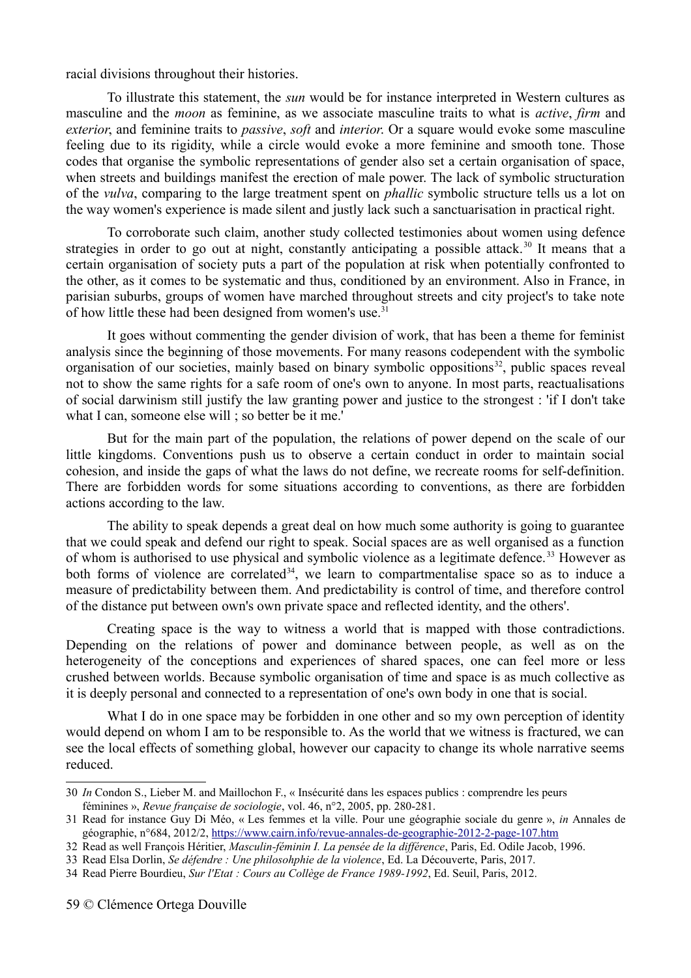racial divisions throughout their histories.

To illustrate this statement, the *sun* would be for instance interpreted in Western cultures as masculine and the *moon* as feminine, as we associate masculine traits to what is *active*, *firm* and *exterior*, and feminine traits to *passive*, *soft* and *interior*. Or a square would evoke some masculine feeling due to its rigidity, while a circle would evoke a more feminine and smooth tone. Those codes that organise the symbolic representations of gender also set a certain organisation of space, when streets and buildings manifest the erection of male power. The lack of symbolic structuration of the *vulva*, comparing to the large treatment spent on *phallic* symbolic structure tells us a lot on the way women's experience is made silent and justly lack such a sanctuarisation in practical right.

To corroborate such claim, another study collected testimonies about women using defence strategies in order to go out at night, constantly anticipating a possible attack.<sup>[30](#page-58-0)</sup> It means that a certain organisation of society puts a part of the population at risk when potentially confronted to the other, as it comes to be systematic and thus, conditioned by an environment. Also in France, in parisian suburbs, groups of women have marched throughout streets and city project's to take note of how little these had been designed from women's use.<sup>[31](#page-58-1)</sup>

It goes without commenting the gender division of work, that has been a theme for feminist analysis since the beginning of those movements. For many reasons codependent with the symbolic organisation of our societies, mainly based on binary symbolic oppositions<sup>[32](#page-58-2)</sup>, public spaces reveal not to show the same rights for a safe room of one's own to anyone. In most parts, reactualisations of social darwinism still justify the law granting power and justice to the strongest : 'if I don't take what I can, someone else will ; so better be it me.'

But for the main part of the population, the relations of power depend on the scale of our little kingdoms. Conventions push us to observe a certain conduct in order to maintain social cohesion, and inside the gaps of what the laws do not define, we recreate rooms for self-definition. There are forbidden words for some situations according to conventions, as there are forbidden actions according to the law.

The ability to speak depends a great deal on how much some authority is going to guarantee that we could speak and defend our right to speak. Social spaces are as well organised as a function of whom is authorised to use physical and symbolic violence as a legitimate defence.<sup>[33](#page-58-3)</sup> However as both forms of violence are correlated<sup>[34](#page-58-4)</sup>, we learn to compartmentalise space so as to induce a measure of predictability between them. And predictability is control of time, and therefore control of the distance put between own's own private space and reflected identity, and the others'.

Creating space is the way to witness a world that is mapped with those contradictions. Depending on the relations of power and dominance between people, as well as on the heterogeneity of the conceptions and experiences of shared spaces, one can feel more or less crushed between worlds. Because symbolic organisation of time and space is as much collective as it is deeply personal and connected to a representation of one's own body in one that is social.

What I do in one space may be forbidden in one other and so my own perception of identity would depend on whom I am to be responsible to. As the world that we witness is fractured, we can see the local effects of something global, however our capacity to change its whole narrative seems reduced.

<span id="page-58-3"></span>33 Read Elsa Dorlin, *Se défendre : Une philosohphie de la violence*, Ed. La Découverte, Paris, 2017.

<span id="page-58-0"></span><sup>30</sup> *In* Condon S., Lieber M. and Maillochon F., « Insécurité dans les espaces publics : comprendre les peurs féminines », *Revue française de sociologie*, vol. 46, n°2, 2005, pp. 280-281.

<span id="page-58-1"></span><sup>31</sup> Read for instance Guy Di Méo, « Les femmes et la ville. Pour une géographie sociale du genre », *in* Annales de géographie, n°684, 2012/2,<https://www.cairn.info/revue-annales-de-geographie-2012-2-page-107.htm>

<span id="page-58-2"></span><sup>32</sup> Read as well François Héritier, *Masculin-féminin I. La pensée de la différence*, Paris, Ed. Odile Jacob, 1996.

<span id="page-58-4"></span><sup>34</sup> Read Pierre Bourdieu, *Sur l'Etat : Cours au Collège de France 1989-1992*, Ed. Seuil, Paris, 2012.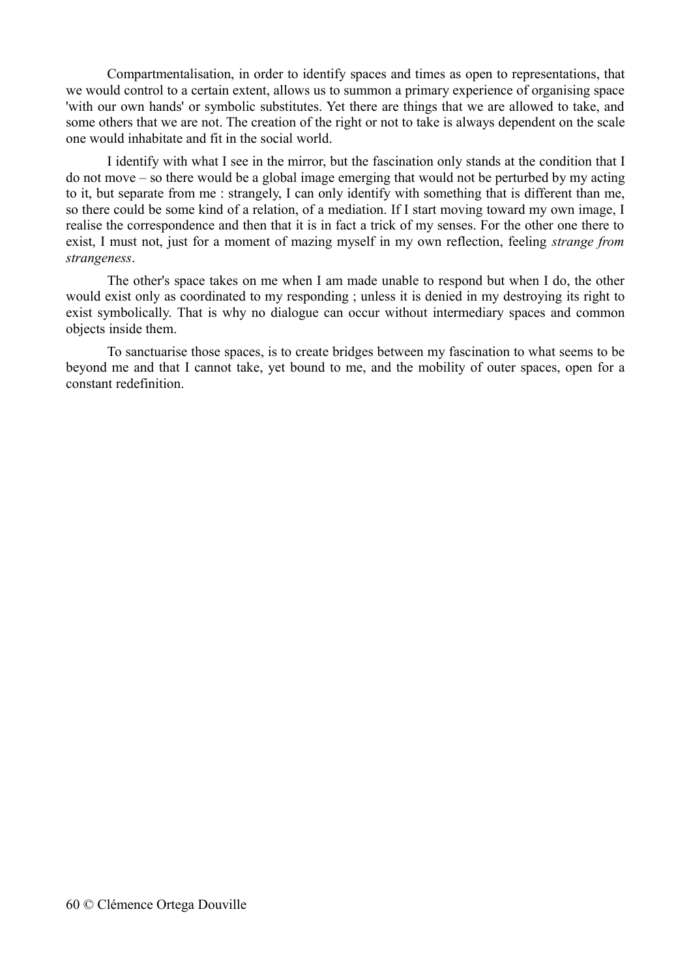Compartmentalisation, in order to identify spaces and times as open to representations, that we would control to a certain extent, allows us to summon a primary experience of organising space 'with our own hands' or symbolic substitutes. Yet there are things that we are allowed to take, and some others that we are not. The creation of the right or not to take is always dependent on the scale one would inhabitate and fit in the social world.

I identify with what I see in the mirror, but the fascination only stands at the condition that I do not move – so there would be a global image emerging that would not be perturbed by my acting to it, but separate from me : strangely, I can only identify with something that is different than me, so there could be some kind of a relation, of a mediation. If I start moving toward my own image, I realise the correspondence and then that it is in fact a trick of my senses. For the other one there to exist, I must not, just for a moment of mazing myself in my own reflection, feeling *strange from strangeness*.

The other's space takes on me when I am made unable to respond but when I do, the other would exist only as coordinated to my responding ; unless it is denied in my destroying its right to exist symbolically. That is why no dialogue can occur without intermediary spaces and common objects inside them.

To sanctuarise those spaces, is to create bridges between my fascination to what seems to be beyond me and that I cannot take, yet bound to me, and the mobility of outer spaces, open for a constant redefinition.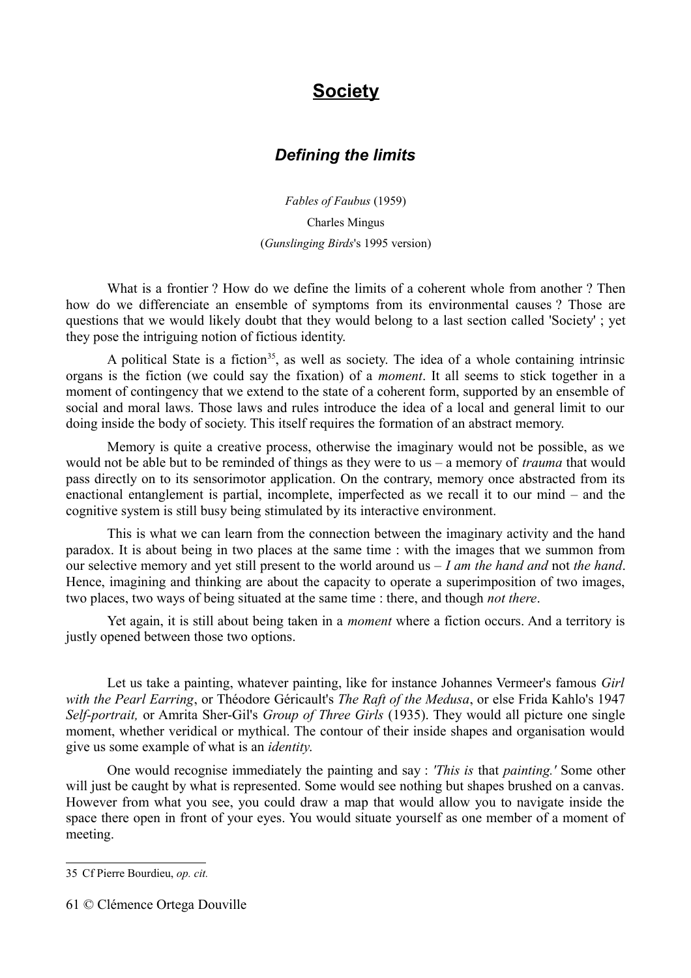# **Society**

#### *Defining the limits*

*Fables of Faubus* (1959) Charles Mingus (*Gunslinging Birds*'s 1995 version)

What is a frontier ? How do we define the limits of a coherent whole from another ? Then how do we differenciate an ensemble of symptoms from its environmental causes ? Those are questions that we would likely doubt that they would belong to a last section called 'Society' ; yet they pose the intriguing notion of fictious identity.

A political State is a fiction<sup>[35](#page-60-0)</sup>, as well as society. The idea of a whole containing intrinsic organs is the fiction (we could say the fixation) of a *moment*. It all seems to stick together in a moment of contingency that we extend to the state of a coherent form, supported by an ensemble of social and moral laws. Those laws and rules introduce the idea of a local and general limit to our doing inside the body of society. This itself requires the formation of an abstract memory.

Memory is quite a creative process, otherwise the imaginary would not be possible, as we would not be able but to be reminded of things as they were to us – a memory of *trauma* that would pass directly on to its sensorimotor application. On the contrary, memory once abstracted from its enactional entanglement is partial, incomplete, imperfected as we recall it to our mind – and the cognitive system is still busy being stimulated by its interactive environment.

This is what we can learn from the connection between the imaginary activity and the hand paradox. It is about being in two places at the same time : with the images that we summon from our selective memory and yet still present to the world around us – *I am the hand and* not *the hand*. Hence, imagining and thinking are about the capacity to operate a superimposition of two images, two places, two ways of being situated at the same time : there, and though *not there*.

Yet again, it is still about being taken in a *moment* where a fiction occurs. And a territory is justly opened between those two options.

Let us take a painting, whatever painting, like for instance Johannes Vermeer's famous *Girl with the Pearl Earring*, or Théodore Géricault's *The Raft of the Medusa*, or else Frida Kahlo's 1947 *Self-portrait,* or Amrita Sher-Gil's *Group of Three Girls* (1935). They would all picture one single moment, whether veridical or mythical. The contour of their inside shapes and organisation would give us some example of what is an *identity*.

One would recognise immediately the painting and say : *'This is* that *painting.'* Some other will just be caught by what is represented. Some would see nothing but shapes brushed on a canvas. However from what you see, you could draw a map that would allow you to navigate inside the space there open in front of your eyes. You would situate yourself as one member of a moment of meeting.

<span id="page-60-0"></span><sup>35</sup> Cf Pierre Bourdieu, *op. cit.*

<sup>61</sup> © Clémence Ortega Douville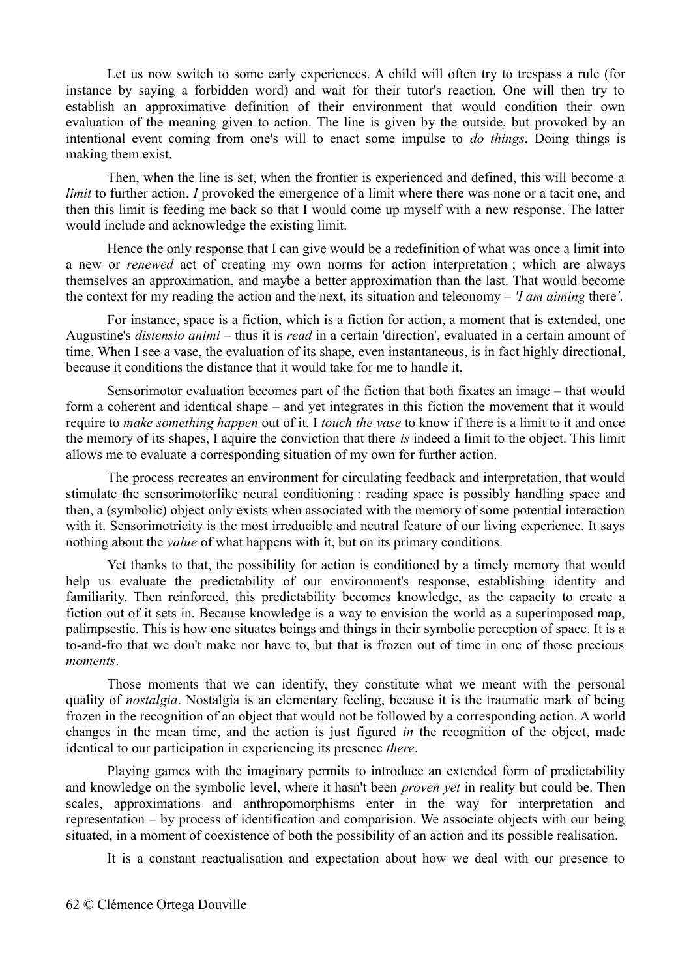Let us now switch to some early experiences. A child will often try to trespass a rule (for instance by saying a forbidden word) and wait for their tutor's reaction. One will then try to establish an approximative definition of their environment that would condition their own evaluation of the meaning given to action. The line is given by the outside, but provoked by an intentional event coming from one's will to enact some impulse to *do things*. Doing things is making them exist.

Then, when the line is set, when the frontier is experienced and defined, this will become a *limit* to further action. *I* provoked the emergence of a limit where there was none or a tacit one, and then this limit is feeding me back so that I would come up myself with a new response. The latter would include and acknowledge the existing limit.

Hence the only response that I can give would be a redefinition of what was once a limit into a new or *renewed* act of creating my own norms for action interpretation ; which are always themselves an approximation, and maybe a better approximation than the last. That would become the context for my reading the action and the next, its situation and teleonomy – *'I am aiming* there*'*.

For instance, space is a fiction, which is a fiction for action, a moment that is extended, one Augustine's *distensio animi –* thus it is *read* in a certain 'direction', evaluated in a certain amount of time. When I see a vase, the evaluation of its shape, even instantaneous, is in fact highly directional, because it conditions the distance that it would take for me to handle it.

Sensorimotor evaluation becomes part of the fiction that both fixates an image – that would form a coherent and identical shape – and yet integrates in this fiction the movement that it would require to *make something happen* out of it. I *touch the vase* to know if there is a limit to it and once the memory of its shapes, I aquire the conviction that there *is* indeed a limit to the object. This limit allows me to evaluate a corresponding situation of my own for further action.

The process recreates an environment for circulating feedback and interpretation, that would stimulate the sensorimotorlike neural conditioning : reading space is possibly handling space and then, a (symbolic) object only exists when associated with the memory of some potential interaction with it. Sensorimotricity is the most irreducible and neutral feature of our living experience. It says nothing about the *value* of what happens with it, but on its primary conditions.

Yet thanks to that, the possibility for action is conditioned by a timely memory that would help us evaluate the predictability of our environment's response, establishing identity and familiarity. Then reinforced, this predictability becomes knowledge, as the capacity to create a fiction out of it sets in. Because knowledge is a way to envision the world as a superimposed map, palimpsestic. This is how one situates beings and things in their symbolic perception of space. It is a to-and-fro that we don't make nor have to, but that is frozen out of time in one of those precious *moments*.

Those moments that we can identify, they constitute what we meant with the personal quality of *nostalgia*. Nostalgia is an elementary feeling, because it is the traumatic mark of being frozen in the recognition of an object that would not be followed by a corresponding action. A world changes in the mean time, and the action is just figured *in* the recognition of the object, made identical to our participation in experiencing its presence *there*.

Playing games with the imaginary permits to introduce an extended form of predictability and knowledge on the symbolic level, where it hasn't been *proven yet* in reality but could be. Then scales, approximations and anthropomorphisms enter in the way for interpretation and representation – by process of identification and comparision. We associate objects with our being situated, in a moment of coexistence of both the possibility of an action and its possible realisation.

It is a constant reactualisation and expectation about how we deal with our presence to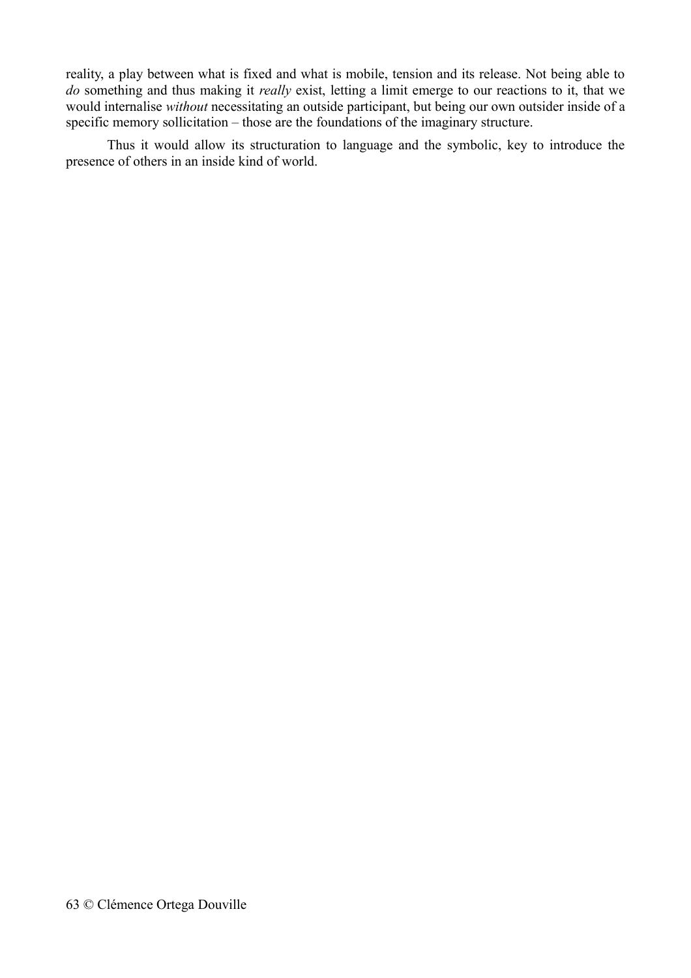reality, a play between what is fixed and what is mobile, tension and its release. Not being able to *do* something and thus making it *really* exist, letting a limit emerge to our reactions to it, that we would internalise *without* necessitating an outside participant, but being our own outsider inside of a specific memory sollicitation – those are the foundations of the imaginary structure.

Thus it would allow its structuration to language and the symbolic, key to introduce the presence of others in an inside kind of world.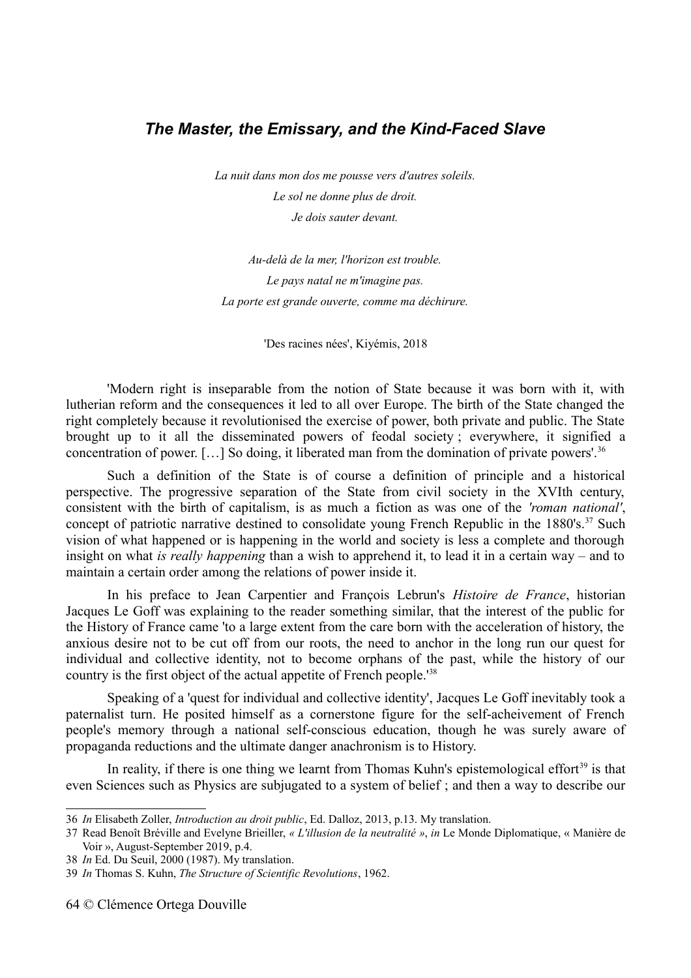#### *The Master, the Emissary, and the Kind-Faced Slave*

*La nuit dans mon dos me pousse vers d'autres soleils. Le sol ne donne plus de droit. Je dois sauter devant.*

*Au-delà de la mer, l'horizon est trouble. Le pays natal ne m'imagine pas. La porte est grande ouverte, comme ma déchirure.*

'Des racines nées', Kiyémis, 2018

'Modern right is inseparable from the notion of State because it was born with it, with lutherian reform and the consequences it led to all over Europe. The birth of the State changed the right completely because it revolutionised the exercise of power, both private and public. The State brought up to it all the disseminated powers of feodal society ; everywhere, it signified a concentration of power.  $[...]$  So doing, it liberated man from the domination of private powers'.<sup>[36](#page-63-0)</sup>

Such a definition of the State is of course a definition of principle and a historical perspective. The progressive separation of the State from civil society in the XVIth century, consistent with the birth of capitalism, is as much a fiction as was one of the *'roman national'*, concept of patriotic narrative destined to consolidate young French Republic in the  $1880's$ .<sup>[37](#page-63-1)</sup> Such vision of what happened or is happening in the world and society is less a complete and thorough insight on what *is really happening* than a wish to apprehend it, to lead it in a certain way – and to maintain a certain order among the relations of power inside it.

In his preface to Jean Carpentier and François Lebrun's *Histoire de France*, historian Jacques Le Goff was explaining to the reader something similar, that the interest of the public for the History of France came 'to a large extent from the care born with the acceleration of history, the anxious desire not to be cut off from our roots, the need to anchor in the long run our quest for individual and collective identity, not to become orphans of the past, while the history of our country is the first object of the actual appetite of French people.'[38](#page-63-2)

Speaking of a 'quest for individual and collective identity', Jacques Le Goff inevitably took a paternalist turn. He posited himself as a cornerstone figure for the self-acheivement of French people's memory through a national self-conscious education, though he was surely aware of propaganda reductions and the ultimate danger anachronism is to History.

In reality, if there is one thing we learnt from Thomas Kuhn's epistemological effort<sup>[39](#page-63-3)</sup> is that even Sciences such as Physics are subjugated to a system of belief ; and then a way to describe our

<span id="page-63-0"></span><sup>36</sup> *In* Elisabeth Zoller, *Introduction au droit public*, Ed. Dalloz, 2013, p.13. My translation.

<span id="page-63-1"></span><sup>37</sup> Read Benoît Bréville and Evelyne Brieiller, *« L'illusion de la neutralité »*, *in* Le Monde Diplomatique, « Manière de Voir », August-September 2019, p.4.

<span id="page-63-2"></span><sup>38</sup> *In* Ed. Du Seuil, 2000 (1987). My translation.

<span id="page-63-3"></span><sup>39</sup> *In* Thomas S. Kuhn, *The Structure of Scientific Revolutions*, 1962.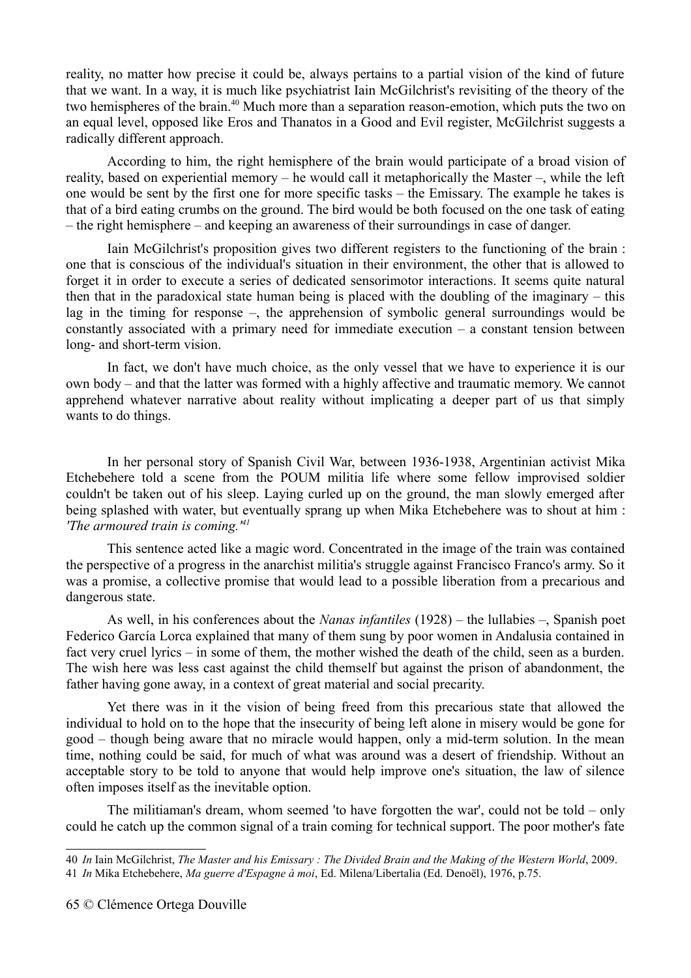reality, no matter how precise it could be, always pertains to a partial vision of the kind of future that we want. In a way, it is much like psychiatrist Iain McGilchrist's revisiting of the theory of the two hemispheres of the brain.<sup>[40](#page-64-0)</sup> Much more than a separation reason-emotion, which puts the two on an equal level, opposed like Eros and Thanatos in a Good and Evil register, McGilchrist suggests a radically different approach.

According to him, the right hemisphere of the brain would participate of a broad vision of reality, based on experiential memory – he would call it metaphorically the Master –, while the left one would be sent by the first one for more specific tasks – the Emissary. The example he takes is that of a bird eating crumbs on the ground. The bird would be both focused on the one task of eating – the right hemisphere – and keeping an awareness of their surroundings in case of danger.

Iain McGilchrist's proposition gives two different registers to the functioning of the brain : one that is conscious of the individual's situation in their environment, the other that is allowed to forget it in order to execute a series of dedicated sensorimotor interactions. It seems quite natural then that in the paradoxical state human being is placed with the doubling of the imaginary – this lag in the timing for response –, the apprehension of symbolic general surroundings would be constantly associated with a primary need for immediate execution – a constant tension between long- and short-term vision.

In fact, we don't have much choice, as the only vessel that we have to experience it is our own body – and that the latter was formed with a highly affective and traumatic memory. We cannot apprehend whatever narrative about reality without implicating a deeper part of us that simply wants to do things.

In her personal story of Spanish Civil War, between 1936-1938, Argentinian activist Mika Etchebehere told a scene from the POUM militia life where some fellow improvised soldier couldn't be taken out of his sleep. Laying curled up on the ground, the man slowly emerged after being splashed with water, but eventually sprang up when Mika Etchebehere was to shout at him : *'The armoured train is coming.'[41](#page-64-1)*

This sentence acted like a magic word. Concentrated in the image of the train was contained the perspective of a progress in the anarchist militia's struggle against Francisco Franco's army. So it was a promise, a collective promise that would lead to a possible liberation from a precarious and dangerous state.

As well, in his conferences about the *Nanas infantiles* (1928) – the lullabies –, Spanish poet Federico García Lorca explained that many of them sung by poor women in Andalusia contained in fact very cruel lyrics – in some of them, the mother wished the death of the child, seen as a burden. The wish here was less cast against the child themself but against the prison of abandonment, the father having gone away, in a context of great material and social precarity.

Yet there was in it the vision of being freed from this precarious state that allowed the individual to hold on to the hope that the insecurity of being left alone in misery would be gone for good – though being aware that no miracle would happen, only a mid-term solution. In the mean time, nothing could be said, for much of what was around was a desert of friendship. Without an acceptable story to be told to anyone that would help improve one's situation, the law of silence often imposes itself as the inevitable option.

The militiaman's dream, whom seemed 'to have forgotten the war', could not be told – only could he catch up the common signal of a train coming for technical support. The poor mother's fate

<span id="page-64-1"></span><span id="page-64-0"></span><sup>40</sup> *In* Iain McGilchrist, *The Master and his Emissary : The Divided Brain and the Making of the Western World*, 2009. 41 *In* Mika Etchebehere, *Ma guerre d'Espagne à moi*, Ed. Milena/Libertalia (Ed. Denoël), 1976, p.75.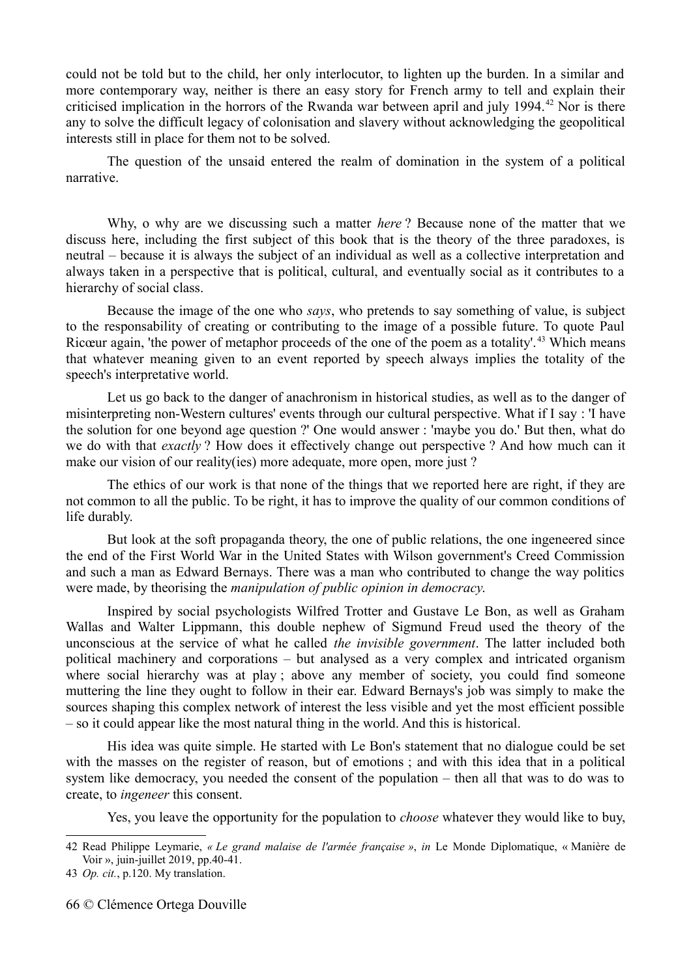could not be told but to the child, her only interlocutor, to lighten up the burden. In a similar and more contemporary way, neither is there an easy story for French army to tell and explain their criticised implication in the horrors of the Rwanda war between april and july 1994.<sup>[42](#page-65-0)</sup> Nor is there any to solve the difficult legacy of colonisation and slavery without acknowledging the geopolitical interests still in place for them not to be solved.

The question of the unsaid entered the realm of domination in the system of a political narrative.

Why, o why are we discussing such a matter *here* ? Because none of the matter that we discuss here, including the first subject of this book that is the theory of the three paradoxes, is neutral – because it is always the subject of an individual as well as a collective interpretation and always taken in a perspective that is political, cultural, and eventually social as it contributes to a hierarchy of social class.

Because the image of the one who *says*, who pretends to say something of value, is subject to the responsability of creating or contributing to the image of a possible future. To quote Paul Ricœur again, 'the power of metaphor proceeds of the one of the poem as a totality'.<sup>[43](#page-65-1)</sup> Which means that whatever meaning given to an event reported by speech always implies the totality of the speech's interpretative world.

Let us go back to the danger of anachronism in historical studies, as well as to the danger of misinterpreting non-Western cultures' events through our cultural perspective. What if I say : 'I have the solution for one beyond age question ?' One would answer : 'maybe you do.' But then, what do we do with that *exactly* ? How does it effectively change out perspective ? And how much can it make our vision of our reality(ies) more adequate, more open, more just?

The ethics of our work is that none of the things that we reported here are right, if they are not common to all the public. To be right, it has to improve the quality of our common conditions of life durably.

But look at the soft propaganda theory, the one of public relations, the one ingeneered since the end of the First World War in the United States with Wilson government's Creed Commission and such a man as Edward Bernays. There was a man who contributed to change the way politics were made, by theorising the *manipulation of public opinion in democracy*.

Inspired by social psychologists Wilfred Trotter and Gustave Le Bon, as well as Graham Wallas and Walter Lippmann, this double nephew of Sigmund Freud used the theory of the unconscious at the service of what he called *the invisible government*. The latter included both political machinery and corporations – but analysed as a very complex and intricated organism where social hierarchy was at play; above any member of society, you could find someone muttering the line they ought to follow in their ear. Edward Bernays's job was simply to make the sources shaping this complex network of interest the less visible and yet the most efficient possible – so it could appear like the most natural thing in the world. And this is historical.

His idea was quite simple. He started with Le Bon's statement that no dialogue could be set with the masses on the register of reason, but of emotions ; and with this idea that in a political system like democracy, you needed the consent of the population – then all that was to do was to create, to *ingeneer* this consent.

Yes, you leave the opportunity for the population to *choose* whatever they would like to buy,

<span id="page-65-0"></span><sup>42</sup> Read Philippe Leymarie, *« Le grand malaise de l'armée française »*, *in* Le Monde Diplomatique, « Manière de Voir », juin-juillet 2019, pp.40-41.

<span id="page-65-1"></span><sup>43</sup> *Op. cit.*, p.120. My translation.

<sup>66</sup> © Clémence Ortega Douville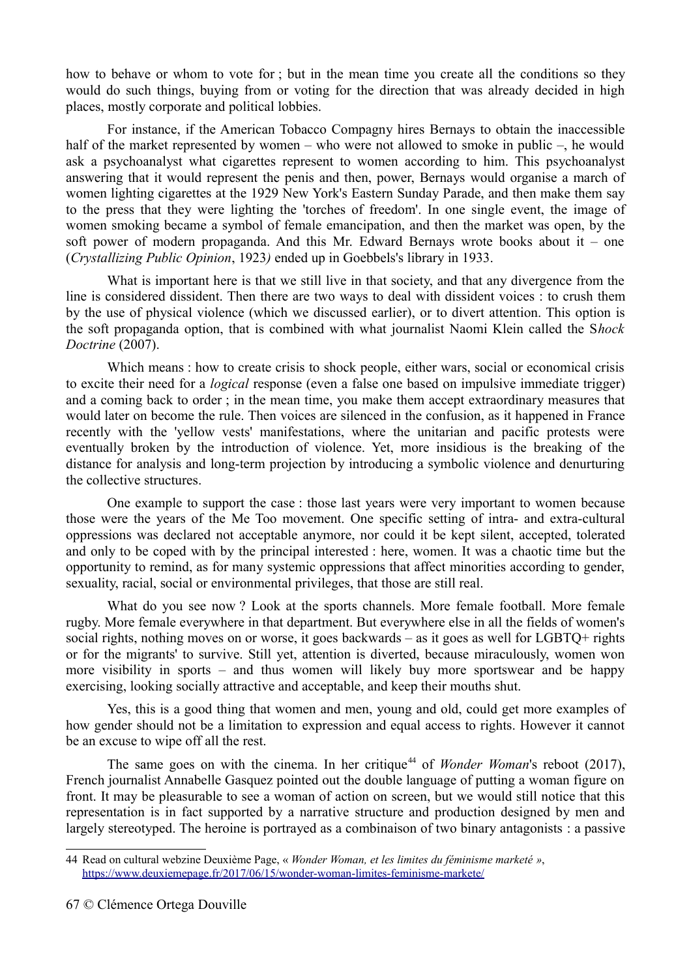how to behave or whom to vote for ; but in the mean time you create all the conditions so they would do such things, buying from or voting for the direction that was already decided in high places, mostly corporate and political lobbies.

For instance, if the American Tobacco Compagny hires Bernays to obtain the inaccessible half of the market represented by women – who were not allowed to smoke in public –, he would ask a psychoanalyst what cigarettes represent to women according to him. This psychoanalyst answering that it would represent the penis and then, power, Bernays would organise a march of women lighting cigarettes at the 1929 New York's Eastern Sunday Parade, and then make them say to the press that they were lighting the 'torches of freedom'. In one single event, the image of women smoking became a symbol of female emancipation, and then the market was open, by the soft power of modern propaganda. And this Mr. Edward Bernays wrote books about it – one (*Crystallizing Public Opinion*, 1923*)* ended up in Goebbels's library in 1933.

What is important here is that we still live in that society, and that any divergence from the line is considered dissident. Then there are two ways to deal with dissident voices : to crush them by the use of physical violence (which we discussed earlier), or to divert attention. This option is the soft propaganda option, that is combined with what journalist Naomi Klein called the S*hock Doctrine* (2007).

Which means : how to create crisis to shock people, either wars, social or economical crisis to excite their need for a *logical* response (even a false one based on impulsive immediate trigger) and a coming back to order ; in the mean time, you make them accept extraordinary measures that would later on become the rule. Then voices are silenced in the confusion, as it happened in France recently with the 'yellow vests' manifestations, where the unitarian and pacific protests were eventually broken by the introduction of violence. Yet, more insidious is the breaking of the distance for analysis and long-term projection by introducing a symbolic violence and denurturing the collective structures.

One example to support the case : those last years were very important to women because those were the years of the Me Too movement. One specific setting of intra- and extra-cultural oppressions was declared not acceptable anymore, nor could it be kept silent, accepted, tolerated and only to be coped with by the principal interested : here, women. It was a chaotic time but the opportunity to remind, as for many systemic oppressions that affect minorities according to gender, sexuality, racial, social or environmental privileges, that those are still real.

What do you see now ? Look at the sports channels. More female football. More female rugby. More female everywhere in that department. But everywhere else in all the fields of women's social rights, nothing moves on or worse, it goes backwards – as it goes as well for LGBTQ+ rights or for the migrants' to survive. Still yet, attention is diverted, because miraculously, women won more visibility in sports – and thus women will likely buy more sportswear and be happy exercising, looking socially attractive and acceptable, and keep their mouths shut.

Yes, this is a good thing that women and men, young and old, could get more examples of how gender should not be a limitation to expression and equal access to rights. However it cannot be an excuse to wipe off all the rest.

The same goes on with the cinema. In her critique<sup>[44](#page-66-0)</sup> of *Wonder Woman's* reboot (2017), French journalist Annabelle Gasquez pointed out the double language of putting a woman figure on front. It may be pleasurable to see a woman of action on screen, but we would still notice that this representation is in fact supported by a narrative structure and production designed by men and largely stereotyped. The heroine is portrayed as a combinaison of two binary antagonists : a passive

<span id="page-66-0"></span><sup>44</sup> Read on cultural webzine Deuxième Page, « *Wonder Woman, et les limites du féminisme marketé »*, <https://www.deuxiemepage.fr/2017/06/15/wonder-woman-limites-feminisme-markete/>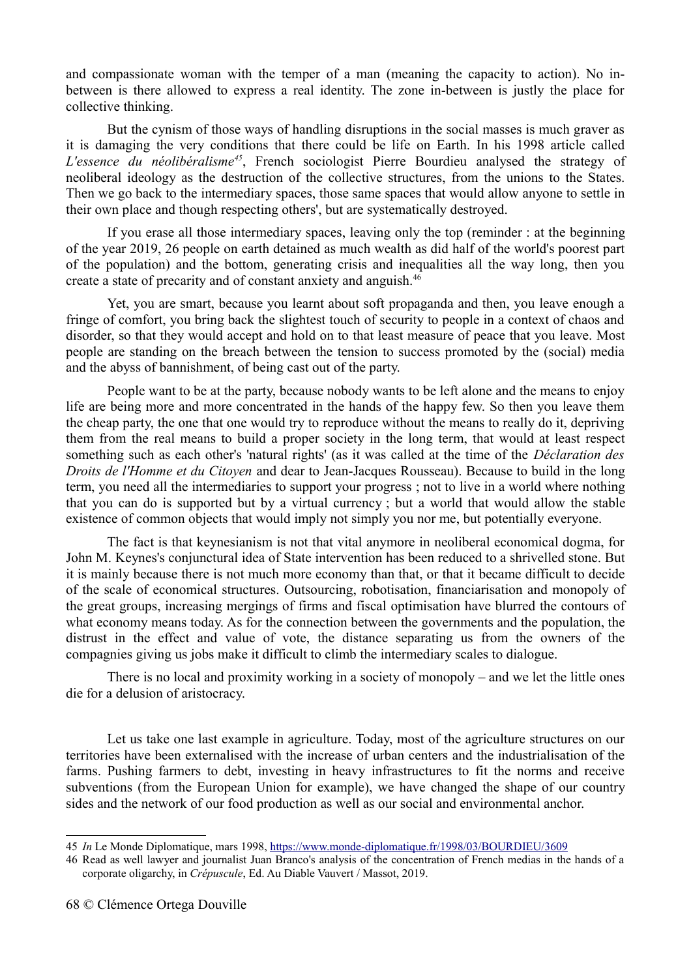and compassionate woman with the temper of a man (meaning the capacity to action). No inbetween is there allowed to express a real identity. The zone in-between is justly the place for collective thinking.

But the cynism of those ways of handling disruptions in the social masses is much graver as it is damaging the very conditions that there could be life on Earth. In his 1998 article called *L'essence du néolibéralisme[45](#page-67-0)*, French sociologist Pierre Bourdieu analysed the strategy of neoliberal ideology as the destruction of the collective structures, from the unions to the States. Then we go back to the intermediary spaces, those same spaces that would allow anyone to settle in their own place and though respecting others', but are systematically destroyed.

If you erase all those intermediary spaces, leaving only the top (reminder : at the beginning of the year 2019, 26 people on earth detained as much wealth as did half of the world's poorest part of the population) and the bottom, generating crisis and inequalities all the way long, then you create a state of precarity and of constant anxiety and anguish.[46](#page-67-1)

Yet, you are smart, because you learnt about soft propaganda and then, you leave enough a fringe of comfort, you bring back the slightest touch of security to people in a context of chaos and disorder, so that they would accept and hold on to that least measure of peace that you leave. Most people are standing on the breach between the tension to success promoted by the (social) media and the abyss of bannishment, of being cast out of the party.

People want to be at the party, because nobody wants to be left alone and the means to enjoy life are being more and more concentrated in the hands of the happy few. So then you leave them the cheap party, the one that one would try to reproduce without the means to really do it, depriving them from the real means to build a proper society in the long term, that would at least respect something such as each other's 'natural rights' (as it was called at the time of the *Déclaration des Droits de l'Homme et du Citoyen* and dear to Jean-Jacques Rousseau). Because to build in the long term, you need all the intermediaries to support your progress ; not to live in a world where nothing that you can do is supported but by a virtual currency ; but a world that would allow the stable existence of common objects that would imply not simply you nor me, but potentially everyone.

The fact is that keynesianism is not that vital anymore in neoliberal economical dogma, for John M. Keynes's conjunctural idea of State intervention has been reduced to a shrivelled stone. But it is mainly because there is not much more economy than that, or that it became difficult to decide of the scale of economical structures. Outsourcing, robotisation, financiarisation and monopoly of the great groups, increasing mergings of firms and fiscal optimisation have blurred the contours of what economy means today. As for the connection between the governments and the population, the distrust in the effect and value of vote, the distance separating us from the owners of the compagnies giving us jobs make it difficult to climb the intermediary scales to dialogue.

There is no local and proximity working in a society of monopoly – and we let the little ones die for a delusion of aristocracy.

Let us take one last example in agriculture. Today, most of the agriculture structures on our territories have been externalised with the increase of urban centers and the industrialisation of the farms. Pushing farmers to debt, investing in heavy infrastructures to fit the norms and receive subventions (from the European Union for example), we have changed the shape of our country sides and the network of our food production as well as our social and environmental anchor.

<span id="page-67-0"></span><sup>45</sup> *In* Le Monde Diplomatique, mars 1998,<https://www.monde-diplomatique.fr/1998/03/BOURDIEU/3609>

<span id="page-67-1"></span><sup>46</sup> Read as well lawyer and journalist Juan Branco's analysis of the concentration of French medias in the hands of a corporate oligarchy, in *Crépuscule*, Ed. Au Diable Vauvert / Massot, 2019.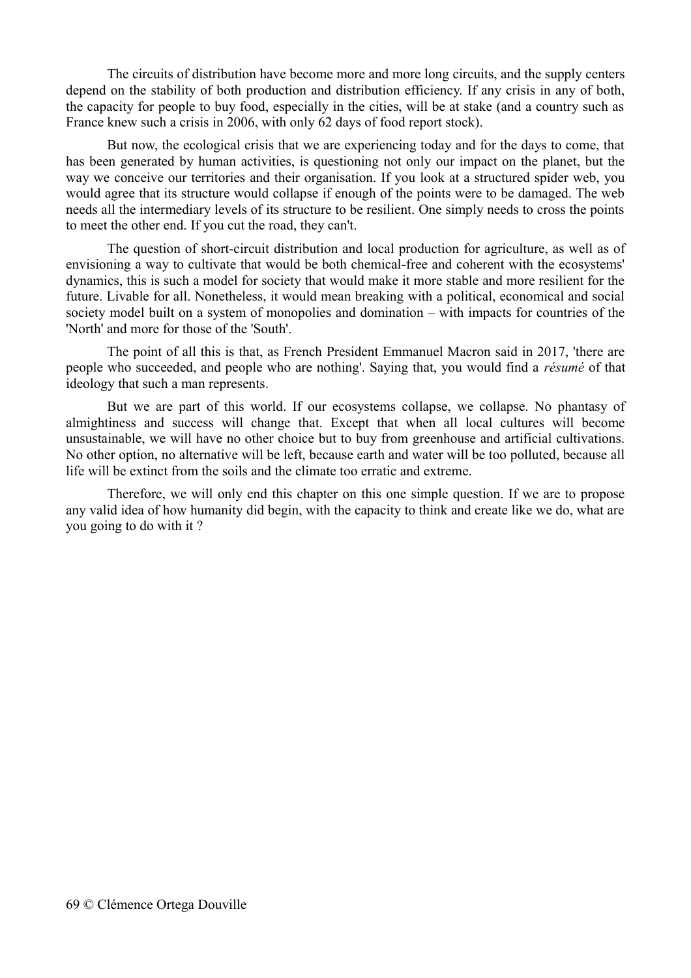The circuits of distribution have become more and more long circuits, and the supply centers depend on the stability of both production and distribution efficiency. If any crisis in any of both, the capacity for people to buy food, especially in the cities, will be at stake (and a country such as France knew such a crisis in 2006, with only 62 days of food report stock).

But now, the ecological crisis that we are experiencing today and for the days to come, that has been generated by human activities, is questioning not only our impact on the planet, but the way we conceive our territories and their organisation. If you look at a structured spider web, you would agree that its structure would collapse if enough of the points were to be damaged. The web needs all the intermediary levels of its structure to be resilient. One simply needs to cross the points to meet the other end. If you cut the road, they can't.

The question of short-circuit distribution and local production for agriculture, as well as of envisioning a way to cultivate that would be both chemical-free and coherent with the ecosystems' dynamics, this is such a model for society that would make it more stable and more resilient for the future. Livable for all. Nonetheless, it would mean breaking with a political, economical and social society model built on a system of monopolies and domination – with impacts for countries of the 'North' and more for those of the 'South'.

The point of all this is that, as French President Emmanuel Macron said in 2017, 'there are people who succeeded, and people who are nothing'. Saying that, you would find a *résumé* of that ideology that such a man represents.

But we are part of this world. If our ecosystems collapse, we collapse. No phantasy of almightiness and success will change that. Except that when all local cultures will become unsustainable, we will have no other choice but to buy from greenhouse and artificial cultivations. No other option, no alternative will be left, because earth and water will be too polluted, because all life will be extinct from the soils and the climate too erratic and extreme.

Therefore, we will only end this chapter on this one simple question. If we are to propose any valid idea of how humanity did begin, with the capacity to think and create like we do, what are you going to do with it ?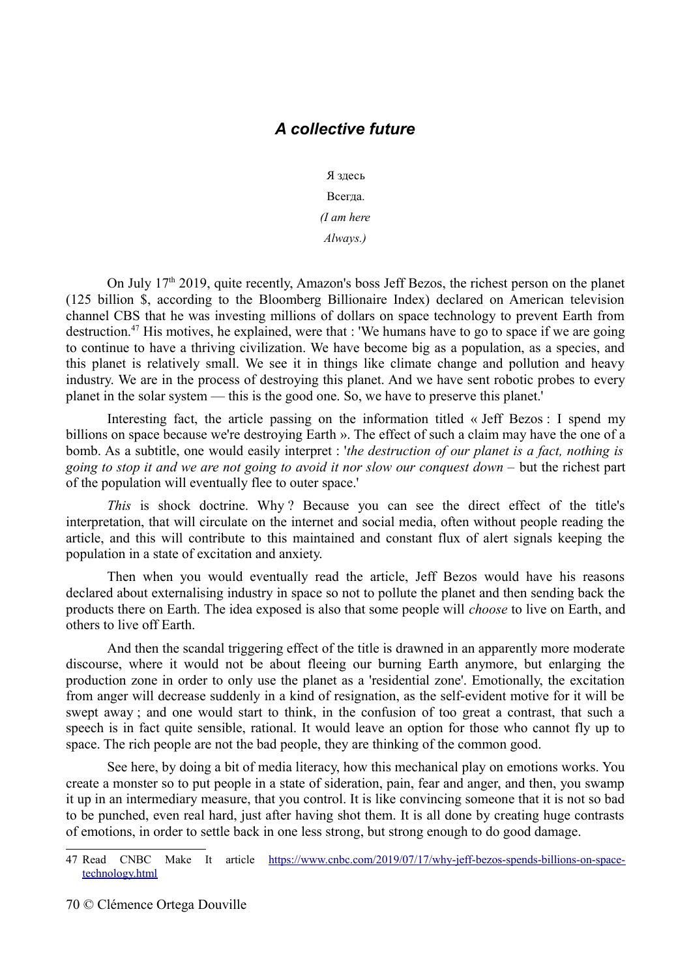### *A collective future*

Я здесь

Всегда.

*(I am here*

*Always.)*

On July  $17<sup>th</sup>$  2019, quite recently, Amazon's boss Jeff Bezos, the richest person on the planet (125 billion \$, according to the Bloomberg Billionaire Index) declared on American television channel CBS that he was investing millions of dollars on space technology to prevent Earth from destruction.[47](#page-69-0) His motives, he explained, were that : 'We humans have to go to space if we are going to continue to have a thriving civilization. We have become big as a population, as a species, and this planet is relatively small. We see it in things like climate change and pollution and heavy industry. We are in the process of destroying this planet. And we have sent robotic probes to every planet in the solar system — this is the good one. So, we have to preserve this planet.'

Interesting fact, the article passing on the information titled « Jeff Bezos : I spend my billions on space because we're destroying Earth ». The effect of such a claim may have the one of a bomb. As a subtitle, one would easily interpret : '*the destruction of our planet is a fact, nothing is going to stop it and we are not going to avoid it nor slow our conquest down –* but the richest part of the population will eventually flee to outer space.'

*This* is shock doctrine. Why ? Because you can see the direct effect of the title's interpretation, that will circulate on the internet and social media, often without people reading the article, and this will contribute to this maintained and constant flux of alert signals keeping the population in a state of excitation and anxiety.

Then when you would eventually read the article, Jeff Bezos would have his reasons declared about externalising industry in space so not to pollute the planet and then sending back the products there on Earth. The idea exposed is also that some people will *choose* to live on Earth, and others to live off Earth.

And then the scandal triggering effect of the title is drawned in an apparently more moderate discourse, where it would not be about fleeing our burning Earth anymore, but enlarging the production zone in order to only use the planet as a 'residential zone'. Emotionally, the excitation from anger will decrease suddenly in a kind of resignation, as the self-evident motive for it will be swept away ; and one would start to think, in the confusion of too great a contrast, that such a speech is in fact quite sensible, rational. It would leave an option for those who cannot fly up to space. The rich people are not the bad people, they are thinking of the common good.

See here, by doing a bit of media literacy, how this mechanical play on emotions works. You create a monster so to put people in a state of sideration, pain, fear and anger, and then, you swamp it up in an intermediary measure, that you control. It is like convincing someone that it is not so bad to be punched, even real hard, just after having shot them. It is all done by creating huge contrasts of emotions, in order to settle back in one less strong, but strong enough to do good damage.

<span id="page-69-0"></span><sup>47</sup> Read CNBC Make It article [https://www.cnbc.com/2019/07/17/why-jeff-bezos-spends-billions-on-space](https://www.cnbc.com/2019/07/17/why-jeff-bezos-spends-billions-on-space-technology.html)[technology.html](https://www.cnbc.com/2019/07/17/why-jeff-bezos-spends-billions-on-space-technology.html)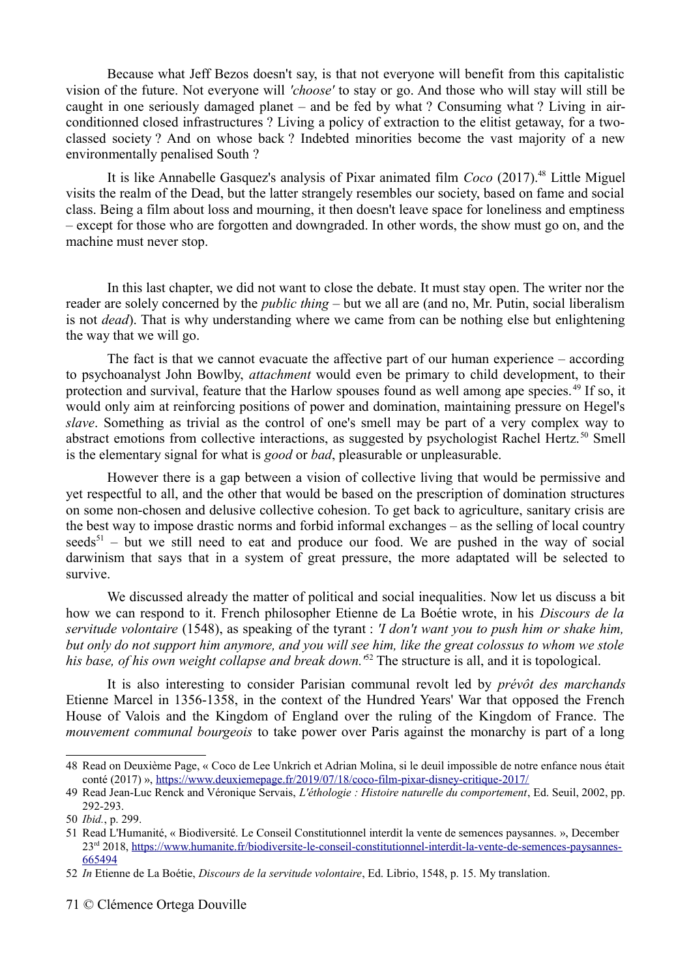Because what Jeff Bezos doesn't say, is that not everyone will benefit from this capitalistic vision of the future. Not everyone will *'choose'* to stay or go. And those who will stay will still be caught in one seriously damaged planet – and be fed by what ? Consuming what ? Living in airconditionned closed infrastructures ? Living a policy of extraction to the elitist getaway, for a twoclassed society ? And on whose back ? Indebted minorities become the vast majority of a new environmentally penalised South ?

It is like Annabelle Gasquez's analysis of Pixar animated film *Coco* (2017).[48](#page-70-0) Little Miguel visits the realm of the Dead, but the latter strangely resembles our society, based on fame and social class. Being a film about loss and mourning, it then doesn't leave space for loneliness and emptiness – except for those who are forgotten and downgraded. In other words, the show must go on, and the machine must never stop.

In this last chapter, we did not want to close the debate. It must stay open. The writer nor the reader are solely concerned by the *public thing* – but we all are (and no, Mr. Putin, social liberalism is not *dead*). That is why understanding where we came from can be nothing else but enlightening the way that we will go.

The fact is that we cannot evacuate the affective part of our human experience – according to psychoanalyst John Bowlby, *attachment* would even be primary to child development, to their protection and survival, feature that the Harlow spouses found as well among ape species.<sup>[49](#page-70-1)</sup> If so, it would only aim at reinforcing positions of power and domination, maintaining pressure on Hegel's *slave*. Something as trivial as the control of one's smell may be part of a very complex way to abstract emotions from collective interactions, as suggested by psychologist Rachel Hertz.<sup>[50](#page-70-2)</sup> Smell is the elementary signal for what is *good* or *bad*, pleasurable or unpleasurable.

However there is a gap between a vision of collective living that would be permissive and yet respectful to all, and the other that would be based on the prescription of domination structures on some non-chosen and delusive collective cohesion. To get back to agriculture, sanitary crisis are the best way to impose drastic norms and forbid informal exchanges – as the selling of local country  $seeds<sup>51</sup>$  $seeds<sup>51</sup>$  $seeds<sup>51</sup>$  – but we still need to eat and produce our food. We are pushed in the way of social darwinism that says that in a system of great pressure, the more adaptated will be selected to survive.

We discussed already the matter of political and social inequalities. Now let us discuss a bit how we can respond to it. French philosopher Etienne de La Boétie wrote, in his *Discours de la servitude volontaire* (1548), as speaking of the tyrant : *'I don't want you to push him or shake him, but only do not support him anymore, and you will see him, like the great colossus to whom we stole his base, of his own weight collapse and break down.'*[52](#page-70-4) The structure is all, and it is topological.

It is also interesting to consider Parisian communal revolt led by *prévôt des marchands* Etienne Marcel in 1356-1358, in the context of the Hundred Years' War that opposed the French House of Valois and the Kingdom of England over the ruling of the Kingdom of France. The *mouvement communal bourgeois* to take power over Paris against the monarchy is part of a long

<span id="page-70-0"></span><sup>48</sup> Read on Deuxième Page, « Coco de Lee Unkrich et Adrian Molina, si le deuil impossible de notre enfance nous était conté (2017) »,<https://www.deuxiemepage.fr/2019/07/18/coco-film-pixar-disney-critique-2017/>

<span id="page-70-1"></span><sup>49</sup> Read Jean-Luc Renck and Véronique Servais, *L'éthologie : Histoire naturelle du comportement*, Ed. Seuil, 2002, pp. 292-293.

<span id="page-70-2"></span><sup>50</sup> *Ibid.*, p. 299.

<span id="page-70-3"></span><sup>51</sup> Read L'Humanité, « Biodiversité. Le Conseil Constitutionnel interdit la vente de semences paysannes. », December 23rd 2018, [https://www.humanite.fr/biodiversite-le-conseil-constitutionnel-interdit-la-vente-de-semences-paysannes-](https://www.humanite.fr/biodiversite-le-conseil-constitutionnel-interdit-la-vente-de-semences-paysannes-665494)[665494](https://www.humanite.fr/biodiversite-le-conseil-constitutionnel-interdit-la-vente-de-semences-paysannes-665494)

<span id="page-70-4"></span><sup>52</sup> *In* Etienne de La Boétie, *Discours de la servitude volontaire*, Ed. Librio, 1548, p. 15. My translation.

<sup>71</sup> © Clémence Ortega Douville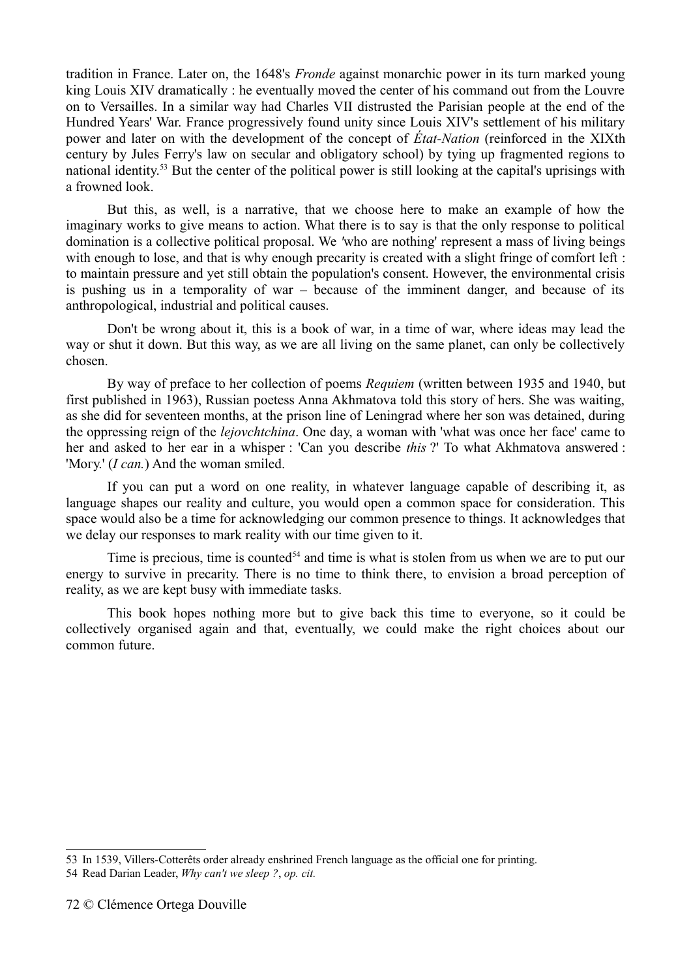tradition in France. Later on, the 1648's *Fronde* against monarchic power in its turn marked young king Louis XIV dramatically : he eventually moved the center of his command out from the Louvre on to Versailles. In a similar way had Charles VII distrusted the Parisian people at the end of the Hundred Years' War. France progressively found unity since Louis XIV's settlement of his military power and later on with the development of the concept of *État-Nation* (reinforced in the XIXth century by Jules Ferry's law on secular and obligatory school) by tying up fragmented regions to national identity.[53](#page-71-0) But the center of the political power is still looking at the capital's uprisings with a frowned look.

But this, as well, is a narrative, that we choose here to make an example of how the imaginary works to give means to action. What there is to say is that the only response to political domination is a collective political proposal. We *'*who are nothing' represent a mass of living beings with enough to lose, and that is why enough precarity is created with a slight fringe of comfort left : to maintain pressure and yet still obtain the population's consent. However, the environmental crisis is pushing us in a temporality of war – because of the imminent danger, and because of its anthropological, industrial and political causes.

Don't be wrong about it, this is a book of war, in a time of war, where ideas may lead the way or shut it down. But this way, as we are all living on the same planet, can only be collectively chosen.

By way of preface to her collection of poems *Requiem* (written between 1935 and 1940, but first published in 1963), Russian poetess Anna Akhmatova told this story of hers. She was waiting, as she did for seventeen months, at the prison line of Leningrad where her son was detained, during the oppressing reign of the *lejovchtchina*. One day, a woman with 'what was once her face' came to her and asked to her ear in a whisper : 'Can you describe *this* ?' To what Akhmatova answered : 'Могу.' (*I can.*) And the woman smiled.

If you can put a word on one reality, in whatever language capable of describing it, as language shapes our reality and culture, you would open a common space for consideration. This space would also be a time for acknowledging our common presence to things. It acknowledges that we delay our responses to mark reality with our time given to it.

Time is precious, time is counted<sup> $54$ </sup> and time is what is stolen from us when we are to put our energy to survive in precarity. There is no time to think there, to envision a broad perception of reality, as we are kept busy with immediate tasks.

This book hopes nothing more but to give back this time to everyone, so it could be collectively organised again and that, eventually, we could make the right choices about our common future.

<span id="page-71-0"></span><sup>53</sup> In 1539, Villers-Cotterêts order already enshrined French language as the official one for printing.

<span id="page-71-1"></span><sup>54</sup> Read Darian Leader, *Why can't we sleep ?*, *op. cit.*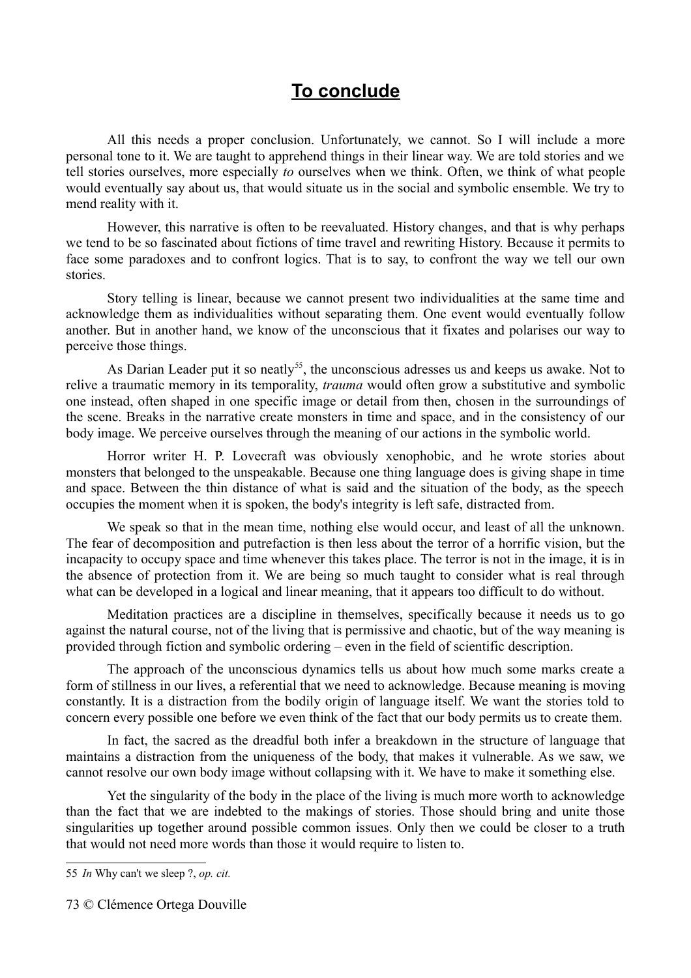## **To conclude**

All this needs a proper conclusion. Unfortunately, we cannot. So I will include a more personal tone to it. We are taught to apprehend things in their linear way. We are told stories and we tell stories ourselves, more especially *to* ourselves when we think. Often, we think of what people would eventually say about us, that would situate us in the social and symbolic ensemble. We try to mend reality with it.

However, this narrative is often to be reevaluated. History changes, and that is why perhaps we tend to be so fascinated about fictions of time travel and rewriting History. Because it permits to face some paradoxes and to confront logics. That is to say, to confront the way we tell our own stories.

Story telling is linear, because we cannot present two individualities at the same time and acknowledge them as individualities without separating them. One event would eventually follow another. But in another hand, we know of the unconscious that it fixates and polarises our way to perceive those things.

As Darian Leader put it so neatly<sup>[55](#page-72-0)</sup>, the unconscious adresses us and keeps us awake. Not to relive a traumatic memory in its temporality, *trauma* would often grow a substitutive and symbolic one instead, often shaped in one specific image or detail from then, chosen in the surroundings of the scene. Breaks in the narrative create monsters in time and space, and in the consistency of our body image. We perceive ourselves through the meaning of our actions in the symbolic world.

Horror writer H. P. Lovecraft was obviously xenophobic, and he wrote stories about monsters that belonged to the unspeakable. Because one thing language does is giving shape in time and space. Between the thin distance of what is said and the situation of the body, as the speech occupies the moment when it is spoken, the body's integrity is left safe, distracted from.

We speak so that in the mean time, nothing else would occur, and least of all the unknown. The fear of decomposition and putrefaction is then less about the terror of a horrific vision, but the incapacity to occupy space and time whenever this takes place. The terror is not in the image, it is in the absence of protection from it. We are being so much taught to consider what is real through what can be developed in a logical and linear meaning, that it appears too difficult to do without.

Meditation practices are a discipline in themselves, specifically because it needs us to go against the natural course, not of the living that is permissive and chaotic, but of the way meaning is provided through fiction and symbolic ordering – even in the field of scientific description.

The approach of the unconscious dynamics tells us about how much some marks create a form of stillness in our lives, a referential that we need to acknowledge. Because meaning is moving constantly. It is a distraction from the bodily origin of language itself. We want the stories told to concern every possible one before we even think of the fact that our body permits us to create them.

In fact, the sacred as the dreadful both infer a breakdown in the structure of language that maintains a distraction from the uniqueness of the body, that makes it vulnerable. As we saw, we cannot resolve our own body image without collapsing with it. We have to make it something else.

Yet the singularity of the body in the place of the living is much more worth to acknowledge than the fact that we are indebted to the makings of stories. Those should bring and unite those singularities up together around possible common issues. Only then we could be closer to a truth that would not need more words than those it would require to listen to.

<span id="page-72-0"></span><sup>55</sup> *In* Why can't we sleep ?, *op. cit.*